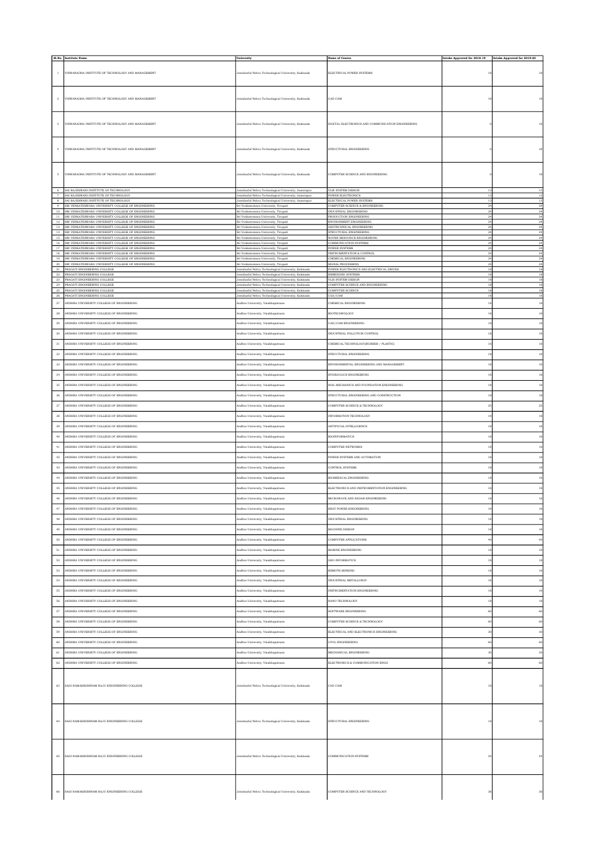|                           | Sl.No. Institute Name                                                                                                                                             | University                                                                                                              | <b>Name of Course</b>                                                                | Intake Approved for 2018-19 Intake Approved for 2019-20 |                         |
|---------------------------|-------------------------------------------------------------------------------------------------------------------------------------------------------------------|-------------------------------------------------------------------------------------------------------------------------|--------------------------------------------------------------------------------------|---------------------------------------------------------|-------------------------|
| $\mathbf{1}$              | VISWANADHA INSTITUTE OF TECHNOLOGY AND MANAGEMENT                                                                                                                 | Jawaharlal Nehru Technological University, Kakinada                                                                     | ELECTRICAL POWER SYSTEMS                                                             | 18                                                      | 18                      |
| $\overline{2}$            | VISWANADHA INSTITUTE OF TECHNOLOGY AND MANAGEMENT                                                                                                                 | Jawaharlal Nehru Technological University, Kakinada                                                                     | CAD CAM                                                                              | 18                                                      | 18                      |
| $\ensuremath{\mathbf{3}}$ | VISWANADHA INSTITUTE OF TECHNOLOGY AND MANAGEMENT                                                                                                                 | Jawaharlal Nehru Technological University, Kakinada                                                                     | DIGITAL ELECTRONICS AND COMMUNICATION ENGINEERING                                    |                                                         | 18                      |
| $\,$ 4 $\,$               | VISWANADHA INSTITUTE OF TECHNOLOGY AND MANAGEMENT                                                                                                                 | Jawaharlal Nehru Technological University, Kakinada                                                                     | STRUCTURAL ENGINEERING                                                               |                                                         | 18                      |
| $\,$ 5 $\,$               | VISWANADHA INSTITUTE OF TECHNOLOGY AND MANAGEMENT                                                                                                                 | Jawaharlal Nehru Technological University, Kakinada                                                                     | COMPUTER SCIENCE AND ENGINEERING                                                     |                                                         | $^{\rm 18}$             |
| $6\overline{6}$           | SAI RAJESWARI INSTITUTE OF TECHNOLOGY<br>7 SAI RAJESWARI INSTITUTE OF TECHNOLOGY                                                                                  | Jawaharlal Nehru Technological University, Anantapur<br>Jawaharlal Nehru Technological University, Anantapur            | VLSI SYSTEM DESIGN<br>POWER ELECTRONICS                                              | 13                                                      | 13<br>13                |
| 8<br>$-9$                 | SAI RAJESWARI INSTITUTE OF TECHNOLOGY<br>SRI VENKATESWARA UNIVERSITY COLLEGE OF ENGINEERING                                                                       | Jawaharlal Nehru Technological University, Anantapur<br>Sri Venkateswara University, Tirupati                           | ELECTRICAL POWER SYSTEMS<br>COMPUTER SCEINCE & ENGINEERING                           | 13<br>$^{24}$                                           | 13<br>$^{24}$           |
|                           | 10 SRI VENKATESWARA UNIVERSITY COLLEGE OF ENGINEERING<br>11 SRI VENKATESWARA UNIVERSITY COLLEGE OF ENGINEERING                                                    | Sri Venkateswara University, Tirupati<br>Sri Venkateswara University, Tirupati                                          | INDUSTRIAL ENGINEERING<br>PRODUCTION ENGINEERING                                     | $^{24}$<br>24                                           | 24<br>24                |
| $^{\rm 12}$               | SRI VENKATESWARA UNIVERSITY COLLEGE OF ENGINEERING<br>13 SRI VENKATESWARA UNIVERSITY COLLEGE OF ENGINEERING                                                       | Sri Venkateswara University, Tirupati<br>Sri Venkateswara University, Tirupati                                          | <b>ENVIRONMENT ENGINEERING</b><br>GEOTECHNICAL ENGINEERING<br>STRUCTURAL ENGINEERING | $^{24}$<br>$^{24}$<br>$^{24}$                           | $\,24$<br>24<br>$^{24}$ |
| 15<br>16                  | 14 SRI VENKATESWARA UNIVERSITY COLLEGE OF ENGINEERING<br>SRI VENKATESWARA UNIVERSITY COLLEGE OF ENGINEERING<br>SRI VENKATESWARA UNIVERSITY COLLEGE OF ENGINEERING | Sri Venkateswara University, Tirupati<br>Sri Venkateswara University, Tirupati<br>Sri Venkateswara University, Tirupati | WATER RESOURCE ENGINEERING<br>COMMUNICATION SYSTEMS                                  | $^{24}$<br>$^{24}$                                      | $\sqrt{24}$<br>24       |
|                           | 17 SRI VENKATESWARA UNIVERSITY COLLEGE OF ENGINEERING<br>18 SRI VENKATESWARA UNIVERSITY COLLEGE OF ENGINEERING                                                    | Sri Venkateswara University, Tirupati<br>Sri Venkateswara University, Tirupati                                          | POWER SYSTEMS<br>INSTRUMENTATION & CONTROL                                           | $^{24}$<br>$^{24}$                                      | $\sqrt{24}$<br>$^{24}$  |
| 19                        | SRI VENKATESWARA UNIVERSITY COLLEGE OF ENGINEERING<br>20 SRI VENKATESWARA UNIVERSITY COLLEGE OF ENGINEERING                                                       | Sri Venkateswara University, Tirupati<br>Sri Venkateswara University, Tirupati                                          | CHEMICAL ENGINEERING<br>SIGNAL PROCESSING                                            | 24<br>$^{24}$                                           | $^{24}$<br>24           |
| 22                        | 21 PRAGATI ENGINEERING COLLEGE<br>PRAGATI ENGINEERING COLLEGE                                                                                                     | Jawaharlal Nehru Technological University, Kakinada<br>Jawaharlal Nehru Technological University, Kakinada              | POWER ELECTRONICS AND ELECTRICAL DRIVES<br>EMBEDDED SYSTEMS                          | 18<br>18                                                | $18\,$<br>$18\,$        |
| $\sqrt{23}$               | PRAGATI ENGINEERING COLLEGE<br>24 PRAGATI ENGINEERING COLLEGE                                                                                                     | Jawaharlal Nehru Technological University, Kakinada<br>Jawaharlal Nehru Technological University, Kakinada              | VLSI SYSTEM DESIGN<br>COMPUTER SCIENCE AND ENGINEERING                               | 18<br>18                                                | 18<br>18                |
| $\sqrt{26}$               | 25 PRAGATI ENGINEERING COLLEGE<br>PRAGATI ENGINEERING COLLEGE                                                                                                     | Jawaharlal Nehru Technological University, Kakinada<br>Jawaharlal Nehru Technological University, Kakinada              | COMPUTER SCIENCE<br>CAD/CAM                                                          | 18<br>18                                                | 18<br>$18\,$            |
| $\sqrt{27}$               | ANDHRA UNIVERSITY COLLEGE OF ENGINEERING                                                                                                                          | Andhra University, Visakhapatnam                                                                                        | CHEMICAL ENGINEERING                                                                 | $^{\rm 18}$                                             | 18                      |
| $\bf 28$                  | ANDHRA UNIVERSITY COLLEGE OF ENGINEERING                                                                                                                          | Andhra University, Visakhapatnam                                                                                        | <b>BIOTECHNOLOGY</b>                                                                 | 18                                                      | 18                      |
| $\bf 29$<br>$_{\rm 30}$   | ANDHRA UNIVERSITY COLLEGE OF ENGINEERING<br>ANDHRA UNIVERSITY COLLEGE OF ENGINEERING                                                                              | Andhra University, Visakhapatnam<br>Andhra University, Visakhapatnam                                                    | CAD/CAM ENGINEERING<br>INDUSTRIAL POLLUTION CONTROL                                  | 18<br>$^{\rm 18}$                                       | 18<br>$^{\rm 18}$       |
| $3\sqrt{1}$               | ANDHRA UNIVERSITY COLLEGE OF ENGINEERING                                                                                                                          | indhra University, Visakhapatnam                                                                                        | CHEMICAL TECHNOLOGY(RUBBER / PLASTIC)                                                | 18                                                      | $^{\rm 18}$             |
| $_{\rm 32}$               | ANDHRA UNIVERSITY COLLEGE OF ENGINEERING                                                                                                                          | Andhra University, Visakhapatnam                                                                                        | STRUCTURAL ENGINEERING                                                               | 18                                                      | 18                      |
| 33                        | ANDHRA UNIVERSITY COLLEGE OF ENGINEERING                                                                                                                          | Andhra University, Visakhapatnam                                                                                        | ENVIRONMENTAL ENGINEERING AND MANAGEMENT                                             | 18                                                      | 18                      |
| $_{\rm 34}$               | ANDHRA UNIVERSITY COLLEGE OF ENGINEERING                                                                                                                          | Andhra University, Visakhapatnam                                                                                        | HYDRAULICS ENGINEERING                                                               | $^{\rm 18}$                                             | $^{\rm 18}$             |
| $_{35}$                   | ANDHRA UNIVERSITY COLLEGE OF ENGINEERING                                                                                                                          | Andhra University, Visakhapatnam                                                                                        | SOIL MECHANICS AND FOUNDATION ENGINEERING                                            | 18                                                      | 18                      |
| 36                        | ANDHRA UNIVERSITY COLLEGE OF ENGINEERING                                                                                                                          | Andhra University, Visakhapatnam                                                                                        | STRUCTURAL ENGINEERING AND CONSTRUCTION                                              | 18                                                      | 18                      |
| $_{\rm 37}$               | ANDHRA UNIVERSITY COLLEGE OF ENGINEERING                                                                                                                          | Andhra University, Visakhapatnam                                                                                        | COMPUTER SCIENCE & TECHNOLOGY                                                        | $\rm 25$                                                | $\bf 25$                |
| $_{\rm 38}$               | ANDHRA UNIVERSITY COLLEGE OF ENGINEERING                                                                                                                          | Andhra University, Visakhapatnam                                                                                        | INFORMATION TECHNOLOGY                                                               | $^{\rm 18}$                                             | 18                      |
| 39                        | ANDHRA UNIVERSITY COLLEGE OF ENGINEERING                                                                                                                          | Andhra University, Visakhapatnam                                                                                        | ARTIFICIAL INTELLIGENCE                                                              | 18                                                      | 18                      |
| 40                        | ANDHRA UNIVERSITY COLLEGE OF ENGINEERING<br>ANDHRA UNIVERSITY COLLEGE OF ENGINEERING                                                                              | Andhra University, Visakhapatnam                                                                                        | BIOINFORMATICS<br>COMPUTER NETWORKS                                                  | 18<br>18                                                | 18<br>18                |
| $41\,$<br>$^{\rm 42}$     | ANDHRA UNIVERSITY COLLEGE OF ENGINEERING                                                                                                                          | Andhra University, Visakhapatnam<br>indhra University, Visakhapatnam                                                    | YOWER SYSTEMS AND AUTOMATION                                                         | 18                                                      | 18                      |
| $^{\rm 43}$               | ANDHRA UNIVERSITY COLLEGE OF ENGINEERING                                                                                                                          | Andhra University, Visakhapatnam                                                                                        | CONTROL SYSTEMS                                                                      | 18                                                      | 18                      |
| $_{\rm 44}$               | ANDHRA UNIVERSITY COLLEGE OF ENGINEERING                                                                                                                          | indhra University, Visakhapatnam                                                                                        | BIOMEDICAL ENGINEERING                                                               | 18                                                      | 18                      |
| $\bf 45$                  | ANDHRA UNIVERSITY COLLEGE OF ENGINEERING                                                                                                                          | indhra University, Visakhapatnam                                                                                        | ELECTRONICS AND INSTRUMENTATION ENGINEERING                                          | 18                                                      | $^{\rm 18}$             |
| 46                        | ANDHRA UNIVERSITY COLLEGE OF ENGINEERING                                                                                                                          | Andhra University, Visakhapatnam                                                                                        | MICROWAVE AND RADAR ENGINEERING                                                      | 18                                                      | 18                      |
| 47                        | ANDHRA UNIVERSITY COLLEGE OF ENGINEERING                                                                                                                          | Andhra University, Visakhapatnam                                                                                        | HEAT POWER ENGINEERING                                                               | 18                                                      | 18                      |
| $^{\rm 48}$               | ANDHRA UNIVERSITY COLLEGE OF ENGINEERING                                                                                                                          | indhra University, Visakhapatnam                                                                                        | <b>NDUSTRIAL ENGINEERING</b>                                                         | 18                                                      | $^{\rm 18}$             |
| $49\,$                    | ANDHRA UNIVERSITY COLLEGE OF ENGINEERING                                                                                                                          | Andhra University, Visakhapatnam                                                                                        | MACHINE DESIGN                                                                       | $^{\rm 18}$                                             | 18                      |
| $50$<br>$51\,$            | ANDHRA UNIVERSITY COLLEGE OF ENGINEERING<br>ANDHRA UNIVERSITY COLLEGE OF ENGINEERING                                                                              | Andhra University, Visakhapatnam<br>Andhra University, Visakhapatnam                                                    | COMPUTER APPLICATIONS<br>MARINE ENGINEERING                                          | 40<br>18                                                | 40<br>18                |
| $52\,$                    | ANDHRA UNIVERSITY COLLEGE OF ENGINEERING                                                                                                                          | Andhra University, Visakhapatnam                                                                                        | <b>GEO INFORMATICS</b>                                                               | 18                                                      | 18                      |
| $^{\rm 53}$               | ANDHRA UNIVERSITY COLLEGE OF ENGINEERING                                                                                                                          | Andhra University, Visakhapatnam                                                                                        | REMOTE SENSING                                                                       | 18                                                      | 18                      |
| $54\,$                    | ANDHRA UNIVERSITY COLLEGE OF ENGINEERING                                                                                                                          | Andhra University, Visakhapatnam                                                                                        | INDUSTRIAL METALLURGY                                                                | 18                                                      | 18                      |
| $55\,$                    | ANDHRA UNIVERSITY COLLEGE OF ENGINEERING                                                                                                                          | Andhra University, Visakhapatnam                                                                                        | INSTRUMENTATION ENGINEERING                                                          | 18                                                      | $^{\rm 18}$             |
| ${\bf 56}$                | ANDHRA UNIVERSITY COLLEGE OF ENGINEERING                                                                                                                          | indhra University, Visakhapatnam                                                                                        | <b>ANO TECHNOLOGY</b>                                                                | 18                                                      | 18                      |
| $57\,$                    | ANDHRA UNIVERSITY COLLEGE OF ENGINEERING                                                                                                                          | Andhra University, Visakhapatnam                                                                                        | SOFTWARE ENGINEERING                                                                 | 60                                                      | 60                      |
| 58                        | ANDHRA UNIVERSITY COLLEGE OF ENGINEERING                                                                                                                          | Andhra University, Visakhapatnam                                                                                        | COMPUTER SCIENCE & TECHNOLOGY                                                        | 60                                                      | 60                      |
| $^{\rm 59}$<br>60         | ANDHRA UNIVERSITY COLLEGE OF ENGINEERING<br>ANDHRA UNIVERSITY COLLEGE OF ENGINEERING                                                                              | indhra University, Visakhapatnam<br>Andhra University, Visakhapatnam                                                    | ELECTRICAL AND ELECTRONICS ENGINEERING<br>CIVIL ENGINEERING                          | 30<br>60                                                | 30<br>60                |
| 61                        | ANDHRA UNIVERSITY COLLEGE OF ENGINEERING                                                                                                                          | Andhra University, Visakhapatnam                                                                                        | MECHANICAL ENGINEERING                                                               | 30                                                      | 30                      |
| $_{\rm 62}$               | ANDHRA UNIVERSITY COLLEGE OF ENGINEERING                                                                                                                          | indhra University, Visakhapatnam                                                                                        | ELECTRONICS & COMMUNICATION ENGG                                                     | 60                                                      | 60                      |
|                           |                                                                                                                                                                   |                                                                                                                         |                                                                                      |                                                         |                         |
| 63                        | SAGI RAMAKRISHNAM RAJU ENGINEERING COLLEGE                                                                                                                        | Jawaharlal Nehru Technological University, Kakinada                                                                     | CAD CAM                                                                              | 18                                                      | 18                      |
|                           |                                                                                                                                                                   |                                                                                                                         |                                                                                      |                                                         |                         |
| 64                        | SAGI RAMAKRISHNAM RAJU ENGINEERING COLLEGE                                                                                                                        | lawaharlal Nehru Technological University, Kakinada                                                                     | STRUCTURAL ENGINEERING                                                               | 18                                                      | 18                      |
|                           |                                                                                                                                                                   |                                                                                                                         |                                                                                      |                                                         |                         |
| 65                        | SAGI RAMAKRISHNAM RAJU ENGINEERING COLLEGE                                                                                                                        | Jawaharlal Nehru Technological University, Kakinada                                                                     | <b>COMMUNICATION SYSTEMS</b>                                                         | $^{24}$                                                 | $^{24}$                 |
|                           |                                                                                                                                                                   |                                                                                                                         |                                                                                      |                                                         |                         |
| 66                        | SAGI RAMAKRISHNAM RAJU ENGINEERING COLLEGE                                                                                                                        | Jawaharlal Nehru Technological University, Kakinada                                                                     | COMPUTER SCIENCE AND TECHNOLOGY                                                      |                                                         | 36                      |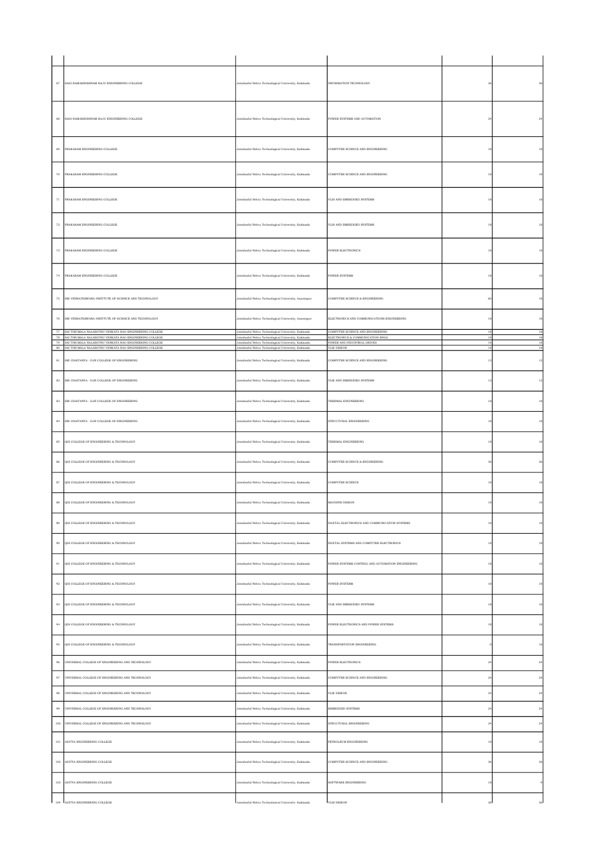| 67                 | SAGI RAMAKRISHNAM RAJU ENGINEERING COLLEGE                                                                             | Jawaharlal Nehru Technological University, Kakinada                                                        | INFORMATION TECHNOLOGY                                               | 3 <sub>l</sub>                 |             |
|--------------------|------------------------------------------------------------------------------------------------------------------------|------------------------------------------------------------------------------------------------------------|----------------------------------------------------------------------|--------------------------------|-------------|
| 68                 | SAGI RAMAKRISHNAM RAJU ENGINEERING COLLEGE                                                                             | Jawaharlal Nehru Technological University, Kakinada                                                        | POWER SYSTEMS AND AUTOMATION                                         | $^{24}$                        | $^{24}$     |
| 69                 | PRAKASAM ENGINEERING COLLEGE                                                                                           | Jawaharlal Nehru Technological University, Kakinada                                                        | COMPUTER SCIENCE AND ENGINEERING                                     | 18                             | 18          |
| $_{\rm 70}$        | PRAKASAM ENGINEERING COLLEGE                                                                                           | Jawaharlal Nehru Technological University, Kakinada                                                        | COMPUTER SCIENCE AND ENGINEERING                                     | $^{\rm 18}$                    | $^{\rm 18}$ |
| 71                 | PRAKASAM ENGINEERING COLLEGE                                                                                           | Jawaharlal Nehru Technological University, Kakinada                                                        | VLSI AND EMBEDDED SYSTEMS                                            | 18                             | 18          |
| $\scriptstyle{72}$ | PRAKASAM ENGINEERING COLLEGE                                                                                           | Jawaharlal Nehru Technological University, Kakinada                                                        | VLSI AND EMBEDDED SYSTEMS                                            | 18                             | 18          |
| $_{\rm 73}$        | PRAKASAM ENGINEERING COLLEGE                                                                                           | Jawaharlal Nehru Technological University, Kakinada                                                        | POWER ELECTRONICS                                                    | 18                             | $^{\rm 18}$ |
| 74                 | PRAKASAM ENGINEERING COLLEGE                                                                                           | Jawaharlal Nehru Technological University, Kakinada                                                        | <b>POWER SYSTEMS</b>                                                 | 18                             | 18          |
| 75                 | SRI VENKATESWARA INSTITUTE OF SCIENCE AND TECHNOLOGY                                                                   | Jawaharlal Nehru Technological University, Anantapur                                                       | COMPUTER SCIENCE & ENGINEERING                                       | 60                             | 18          |
| 76                 | SRI VENKATESWARA INSTITUTE OF SCIENCE AND TECHNOLOGY                                                                   | Jawaharlal Nehru Technological University, Anantapur                                                       | ELECTRONICS AND COMMUNICATIONS ENGINEERING                           | 18                             | 18          |
|                    | 77 SAI TIRUMALA NALABOTHU VENKATA RAO ENGINEERING COLLEGE<br>78 SAI TIRUMALA NALABOTHU VENKATA RAO ENGINEERING COLLEGE | Jawaharlal Nehru Technological University, Kakinada<br>Jawaharlal Nehru Technological University, Kakinada | COMPUTER SCIENCE AND ENGINEERING<br>ELECTRONICS & COMMUNICATION ENGG | 18                             | 18<br>18    |
| 79                 | SAI TIRUMALA NALABOTHU VENKATA RAO ENGINEERING COLLEGE<br>80 SAI TIRUMALA NALABOTHU VENKATA RAO ENGINEERING COLLEGE    | Jawaharlal Nehru Technological University, Kakinada<br>Jawaharial Nehru Technological University, Kakinada | POWER AND INDUSTRIAL DRIVES<br>VLSI DESIGN                           | $^{\rm 18}$<br>$\overline{18}$ | 18<br>18    |
| $^{\rm 81}$        | SRI CHAITANYA - DJR COLLEGE OF ENGINEERING                                                                             | Jawaharlal Nehru Technological University, Kakinada                                                        | COMPUTER SCIENCE AND ENGINEERING                                     | $12$                           | $12\,$      |
| $^{\rm 82}$        | SRI CHAITANYA - DJR COLLEGE OF ENGINEERING                                                                             | Jawaharlal Nehru Technological University, Kakinada                                                        | VLSI AND EMBEDDED SYSTEMS                                            | $^{\rm 12}$                    | $12\,$      |
| $^{\rm 83}$        | SRI CHAITANYA - DJR COLLEGE OF ENGINEERING                                                                             | Jawaharlal Nehru Technological University, Kakinada                                                        | THERMAL ENGINEERING                                                  | 18                             | $^{\rm 18}$ |
| $^{\rm 84}$        | SRI CHAITANYA - DJR COLLEGE OF ENGINEERING                                                                             | Jawaharlal Nehru Technological University, Kakinada                                                        | STRUCTURAL ENGINEERING                                               | 18                             | 18          |
| $^{\rm 85}$        | QIS COLLEGE OF ENGINEERING & TECHNOLOGY                                                                                | Jawaharlal Nehru Technological University, Kakinada                                                        | THERMAL ENGINEERING                                                  | $^{\rm 18}$                    | $^{\rm 18}$ |
| $_{\rm 86}$        | QIS COLLEGE OF ENGINEERING & TECHNOLOGY                                                                                | Jawaharlal Nehru Technological University, Kakinada                                                        | COMPUTER SCIENCE & ENGINEERING                                       | 36                             | 36          |
| $^{\rm 87}$        | OIS COLLEGE OF ENGINEERING & TECHNOLOGY                                                                                | Jawaharlal Nehru Technological University, Kakinada                                                        | COMPUTER SCIENCE                                                     | 18                             | 18          |
| $^{\rm 88}$        | QIS COLLEGE OF ENGINEERING & TECHNOLOGY                                                                                | Jawaharlal Nehru Technological University, Kakinada                                                        | MACHINE DESIGN                                                       | 18                             | 18          |
| $^{\rm 89}$        | QIS COLLEGE OF ENGINEERING & TECHNOLOGY                                                                                | Jawaharlal Nehru Technological University, Kakinada                                                        | DIGITAL ELECTRONICS AND COMMUNICATION SYSTEMS                        |                                | $^{\rm 18}$ |
| $90\,$             | QIS COLLEGE OF ENGINEERING & TECHNOLOGY                                                                                | Jawaharlal Nehru Technological University, Kakinada                                                        | DIGITAL SYSTEMS AND COMPUTER ELECTRONICS                             | 18                             | $^{\rm 18}$ |
| 91                 | QIS COLLEGE OF ENGINEERING & TECHNOLOGY                                                                                | Jawaharlal Nehru Technological University, Kakinada                                                        | POWER SYSTEMS CONTROL AND AUTOMATION ENGINEERING                     | 18                             | 18          |
| $\bf{92}$          | QIS COLLEGE OF ENGINEERING & TECHNOLOGY                                                                                | Jawaharlal Nehru Technological University, Kakinada                                                        | POWER SYSTEMS                                                        | 18                             | $^{\rm 18}$ |
| $\,93$             | QIS COLLEGE OF ENGINEERING & TECHNOLOGY                                                                                | Jawaharlal Nehru Technological University, Kakinada                                                        | VLSI AND EMBEDDED SYSTEMS                                            | 18                             | $^{\rm 18}$ |
| 94                 | QIS COLLEGE OF ENGINEERING & TECHNOLOGY                                                                                | Jawaharlal Nehru Technological University, Kakinada                                                        | POWER ELECTRONICS AND POWER SYSTEMS                                  | 18                             | 18          |
| $95\,$             | QIS COLLEGE OF ENGINEERING & TECHNOLOGY                                                                                | Jawaharlal Nehru Technological University, Kakinada                                                        | TRANSPORTATION ENGINEERING                                           |                                | 18          |
| $\,96$             | UNIVERSAL COLLEGE OF ENGINEERING AND TECHNOLOGY                                                                        | Jawaharlal Nehru Technological University, Kakinada                                                        | POWER ELECTRONICS                                                    | 2 <sup>i</sup>                 | $_{\rm 24}$ |
| $\rm 97$           | UNIVERSAL COLLEGE OF ENGINEERING AND TECHNOLOGY                                                                        | Jawaharlal Nehru Technological University, Kakinada                                                        | COMPUTER SCIENCE AND ENGINEERING                                     | $^{24}$                        | $_{\rm 24}$ |
| $_{\rm 98}$        | UNIVERSAL COLLEGE OF ENGINEERING AND TECHNOLOGY                                                                        | Jawaharlal Nehru Technological University, Kakinada                                                        | VLSI DESIGN                                                          | $_{24}$                        | $_{\rm 24}$ |
|                    |                                                                                                                        |                                                                                                            |                                                                      |                                |             |
| $\,99$             | UNIVERSAL COLLEGE OF ENGINEERING AND TECHNOLOGY                                                                        | Jawaharlal Nehru Technological University, Kakinada                                                        | EMBEDDED SYSTEMS                                                     | $^{24}$                        | $\bf{24}$   |
| $100\,$            | UNIVERSAL COLLEGE OF ENGINEERING AND TECHNOLOGY                                                                        | Jawaharlal Nehru Technological University, Kakinada                                                        | STRUCTURAL ENGINEERING                                               | 2 <sup>i</sup>                 | $_{\rm 24}$ |
| $101\,$            | ADITYA ENGINEERING COLLEGE                                                                                             | Jawaharlal Nehru Technological University, Kakinada                                                        | PETROLEUM ENGINEERING                                                | 18                             | $^{\rm 18}$ |
| $102\,$            | ADITYA ENGINEERING COLLEGE                                                                                             | Jawaharlal Nehru Technological University, Kakinada                                                        | COMPUTER SCIENCE AND ENGINEERING                                     | 36                             | $_{\rm 36}$ |
| 103                | ADITYA ENGINEERING COLLEGE                                                                                             | Jawaharlal Nehru Technological University, Kakinada                                                        | SOFTWARE ENGINEERING                                                 | 18                             |             |
|                    | 104 ADITYA ENGINEERING COLLEGE                                                                                         | Jawaharlal Nehm Technological University Kakinada                                                          | VLSI DESIGN                                                          |                                |             |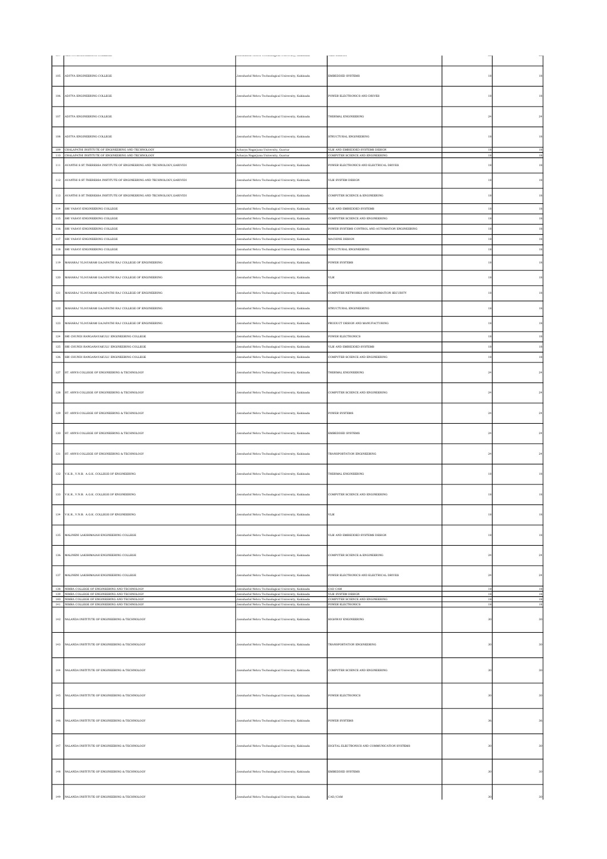|                |                                                                                                           |                                                                                                            | www.ave                                                     |                   |                       |
|----------------|-----------------------------------------------------------------------------------------------------------|------------------------------------------------------------------------------------------------------------|-------------------------------------------------------------|-------------------|-----------------------|
| 105            | ADITYA ENGINEERING COLLEGE                                                                                | Jawaharlal Nehru Technological University, Kakinada                                                        | EMBEDDED SYSTEMS                                            | 18                | 18                    |
| 106            | ADITYA ENGINEERING COLLEGE                                                                                | Jawaharlal Nehru Technological University, Kakinada                                                        | POWER ELECTRONICS AND DRIVES                                | 18                | 18                    |
| 107            | ADITYA ENGINEERING COLLEGE                                                                                | Jawaharlal Nehru Technological University, Kakinada                                                        | THERMAL ENGINEERING                                         | 24                | $\bf{^{24}}$          |
| $108\,$        | ADITYA ENGINEERING COLLEGE                                                                                | Jawaharlal Nehru Technological University, Kakinada                                                        | STRUCTURAL ENGINEERING                                      | 18                | $^{\rm 18}$           |
|                | 109 CHALAPATHI INSTITUTE OF ENGINEERING AND TECHNOLOGY                                                    | Acharya Nagarjuna University, Guntur                                                                       | VLSI AND EMBEDDED SYSTEMS DESIGN                            | $\overline{1}$    | 18                    |
| 110            | CHALAPATHI INSTITUTE OF ENGINEERING AND TECHNOLOGY                                                        | Acharya Nagarjuna University, Guntur                                                                       | COMPUTER SCIENCE AND ENGINEERING                            | 18                | 18                    |
| 111            | AVANTHI S ST.THERESSA INSTITUTE OF ENGINEERING AND TECHNOLOGY.GARIVIDI                                    | Jawaharlal Nehru Technological University, Kakinada                                                        | POWER ELECTRONICS AND ELECTRICAL DRIVES                     | 18                | 18                    |
| 112            | AVANTHI S ST.THERESSA INSTITUTE OF ENGINEERING AND TECHNOLOGY, GARIVIDI                                   | Jawaharlal Nehru Technological University, Kakinada                                                        | VLSI SYSTEM DESIGN                                          | 18                | 18                    |
| 113<br>$114\,$ | AVANTHI S ST.THERESSA INSTITUTE OF ENGINEERING AND TECHNOLOGY, GARIVIDI<br>SRI VASAVI ENGINEERING COLLEGE | Jawaharlal Nehru Technological University, Kakinada<br>Jawaharlal Nehru Technological University, Kakinada | COMPUTER SCIENCE & ENGINEERING<br>VLSI AND EMBEDDED SYSTEMS | 18<br>$^{\rm 18}$ | 18<br>$^{\rm 18}$     |
|                | SRI VASAVI ENGINEERING COLLEGE                                                                            |                                                                                                            | COMPUTER SCIENCE AND ENGINEERING                            | 18                |                       |
| $^{\rm 115}$   |                                                                                                           | lawaharlal Nehru Technological University, Kakinada                                                        |                                                             |                   | $^{\rm 18}$           |
| $116\,$        | SRI VASAVI ENGINEERING COLLEGE                                                                            | Jawaharlal Nehru Technological University, Kakinada                                                        | POWER SYSTEMS CONTROL AND AUTOMATION ENGINEERING            | 18                | 18                    |
| 117            | SRI VASAVI ENGINEERING COLLEGE                                                                            | Jawaharlal Nehru Technological University, Kakinada                                                        | MACHINE DESIGN                                              | 18                | 18                    |
| $^{\rm 118}$   | SRI VASAVI ENGINEERING COLLEGE                                                                            | lawaharlal Nehru Technological University, Kakinada                                                        | STRUCTURAL ENGINEERING                                      | $^{\rm 18}$       | $^{\rm 18}$           |
| 119            | MAHARAJ VIJAYARAM GAJAPATHI RAJ COLLEGE OF ENGINEERING                                                    | Jawaharlal Nehru Technological University, Kakinada                                                        | POWER SYSTEMS                                               | 18                | 18                    |
| 120            | MAHARAJ VIJAYARAM GAJAPATHI RAJ COLLEGE OF ENGINEERING                                                    | Jawaharlal Nehru Technological University, Kakinada                                                        | VLSI                                                        | 18                | 18                    |
| 121            | MAHARAJ VIJAYARAM GAJAPATHI RAJ COLLEGE OF ENGINEERING                                                    | Jawaharlal Nehru Technological University, Kakinada                                                        | COMPUTER NETWORKS AND INFORMATION SECURITY                  | 18                |                       |
| 122            | MAHARAJ VIJAYARAM GAJAPATHI RAJ COLLEGE OF ENGINEERING                                                    | Jawaharlal Nehru Technological University, Kakinada                                                        | STRUCTURAL ENGINEERING                                      | 18                | 18                    |
| 123            | MAHARAJ VIJAYARAM GAJAPATHI RAJ COLLEGE OF ENGINEERING                                                    | Jawaharlal Nehru Technological University, Kakinada                                                        | PRODUCT DESIGN AND MANUFACTURING                            | 18                | 18                    |
| $124\,$        | SRI CHUNDI RANGANAYAKULU ENGINEERING COLLEGE                                                              | Jawaharlal Nehru Technological University, Kakinada                                                        | POWER ELECTRONICS                                           | $^{\rm 18}$       | 18                    |
| 125            | SRI CHUNDI RANGANAYAKULU ENGINEERING COLLEGE                                                              | Jawaharlal Nehru Technological University, Kakinada                                                        | VLSI AND EMBEDDED SYSTEMS                                   | 18                | 18                    |
| 126            | SRI CHUNDI RANGANAYAKULU ENGINEERING COLLEGE                                                              | lawaharlal Nehru Technological University, Kakinada                                                        | COMPUTER SCIENCE AND ENGINEERING                            | 18                | $^{\rm 18}$           |
|                |                                                                                                           |                                                                                                            |                                                             |                   |                       |
| $127\,$        | ST. ANN'S COLLEGE OF ENGINEERING & TECHNOLOGY                                                             | Jawaharlal Nehru Technological University, Kakinada                                                        | THERMAL ENGINEERING                                         | 24                | $\bf{^{24}}$          |
| 128            | ST. ANN'S COLLEGE OF ENGINEERING & TECHNOLOGY                                                             | Jawaharlal Nehru Technological University, Kakinada                                                        | COMPUTER SCIENCE AND ENGINEERING                            | 24                | $^{24}$               |
| $^{\rm 129}$   | ST. ANN'S COLLEGE OF ENGINEERING & TECHNOLOGY                                                             | Jawaharlal Nehru Technological University, Kakinada                                                        | <b>POWER SYSTEMS</b>                                        | 24                | $\bf{24}$             |
| 130            | ST. ANN'S COLLEGE OF ENGINEERING & TECHNOLOGY                                                             | lawaharlal Nehru Technological University, Kakinada                                                        | EMBEDDED SYSTEMS                                            | $^{24}$           | $\bf{^{24}}$          |
| 131            | ST. ANN'S COLLEGE OF ENGINEERING & TECHNOLOGY                                                             | Jawaharlal Nehru Technological University, Kakinada                                                        | TRANSPORTATION ENGINEERING                                  | $^{24}$           | $^{24}$               |
| 132            | V.K.R., V.N.B. A.G.K. COLLEGE OF ENGINEERING                                                              | Jawaharlal Nehru Technological University, Kakinada                                                        | THERMAL ENGINEERING                                         | 18                | 18                    |
| $133\,$        | V.K.R., V.N.B. A.G.K. COLLEGE OF ENGINEERING                                                              | Jawaharlal Nehru Technological University, Kakinada                                                        | COMPUTER SCIENCE AND ENGINEERING                            | 18                | 18                    |
| $134\,$        | V.K.R., V.N.B. A.G.K. COLLEGE OF ENGINEERING                                                              | lawaharlal Nehru Technological University, Kakinada                                                        | VLSI                                                        | 18                | $^{\rm 18}$           |
| 135            | MALINENI LAKSHMAIAH ENGINEERING COLLEGE                                                                   | Jawaharlal Nehru Technological University, Kakinada                                                        | VLSI AND EMBEDDED SYSTEMS DESIGN                            | $18\,$            | 18                    |
| $136\,$        | MALINENI LAKSHMAIAH ENGINEERING COLLEGE                                                                   | Jawaharlal Nehru Technological University, Kakinada                                                        | COMPUTER SCIENCE & ENGINEERING                              | $\sqrt{24}$       | $\bf{24}$             |
| $137\,$        | MALINENI LAKSHMAIAH ENGINEERING COLLEGE<br>138 NIMRA COLLEGE OF ENGINEERING AND TECHNOLOGY                | Jawaharlal Nehru Technological University, Kakinada<br>Jawaharlal Nehru Technological University, Kakinada | POWER ELECTRONICS AND ELECTRICAL DRIVES<br>CAD CAM          | $^{\rm 24}$<br>18 | $\sqrt{24}$<br>18     |
|                | 139 NIMRA COLLEGE OF ENGINEERING AND TECHNOLOGY<br>140 NIMRA COLLEGE OF ENGINEERING AND TECHNOLOGY        | Jawaharlal Nehru Technological University, Kakinada<br>Jawaharlal Nehru Technological University, Kakinada | VLSI SYSTEM DESIGN<br>COMPUTER SCIENCE AND ENGINEERING      | 18<br>18          | $18\,$<br>18          |
|                | 141 NIMRA COLLEGE OF ENGINEERING AND TECHNOLOGY<br>142 NALANDA INSTITUTE OF ENGINEERING & TECHNOLOGY      | Jawaharlal Nehru Technological University, Kakinada<br>Jawaharlal Nehru Technological University, Kakinada | POWER ELECTRONICS<br>HIGHWAY ENGINEERING                    | 18<br>30          | $18\,$<br>$_{\rm 30}$ |
| 143            | NALANDA INSTITUTE OF ENGINEERING & TECHNOLOGY                                                             | Jawaharlal Nehru Technological University, Kakinada                                                        | TRANSPORTATION ENGINEERING                                  | 30                | $_{\rm 30}$           |
| $144\,$        | NALANDA INSTITUTE OF ENGINEERING & TECHNOLOGY                                                             | Jawaharlal Nehru Technological University, Kakinada                                                        | COMPUTER SCIENCE AND ENGINEERING                            | 30                | $_{\rm 30}$           |
| 145            | NALANDA INSTITUTE OF ENGINEERING & TECHNOLOGY                                                             | Jawaharlal Nehru Technological University, Kakinada                                                        | POWER ELECTRONICS                                           | 30                | 30                    |
| $146\,$        | NALANDA INSTITUTE OF ENGINEERING & TECHNOLOGY                                                             | Jawaharlal Nehru Technological University, Kakinada                                                        | POWER SYSTEMS                                               | 36                | 36                    |
| 147            | NALANDA INSTITUTE OF ENGINEERING & TECHNOLOGY                                                             | Jawaharlal Nehru Technological University, Kakinada                                                        | DIGITAL ELECTRONICS AND COMMUNICATION SYSTEMS               | 30                | 30                    |
| $148\,$        | NALANDA INSTITUTE OF ENGINEERING & TECHNOLOGY                                                             | Jawaharlal Nehru Technological University, Kakinada                                                        | EMBEDDED SYSTEMS                                            | 30                | 30                    |
|                | 149 NALANDA INSTITUTE OF ENGINEERING & TECHNOLOGY                                                         | Jawaharlal Nehru Technological University, Kakinada                                                        | CAD/CAM                                                     | 30                | 30                    |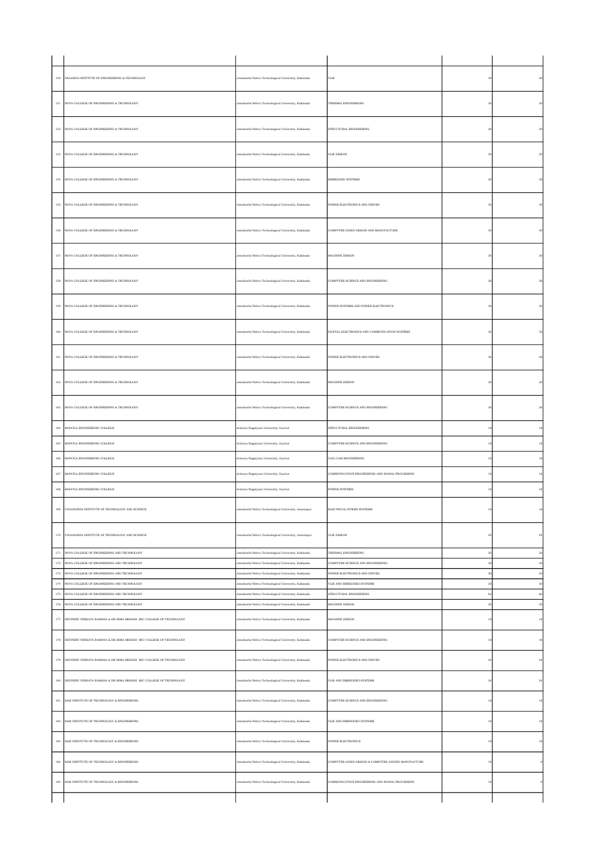| 150                | NALANDA INSTITUTE OF ENGINEERING & TECHNOLOGY                                            | Jawaharlal Nehru Technological University, Kakinada                                                        | $_{\rm VLSI}$                                             | 30            | $_{30}$                 |
|--------------------|------------------------------------------------------------------------------------------|------------------------------------------------------------------------------------------------------------|-----------------------------------------------------------|---------------|-------------------------|
| 151                | NOVA COLLEGE OF ENGINEERING & TECHNOLOGY                                                 | Jawaharlal Nehru Technological University, Kakinada                                                        | THERMAL ENGINEERING                                       | 30            | 30                      |
| 152                | NOVA COLLEGE OF ENGINEERING & TECHNOLOGY                                                 | Jawaharlal Nehru Technological University, Kakinada                                                        | STRUCTURAL ENGINEERING                                    | 30            |                         |
| 153                | NOVA COLLEGE OF ENGINEERING & TECHNOLOGY                                                 | Jawaharlal Nehru Technological University, Kakinada                                                        | VLSI DESIGN                                               | 30            |                         |
| $154\,$            | NOVA COLLEGE OF ENGINEERING & TECHNOLOGY                                                 | Jawaharlal Nehru Technological University, Kakinada                                                        | EMBEDDED SYSTEMS                                          | 30            |                         |
| 155                | NOVA COLLEGE OF ENGINEERING & TECHNOLOGY                                                 | Jawaharlal Nehru Technological University, Kakinada                                                        | POWER ELECTRONICS AND DRIVES                              | 30            | 30                      |
| 156                | NOVA COLLEGE OF ENGINEERING & TECHNOLOGY                                                 | Jawaharlal Nehru Technological University, Kakinada                                                        | COMPUTER AIDED DESIGN AND MANUFACTURE                     | 30            | $\overline{\mathbf{3}}$ |
| $157\,$            | NOVA COLLEGE OF ENGINEERING & TECHNOLOGY                                                 | Jawaharlal Nehru Technological University, Kakinada                                                        | MACHINE DESIGN                                            | 30            | 30                      |
| $^{\rm 158}$       | NOVA COLLEGE OF ENGINEERING & TECHNOLOGY                                                 | Jawaharlal Nehru Technological University, Kakinada                                                        | COMPUTER SCIENCE AND ENGINEERING                          | 36            | 36                      |
| 159                | NOVA COLLEGE OF ENGINEERING & TECHNOLOGY                                                 | Jawaharlal Nehru Technological University, Kakinada                                                        | POWER SYSTEMS AND POWER ELECTRONICS                       | 30            | 30                      |
| $160\,$            | NOVA COLLEGE OF ENGINEERING & TECHNOLOGY                                                 | Jawaharlal Nehru Technological University, Kakinada                                                        | DIGITAL ELECTRONICS AND COMMUNICATION SYSTEMS             | 30            | 30                      |
| 161                | NOVA COLLEGE OF ENGINEERING & TECHNOLOGY                                                 | Jawaharlal Nehru Technological University, Kakinada                                                        | POWER ELECTRONICS AND DRIVES                              | 36            | 36                      |
| $162\,$            | NOVA COLLEGE OF ENGINEERING & TECHNOLOGY                                                 | Jawaharlal Nehru Technological University, Kakinada                                                        | MACHINE DESIGN                                            | 30            | $30\,$                  |
| 163                | NOVA COLLEGE OF ENGINEERING & TECHNOLOGY                                                 | Jawaharlal Nehru Technological University, Kakinada                                                        | COMPUTER SCIENCE AND ENGINEERING                          | 36            | 36                      |
| $164\,$            | BAPATLA ENGINEERING COLLEGE                                                              | Acharya Nagarjuna University, Guntur                                                                       | STRUCTURAL ENGINEERING                                    | 18            | $^{\rm 18}$             |
| $165\,$            | BAPATLA ENGINEERING COLLEGE                                                              | Acharya Nagarjuna University, Guntur                                                                       | COMPUTER SCIENCE AND ENGINEERING                          |               | $^{\rm 18}$             |
| 166                | BAPATLA ENGINEERING COLLEGE                                                              | Acharya Nagarjuna University, Guntur                                                                       | CAD/CAM ENGINEERING                                       | 18            | $^{\rm 18}$             |
| $167\,$            | BAPATLA ENGINEERING COLLEGE                                                              | Acharya Nagarjuna University, Guntur                                                                       | COMMUNICATION ENGINEERING AND SIGNAL PROCESSING           | 18            | $^{\rm 18}$             |
| $168\,$            | BAPATLA ENGINEERING COLLEGE                                                              | Acharya Nagarjuna University, Guntur                                                                       | POWER SYSTEMS                                             | 18            | 18                      |
|                    | 169 YOGANANDA INSTITUTE OF TECHNOLOGY AND SCIENCE                                        | Jawaharlal Nehru Technological University, Anantapur                                                       | ELECTRICAL POWER SYSTEMS                                  | $^{\rm 18}$   | 18                      |
| 170                | YOGANANDA INSTITUTE OF TECHNOLOGY AND SCIENCE                                            | Jawaharlal Nehru Technological University, Anantapur                                                       | VLSI DESIGN                                               | $^{\rm 24}$   | $\,24$                  |
| $171\,$            | NOVA COLLEGE OF ENGINEERING AND TECHNOLOGY                                               | Jawaharlal Nehru Technological University, Kakinada                                                        | THERMAL ENGINEERING                                       | 30            | 30                      |
| $^{\rm 172}$       | NOVA COLLEGE OF ENGINEERING AND TECHNOLOGY                                               | lawaharlal Nehru Technological University, Kakinada                                                        | COMPUTER SCIENCE AND ENGINEERING                          | 30            | $30\,$                  |
| $173\,$<br>$174\,$ | NOVA COLLEGE OF ENGINEERING AND TECHNOLOGY<br>NOVA COLLEGE OF ENGINEERING AND TECHNOLOGY | Jawaharlal Nehru Technological University, Kakinada<br>Jawaharlal Nehru Technological University, Kakinada | POWER ELECTRONICS AND DRIVES<br>VLSI AND EMBEDDED SYSTEMS | $_{30}$<br>30 | $30\,$<br>30            |
| 175                | NOVA COLLEGE OF ENGINEERING AND TECHNOLOGY                                               | Jawaharlal Nehru Technological University, Kakinada                                                        | STRUCTURAL ENGINEERING                                    | 60            | 60                      |
| $176\,$            | NOVA COLLEGE OF ENGINEERING AND TECHNOLOGY                                               | Jawaharlal Nehru Technological University, Kakinada                                                        | MACHINE DESIGN                                            | 30            | $30\,$                  |
| $177\,$            | DEVINENI VENKATA RAMANA & DR.HIMA SEKHAR MIC COLLEGE OF TECHNOLOGY                       | Jawaharlal Nehru Technological University, Kakinada                                                        | MACHINE DESIGN                                            | $^{\rm 18}$   | $18\,$                  |
|                    | 178 DEVINENI VENKATA RAMANA & DR.HIMA SEKHAR MIC COLLEGE OF TECHNOLOGY                   | Jawaharlal Nehru Technological University, Kakinada                                                        | COMPUTER SCIENCE AND ENGINEERING                          | 18            | 18                      |
| 179                | DEVINENI VENKATA RAMANA & DR.HIMA SEKHAR MIC COLLEGE OF TECHNOLOGY                       | Jawaharlal Nehru Technological University, Kakinada                                                        | POWER ELECTRONICS AND DRIVES                              | $^{24}$       | $\sqrt{24}$             |
| $^{\rm 180}$       | DEVINENI VENKATA RAMANA & DR.HIMA SEKHAR MIC COLLEGE OF TECHNOLOGY                       | Jawaharlal Nehru Technological University, Kakinada                                                        | VLSI AND EMBEDDED SYSTEMS                                 | $\sqrt{24}$   | $\bf{24}$               |
| $^{\rm 181}$       | SASI INSTITUTE OF TECHNOLOGY & ENGINEERING                                               | Jawaharlal Nehru Technological University, Kakinada                                                        | COMPUTER SCIENCE AND ENGINEERING                          | $^{\rm 18}$   | $^{\rm 18}$             |
| 182                | SASI INSTITUTE OF TECHNOLOGY & ENGINEERING                                               | Jawaharlal Nehru Technological University, Kakinada                                                        | VLSI AND EMBEDDED SYSTEMS                                 | 18            | $^{\rm 18}$             |
| 183                | SASI INSTITUTE OF TECHNOLOGY & ENGINEERING                                               | Jawaharlal Nehru Technological University, Kakinada                                                        | POWER ELECTRONICS                                         | $^{\rm 18}$   | $18\,$                  |
| $^{\rm 184}$       | SASI INSTITUTE OF TECHNOLOGY & ENGINEERING                                               | Jawaharlal Nehru Technological University, Kakinada                                                        | COMPUTER AIDED DESIGN & COMPUTER ADIDED MANUFACTURE       | $^{\rm 18}$   |                         |
| 185                | SASI INSTITUTE OF TECHNOLOGY & ENGINEERING                                               | Jawaharlal Nehru Technological University, Kakinada                                                        | COMMUNICATION ENGINEERING AND SIGNAL PROCESSING           | 18            |                         |
|                    |                                                                                          |                                                                                                            |                                                           |               |                         |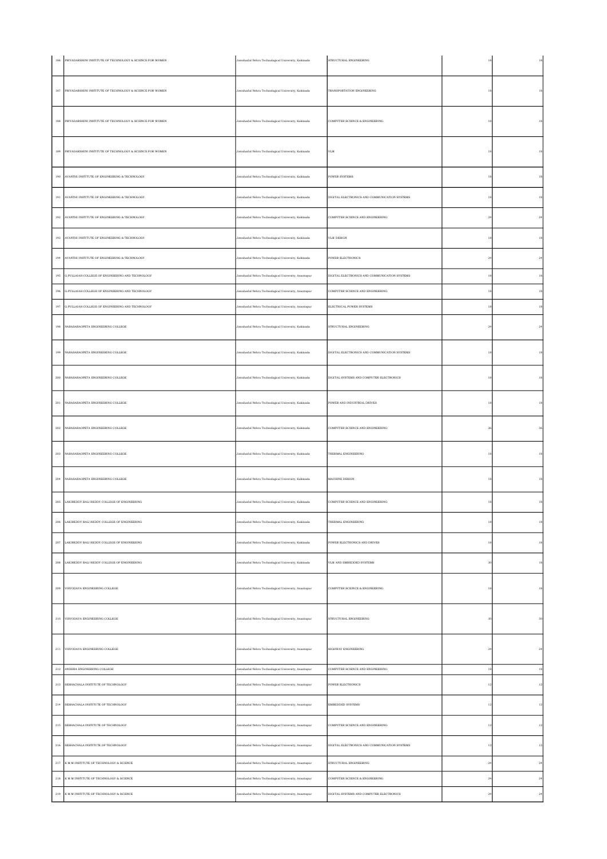|              | 186 PRIYADARSHINI INSTITUTE OF TECHNOLOGY & SCIENCE FOR WOMEN | Jawaharlal Nehru Technological University, Kakinada  | STRUCTURAL ENGINEERING                        |                   | 18          |
|--------------|---------------------------------------------------------------|------------------------------------------------------|-----------------------------------------------|-------------------|-------------|
|              | 187 PRIYADARSHINI INSTITUTE OF TECHNOLOGY & SCIENCE FOR WOMEN | Jawaharlal Nehru Technological University, Kakinada  | TRANSPORTATION ENGINEERING                    |                   |             |
|              | 188 PRIYADARSHINI INSTITUTE OF TECHNOLOGY & SCIENCE FOR WOMEN | Jawaharlal Nehru Technological University, Kakinada  | COMPUTER SCIENCE & ENGINEERING                |                   | 18          |
|              | 189 PRIYADARSHINI INSTITUTE OF TECHNOLOGY & SCIENCE FOR WOMEN | Jawaharlal Nehru Technological University, Kakinada  | VLSI                                          |                   |             |
|              | 190 AVANTHI INSTITUTE OF ENGINEERING & TECHNOLOGY             | Jawaharlal Nehru Technological University, Kakinada  | POWER SYSTEMS                                 | 18                | $^{\rm 18}$ |
|              | 191 AVANTHI INSTITUTE OF ENGINEERING & TECHNOLOGY             | Jawaharlal Nehru Technological University, Kakinada  | DIGITAL ELECTRONICS AND COMMUNICATION SYSTEMS | 18                | 18          |
|              | 192 AVANTHI INSTITUTE OF ENGINEERING & TECHNOLOGY             | Jawaharlal Nehru Technological University, Kakinada  | COMPUTER SCIENCE AND ENGINEERING              | $^{24}$           | 24          |
|              | 193 AVANTHI INSTITUTE OF ENGINEERING & TECHNOLOGY             | Jawaharlal Nehru Technological University, Kakinada  | VLSI DESIGN                                   | 18                | $^{\rm 18}$ |
|              | 194 AVANTHI INSTITUTE OF ENGINEERING & TECHNOLOGY             | Jawaharlal Nehru Technological University, Kakinada  | POWER ELECTRONICS                             | $^{24}$           | $\bf{24}$   |
|              | 195 G.PULLAIAH COLLEGE OF ENGINEERING AND TECHNOLOGY          | Jawaharlal Nehru Technological University, Anantapur | DIGITAL ELECTRONICS AND COMMUNICATION SYSTEMS | 18                | 18          |
|              | 196 G.PULLAIAH COLLEGE OF ENGINEERING AND TECHNOLOGY          | Jawaharlal Nehru Technological University, Anantapur | COMPUTER SCIENCE AND ENGINEERING              | 18                | $^{\rm 18}$ |
|              | 197 G.PULLAIAH COLLEGE OF ENGINEERING AND TECHNOLOGY          | Jawaharlal Nehru Technological University, Anantapur | ELECTRICAL POWER SYSTEMS                      | 18                | 18          |
|              | 198 NARASARAOPETA ENGINEERING COLLEGE                         | Jawaharlal Nehru Technological University, Kakinada  | STRUCTURAL ENGINEERING                        | $^{\rm 24}$       | $\bf{24}$   |
|              | 199 NARASARAOPETA ENGINEERING COLLEGE                         | Jawaharlal Nehru Technological University, Kakinada  | DIGITAL ELECTRONICS AND COMMUNICATION SYSTEMS | 18                | 18          |
|              | 200 NARASARAOPETA ENGINEERING COLLEGE                         | Jawaharlal Nehru Technological University, Kakinada  | DIGITAL SYSTEMS AND COMPUTER ELECTRONICS      | 18                | $^{\rm 18}$ |
|              | 201 NARASARAOPETA ENGINEERING COLLEGE                         | Jawaharlal Nehru Technological University, Kakinada  | POWER AND INDUSTRIAL DRIVES                   | 18                | 18          |
|              | 202 NARASARAOPETA ENGINEERING COLLEGE                         | Jawaharlal Nehru Technological University, Kakinada  | COMPUTER SCIENCE AND ENGINEERING              | 36                | 36          |
|              | 203 NARASARAOPETA ENGINEERING COLLEGE                         | Jawaharlal Nehru Technological University, Kakinada  | THERMAL ENGINEERING                           |                   | 18          |
|              | 204 NARASARAOPETA ENGINEERING COLLEGE                         | Jawaharlal Nehru Technological University, Kakinada  | MACHINE DESIGN                                | 18                | 18          |
|              | 205 LAKIREDDY BALI REDDY COLLEGE OF ENGINEERING               | Jawaharlal Nehru Technological University, Kakinada  | COMPUTER SCIENCE AND ENGINEERING              |                   | 18          |
|              | 206 LAKIREDDY BALI REDDY COLLEGE OF ENGINEERING               | Jawaharlal Nehru Technological University, Kakinada  | THERMAL ENGINEERING                           |                   | 18          |
|              | 207 LAKIREDDY BALI REDDY COLLEGE OF ENGINEERING               | Jawaharlal Nehru Technological University, Kakinada  | POWER ELECTRONICS AND DRIVES                  | 18                | $^{\rm 18}$ |
| $208\,$      | LAKIREDDY BALI REDDY COLLEGE OF ENGINEERING                   | Jawaharlal Nehru Technological University, Kakinada  | VLSI AND EMBEDDED SYSTEMS                     | 30                | $^{\rm 18}$ |
|              | 209 VISVODAYA ENGINEERING COLLEGE                             | Jawaharlal Nehru Technological University, Anantapur | COMPUTER SCEINCE & ENGINEERING                |                   | 18          |
|              | 210 VISVODAYA ENGINEERING COLLEGE                             | Jawaharlal Nehru Technological University, Anantapur | STRUCTURAL ENGINEERING                        | 30                | 30          |
|              | 211 VISVODAYA ENGINEERING COLLEGE                             | Jawaharlal Nehru Technological University, Anantapur | HIGHWAY ENGINEERING                           | $^{24}$           | 24          |
| $\sqrt{212}$ | ANDHRA ENGINEERING COLLEGE                                    | Jawaharlal Nehru Technological University, Anantapur | COMPUTER SCIENCE AND ENGINEERING              | 18                | $18\,$      |
|              | 213 SESHACHALA INSTITUTE OF TECHNOLOGY                        | Jawaharlal Nehru Technological University, Anantapur | POWER ELECTRONICS                             | $12 \vphantom{a}$ | $^{\rm 12}$ |
|              | 214 SESHACHALA INSTITUTE OF TECHNOLOGY                        | Jawaharlal Nehru Technological University, Anantapur | EMBEDDED SYSTEMS                              | $^{\rm 12}$       | $12\,$      |
|              | 215 SESHACHALA INSTITUTE OF TECHNOLOGY                        | Jawaharlal Nehru Technological University, Anantapur | COMPUTER SCIENCE AND ENGINEERING              | 12                | 12          |
|              | 216 SESHACHALA INSTITUTE OF TECHNOLOGY                        | Jawaharlal Nehru Technological University, Anantapur | DIGITAL ELECTRONICS AND COMMUNICATION SYSTEMS | $12$              | $12\,$      |
|              | 217 K M M INSTITUTE OF TECHNOLOGY & SCIENCE                   | Jawaharlal Nehru Technological University, Anantapur | STRUCTURAL ENGINEERING                        | $\sqrt{24}$       | 24          |
|              | 218 K M M INSTITUTE OF TECHNOLOGY & SCIENCE                   | Jawaharlal Nehru Technological University, Anantapur | COMPUTER SCIENCE & ENGINEERING                | $^{24}$           | 24          |
|              | 219 K M M INSTITUTE OF TECHNOLOGY & SCIENCE                   | Jawaharlal Nehru Technological University, Anantapur | DIGITAL SYSTEMS AND COMPUTER ELECTRONICS      | $^{24}$           | $\bf{24}$   |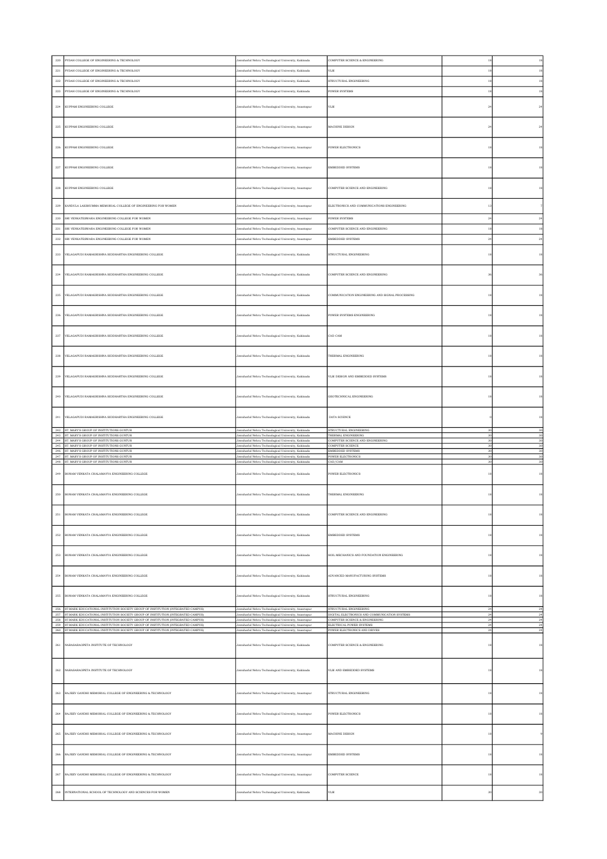| 220                | PYDAH COLLEGE OF ENGINEERING & TECHNOLOGY                                                                                                                                    | lawaharlal Nehru Technological University, Kakinada                                                          | COMPUTER SCIENCE & ENGINEERING                                                  |                      | $^{\rm 18}$                                                                                                                        |
|--------------------|------------------------------------------------------------------------------------------------------------------------------------------------------------------------------|--------------------------------------------------------------------------------------------------------------|---------------------------------------------------------------------------------|----------------------|------------------------------------------------------------------------------------------------------------------------------------|
| 221                | PYDAH COLLEGE OF ENGINEERING & TECHNOLOGY                                                                                                                                    | Jawaharlal Nehru Technological University, Kakinada                                                          | VLSI                                                                            | 18                   | 18                                                                                                                                 |
| $222\,$            | PYDAH COLLEGE OF ENGINEERING & TECHNOLOGY                                                                                                                                    | lawaharlal Nehru Technological University, Kakinada                                                          | STRUCTURAL ENGINEERING                                                          |                      | 18                                                                                                                                 |
| $223\,$            | PYDAH COLLEGE OF ENGINEERING & TECHNOLOGY                                                                                                                                    | lawaharlal Nehru Technological University, Kakinada                                                          | POWER SYSTEMS                                                                   | 18                   | $^{\rm 18}$                                                                                                                        |
|                    |                                                                                                                                                                              |                                                                                                              |                                                                                 |                      |                                                                                                                                    |
| $224\,$            | KUPPAM ENGINEERING COLLEGE                                                                                                                                                   | Jawaharlal Nehru Technological University, Anantapur                                                         | $_{\rm VLSI}$                                                                   | 24                   | $\bf{24}$                                                                                                                          |
|                    |                                                                                                                                                                              |                                                                                                              |                                                                                 |                      |                                                                                                                                    |
| $225\,$            | KUPPAM ENGINEERING COLLEGE                                                                                                                                                   | Jawaharlal Nehru Technological University, Anantapur                                                         | MACHINE DESIGN                                                                  | $^{24}$              | $\bf{24}$                                                                                                                          |
|                    |                                                                                                                                                                              |                                                                                                              |                                                                                 |                      |                                                                                                                                    |
| 226                | KUPPAM ENGINEERING COLLEGE                                                                                                                                                   | Jawaharlal Nehru Technological University, Anantapur                                                         | <b>POWER ELECTRONICS</b>                                                        | 18                   | 18                                                                                                                                 |
|                    |                                                                                                                                                                              |                                                                                                              |                                                                                 |                      |                                                                                                                                    |
| $227\,$            | KUPPAM ENGINEERING COLLEGE                                                                                                                                                   | Jawaharlal Nehru Technological University, Anantapur                                                         | <b>EMBEDDED SYSTEMS</b>                                                         | 18                   | 18                                                                                                                                 |
|                    |                                                                                                                                                                              |                                                                                                              |                                                                                 |                      |                                                                                                                                    |
| $228\,$            | KUPPAM ENGINEERING COLLEGE                                                                                                                                                   | Jawaharlal Nehru Technological University, Anantapur                                                         | COMPUTER SCIENCE AND ENGINEERING                                                |                      | $^{\rm 18}$                                                                                                                        |
|                    |                                                                                                                                                                              |                                                                                                              |                                                                                 |                      |                                                                                                                                    |
| 229                | KANDULA LAKSHUMMA MEMORIAL COLLEGE OF ENGINEERING FOR WOMEN                                                                                                                  | Jawaharlal Nehru Technological University, Anantapur                                                         | ELECTRONICS AND COMMUNICATIONS ENGINEERING                                      | 13                   |                                                                                                                                    |
|                    |                                                                                                                                                                              |                                                                                                              |                                                                                 |                      |                                                                                                                                    |
| $\,230$            | SRI VENKATESWARA ENGINEERING COLLEGE FOR WOMEN                                                                                                                               | Jawaharlal Nehru Technological University, Anantapur                                                         | <b>POWER SYSTEMS</b>                                                            | $^{24}$              | $\bf{24}$                                                                                                                          |
| 231                | SRI VENKATESWARA ENGINEERING COLLEGE FOR WOMEN                                                                                                                               | lawaharlal Nehru Technological University, Anantapur                                                         | COMPUTER SCIENCE AND ENGINEERING                                                | 18                   | 18                                                                                                                                 |
| 232                | SRI VENKATESWARA ENGINEERING COLLEGE FOR WOMEN                                                                                                                               | Jawaharlal Nehru Technological University, Anantapur                                                         | EMBEDDED SYSTEMS                                                                | $^{24}$              | $\sqrt{24}$                                                                                                                        |
|                    |                                                                                                                                                                              |                                                                                                              |                                                                                 |                      |                                                                                                                                    |
|                    | 233 VELAGAPUDI RAMAKRISHNA SIDDHARTHA ENGINEERING COLLEGE                                                                                                                    | Jawaharlal Nehru Technological University, Kakinada                                                          | STRUCTURAL ENGINEERING                                                          | 18                   | 18                                                                                                                                 |
|                    |                                                                                                                                                                              |                                                                                                              |                                                                                 |                      |                                                                                                                                    |
| 234                | VELAGAPUDI RAMAKRISHNA SIDDHARTHA ENGINEERING COLLEGE                                                                                                                        | Jawaharlal Nehru Technological University, Kakinada                                                          | COMPUTER SCIENCE AND ENGINEERING                                                | 36                   | 36                                                                                                                                 |
|                    |                                                                                                                                                                              |                                                                                                              |                                                                                 |                      |                                                                                                                                    |
|                    | 235 VELAGAPUDI RAMAKRISHNA SIDDHARTHA ENGINEERING COLLEGE                                                                                                                    | Jawaharlal Nehru Technological University, Kakinada                                                          | COMMUNICATION ENGINEERING AND SIGNAL PROCESSING                                 |                      | 18                                                                                                                                 |
|                    |                                                                                                                                                                              |                                                                                                              |                                                                                 |                      |                                                                                                                                    |
|                    | 236 VELAGAPUDI RAMAKRISHNA SIDDHARTHA ENGINEERING COLLEGE                                                                                                                    | Jawaharlal Nehru Technological University, Kakinada                                                          | POWER SYSTEMS ENGINEERING                                                       | 18                   | 18                                                                                                                                 |
|                    |                                                                                                                                                                              |                                                                                                              |                                                                                 |                      |                                                                                                                                    |
|                    | 237 VELAGAPUDI RAMAKRISHNA SIDDHARTHA ENGINEERING COLLEGE                                                                                                                    | Jawaharlal Nehru Technological University, Kakinada                                                          | CAD CAM                                                                         |                      | 18                                                                                                                                 |
|                    |                                                                                                                                                                              |                                                                                                              |                                                                                 |                      |                                                                                                                                    |
| $\boldsymbol{238}$ | VELAGAPUDI RAMAKRISHNA SIDDHARTHA ENGINEERING COLLEGE                                                                                                                        | Jawaharlal Nehru Technological University, Kakinada                                                          | THERMAL ENGINEERING                                                             | 18                   | $^{\rm 18}$                                                                                                                        |
|                    |                                                                                                                                                                              |                                                                                                              |                                                                                 |                      |                                                                                                                                    |
| $\!239$            | VELAGAPUDI RAMAKRISHNA SIDDHARTHA ENGINEERING COLLEGE                                                                                                                        | Jawaharlal Nehru Technological University, Kakinada                                                          | VLSI DESIGN AND EMBEDDED SYSTEMS                                                |                      | 18                                                                                                                                 |
|                    |                                                                                                                                                                              |                                                                                                              |                                                                                 | 18                   |                                                                                                                                    |
|                    |                                                                                                                                                                              |                                                                                                              |                                                                                 |                      |                                                                                                                                    |
| 240                | VELAGAPUDI RAMAKRISHNA SIDDHARTHA ENGINEERING COLLEGE                                                                                                                        | Jawaharlal Nehru Technological University, Kakinada                                                          | GEOTECHNICAL ENGINEERING                                                        | 18                   | 18                                                                                                                                 |
|                    |                                                                                                                                                                              |                                                                                                              |                                                                                 |                      |                                                                                                                                    |
|                    | 241 VELAGAPUDI RAMAKRISHNA SIDDHARTHA ENGINEERING COLLEGE                                                                                                                    | Jawaharlal Nehru Technological University, Kakinada                                                          | DATA SCIENCE                                                                    |                      | 18                                                                                                                                 |
|                    |                                                                                                                                                                              |                                                                                                              |                                                                                 |                      |                                                                                                                                    |
|                    | 242 ST. MARY'S GROUP OF INSTITUTIONS GUNTUR                                                                                                                                  | Jawaharlal Nehru Technological University, Kakinada                                                          | STRUCTURAL ENGINEERING                                                          |                      | 30                                                                                                                                 |
|                    | 243 ST. MARY'S GROUP OF INSTITUTIONS GUNTUR                                                                                                                                  | Jawaharlal Nehru Technological University, Kakinada                                                          | THERMAL ENGINEERING                                                             | 30<br>30             | 30<br>30                                                                                                                           |
|                    | 244 ST. MARY'S GROUP OF INSTITUTIONS GUNTUR<br>245 ST. MARY'S GROUP OF INSTITUTIONS GUNTUR                                                                                   | Jawaharlal Nehru Technological University, Kakinada<br>Jawaharlal Nehru Technological University, Kakinada   | COMPUTER SCIENCE AND ENGINEERING<br><b>COMPUTER SCIENCE</b>                     | 30                   |                                                                                                                                    |
|                    | 246 ST. MARY'S GROUP OF INSTITUTIONS GUNTUR<br>247 ST. MARY'S GROUP OF INSTITUTIONS GUNTUR                                                                                   | Jawaharlal Nehru Technological University, Kakinada<br>Jawaharlal Nehru Technological University, Kakinada   | EMBEDDED SYSTEMS<br>POWER ELECTRONICS                                           | 30<br>30             |                                                                                                                                    |
|                    | 248 ST. MARY'S GROUP OF INSTITUTIONS GUNTUR                                                                                                                                  | Jawaharlal Nehru Technological University, Kakinada                                                          | CAD/CAM                                                                         | 30                   |                                                                                                                                    |
|                    | 249 BONAM VENKATA CHALAMAYYA ENGINEERING COLLEGE                                                                                                                             | Jawaharlal Nehru Technological University, Kakinada                                                          | POWER ELECTRONICS                                                               | 18                   |                                                                                                                                    |
|                    |                                                                                                                                                                              |                                                                                                              |                                                                                 |                      |                                                                                                                                    |
|                    | 250 BONAM VENKATA CHALAMAYYA ENGINEERING COLLEGE                                                                                                                             | Jawaharlal Nehru Technological University, Kakinada                                                          | THERMAL ENGINEERING                                                             | 18                   |                                                                                                                                    |
|                    |                                                                                                                                                                              |                                                                                                              |                                                                                 |                      |                                                                                                                                    |
| 251                | BONAM VENKATA CHALAMAYYA ENGINEERING COLLEGE                                                                                                                                 | Jawaharlal Nehru Technological University, Kakinada                                                          | COMPUTER SCIENCE AND ENGINEERING                                                |                      | 18                                                                                                                                 |
|                    |                                                                                                                                                                              |                                                                                                              |                                                                                 |                      |                                                                                                                                    |
|                    | 252 BONAM VENKATA CHALAMAYYA ENGINEERING COLLEGE                                                                                                                             | Jawaharlal Nehru Technological University, Kakinada                                                          | EMBEDDED SYSTEMS                                                                |                      |                                                                                                                                    |
|                    |                                                                                                                                                                              |                                                                                                              |                                                                                 |                      |                                                                                                                                    |
|                    |                                                                                                                                                                              |                                                                                                              |                                                                                 |                      |                                                                                                                                    |
|                    | 253 BONAM VENKATA CHALAMAYYA ENGINEERING COLLEGE                                                                                                                             | Jawaharlal Nehru Technological University, Kakinada                                                          | SOIL MECHANICS AND FOUNDATION ENGINEERING                                       | 18                   |                                                                                                                                    |
|                    |                                                                                                                                                                              |                                                                                                              |                                                                                 |                      |                                                                                                                                    |
|                    | 254 BONAM VENKATA CHALAMAYYA ENGINEERING COLLEGE                                                                                                                             | Jawaharlal Nehru Technological University, Kakinada                                                          | ADVANCED MANUFACTURING SYSTEMS                                                  | 18                   |                                                                                                                                    |
|                    |                                                                                                                                                                              |                                                                                                              |                                                                                 |                      |                                                                                                                                    |
|                    | 255 BONAM VENKATA CHALAMAYYA ENGINEERING COLLEGE                                                                                                                             | Jawaharlal Nehru Technological University, Kakinada                                                          | STRUCTURAL ENGINEERING                                                          | 18                   |                                                                                                                                    |
|                    | 256 ST.MARK EDUCATIONAL INSTITUTION SOCIETY GROUP OF INSTITUTION (INTEGRATED CAMPUS)                                                                                         | Jawaharlal Nehru Technological University, Anantapur                                                         | STRUCTURAL ENGINEERING                                                          | 24                   | 24                                                                                                                                 |
|                    | 257 ST.MARK EDUCATIONAL INSTITUTION SOCIETY GROUP OF INSTITUTION (INTEGRATED CAMPUS)<br>258 ST.MARK EDUCATIONAL INSTITUTION SOCIETY GROUP OF INSTITUTION (INTEGRATED CAMPUS) | Jawaharlal Nehru Technological University, Anantapur<br>Jawaharlal Nehru Technological University, Anantapur | DIGITAL ELECTRONICS AND COMMUNICATION SYSTEMS<br>COMPUTER SCIENCE & ENGINEERING | $\bf{24}$<br>$^{24}$ | $^{24}$                                                                                                                            |
|                    | 259 ST.MARK EDUCATIONAL INSTITUTION SOCIETY GROUP OF INSTITUTION (INTEGRATED CAMPUS)                                                                                         | Jawaharlal Nehru Technological University, Anantapur                                                         | ELECTRICAL POWER SYSTEMS                                                        | 24                   | 24                                                                                                                                 |
|                    | 260 ST.MARK EDUCATIONAL INSTITUTION SOCIETY GROUP OF INSTITUTION (INTEGRATED CAMPUS)                                                                                         | Jawaharlal Nehru Technological University, Anantapur                                                         | POWER ELECTRONICS AND DRIVES                                                    | $\sqrt{24}$          |                                                                                                                                    |
|                    | 261 NARASARAOPETA INSTITUTE OF TECHNOLOGY                                                                                                                                    | Jawaharlal Nehru Technological University, Kakinada                                                          | COMPUTER SCIENCE & ENGINEERING                                                  | 18                   |                                                                                                                                    |
|                    |                                                                                                                                                                              |                                                                                                              |                                                                                 |                      |                                                                                                                                    |
|                    |                                                                                                                                                                              |                                                                                                              |                                                                                 |                      | 30<br>30<br>30<br>$30\,$<br>$^{\rm 18}$<br>18<br>$^{\rm 18}$<br>$^{\rm 18}$<br>18<br>$^{\rm 18}$<br>24<br>$\bf{24}$<br>$^{\rm 18}$ |
|                    | 262 NARASARAOPETA INSTITUTE OF TECHNOLOGY                                                                                                                                    | Jawaharlal Nehru Technological University, Kakinada                                                          | VLSI AND EMBEDDED SYSTEMS                                                       | 18                   |                                                                                                                                    |
|                    |                                                                                                                                                                              |                                                                                                              |                                                                                 |                      |                                                                                                                                    |
|                    | 263 RAJEEV GANDHI MEMORIAL COLLEGE OF ENGINEERING & TECHNOLOGY                                                                                                               | Jawaharlal Nehru Technological University, Anantapur                                                         | STRUCTURAL ENGINEERING                                                          | 18                   |                                                                                                                                    |
|                    |                                                                                                                                                                              |                                                                                                              |                                                                                 |                      |                                                                                                                                    |
|                    | 264 RAJEEV GANDHI MEMORIAL COLLEGE OF ENGINEERING & TECHNOLOGY                                                                                                               | Jawaharlal Nehru Technological University, Anantapur                                                         | POWER ELECTRONICS                                                               | 18                   |                                                                                                                                    |
|                    |                                                                                                                                                                              |                                                                                                              |                                                                                 |                      |                                                                                                                                    |
| 265                | RAJEEV GANDHI MEMORIAL COLLEGE OF ENGINEERING & TECHNOLOGY                                                                                                                   | Jawaharlal Nehru Technological University, Anantapur                                                         | MACHINE DESIGN                                                                  | 18                   |                                                                                                                                    |
|                    |                                                                                                                                                                              |                                                                                                              |                                                                                 |                      |                                                                                                                                    |
| $266\,$            | RAJEEV GANDHI MEMORIAL COLLEGE OF ENGINEERING & TECHNOLOGY                                                                                                                   | Jawaharlal Nehru Technological University, Anantapur                                                         | EMBEDDED SYSTEMS                                                                | 18                   |                                                                                                                                    |
|                    |                                                                                                                                                                              |                                                                                                              |                                                                                 |                      |                                                                                                                                    |
|                    |                                                                                                                                                                              |                                                                                                              | <b>COMPUTER SCIENCE</b>                                                         |                      |                                                                                                                                    |
| 267                | RAJEEV GANDHI MEMORIAL COLLEGE OF ENGINEERING & TECHNOLOGY                                                                                                                   | Jawaharlal Nehru Technological University, Anantapur                                                         |                                                                                 | 18                   |                                                                                                                                    |
| 268                | INTERNATIONAL SCHOOL OF TECHNOLOGY AND SCIENCES FOR WOMEN                                                                                                                    | Jawaharlal Nehru Technological University, Kakinada                                                          | VLSI                                                                            | 30                   | 18<br>18<br>18<br>18<br>18<br>$_{\rm 30}$                                                                                          |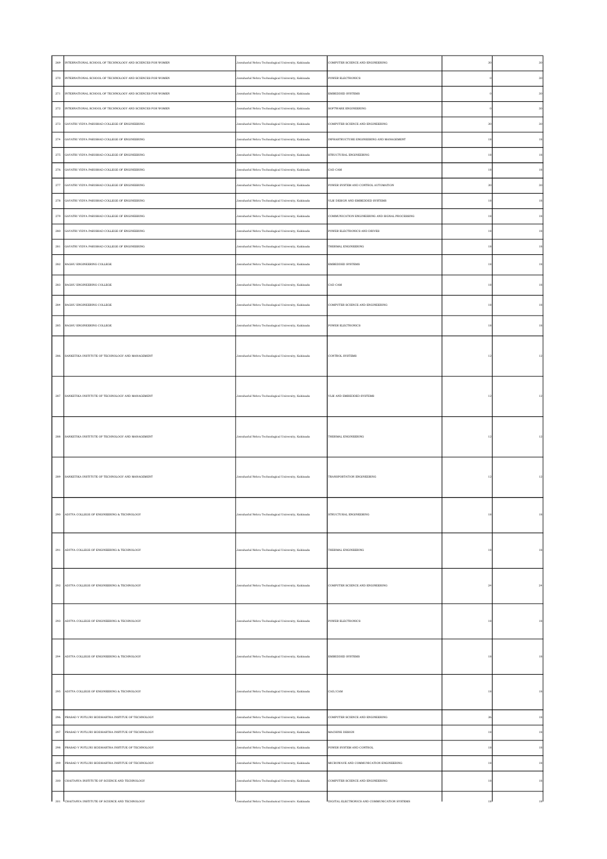| 269                | INTERNATIONAL SCHOOL OF TECHNOLOGY AND SCIENCES FOR WOMEN     | Jawaharlal Nehru Technological University, Kakinada | COMPUTER SCIENCE AND ENGINEERING                |                | 30          |
|--------------------|---------------------------------------------------------------|-----------------------------------------------------|-------------------------------------------------|----------------|-------------|
|                    | 270 INTERNATIONAL SCHOOL OF TECHNOLOGY AND SCIENCES FOR WOMEN | Jawaharlal Nehru Technological University, Kakinada | POWER ELECTRONICS                               |                | $30\,$      |
| $\sqrt{271}$       | INTERNATIONAL SCHOOL OF TECHNOLOGY AND SCIENCES FOR WOMEN     | Jawaharlal Nehru Technological University, Kakinada | EMBEDDED SYSTEMS                                |                | $30\,$      |
|                    | 272 INTERNATIONAL SCHOOL OF TECHNOLOGY AND SCIENCES FOR WOMEN | Jawaharlal Nehru Technological University, Kakinada | SOFTWARE ENGINEERING                            |                | 30          |
|                    | 273 GAYATRI VIDYA PARISHAD COLLEGE OF ENGINEERING             | Jawaharlal Nehru Technological University, Kakinada | COMPUTER SCIENCE AND ENGINEERING                | $\overline{3}$ | $30\,$      |
|                    | 274 GAYATRI VIDYA PARISHAD COLLEGE OF ENGINEERING             | Jawaharlal Nehru Technological University, Kakinada | INFRASTRUCTURE ENGINEERING AND MANAGEMENT       | 18             | $^{\rm 18}$ |
|                    | 275 GAYATRI VIDYA PARISHAD COLLEGE OF ENGINEERING             | Jawaharlal Nehru Technological University, Kakinada | STRUCTURAL ENGINEERING                          | 18             | 18          |
|                    | 276 GAYATRI VIDYA PARISHAD COLLEGE OF ENGINEERING             | Jawaharlal Nehru Technological University, Kakinada | CAD CAM                                         | 18             | 18          |
| $277\,$            | GAYATRI VIDYA PARISHAD COLLEGE OF ENGINEERING                 | Jawaharlal Nehru Technological University, Kakinada | POWER SYSTEM AND CONTROL AUTOMATION             | 3 <sup>0</sup> | 30          |
|                    | 278 GAYATRI VIDYA PARISHAD COLLEGE OF ENGINEERING             | Jawaharlal Nehru Technological University, Kakinada | VLSI DESIGN AND EMBEDDED SYSTEMS                | 18             | $^{\rm 18}$ |
|                    | 279 GAYATRI VIDYA PARISHAD COLLEGE OF ENGINEERING             | Jawaharlal Nehru Technological University, Kakinada | COMMUNICATION ENGINEERING AND SIGNAL PROCESSING | 18             | $^{\rm 18}$ |
|                    | 280 GAYATRI VIDYA PARISHAD COLLEGE OF ENGINEERING             | Jawaharlal Nehru Technological University, Kakinada | POWER ELECTRONICS AND DRIVES                    | 18             | 18          |
| 281                | GAYATRI VIDYA PARISHAD COLLEGE OF ENGINEERING                 | Jawaharlal Nehru Technological University, Kakinada | THERMAL ENGINEERING                             | 18             | 18          |
|                    | 282 RAGHU ENGINEERING COLLEGE                                 | Jawaharlal Nehru Technological University, Kakinada | EMBEDDED SYSTEMS                                | 18             | $^{\rm 18}$ |
| $\bf 283$          | RAGHU ENGINEERING COLLEGE                                     | Jawaharlal Nehru Technological University, Kakinada | CAD CAM                                         | 18             | $^{\rm 18}$ |
|                    | 284 RAGHU ENGINEERING COLLEGE                                 | Jawaharlal Nehru Technological University, Kakinada | COMPUTER SCIENCE AND ENGINEERING                | 18             | 18          |
|                    | 285 RAGHU ENGINEERING COLLEGE                                 | Jawaharlal Nehru Technological University, Kakinada | POWER ELECTRONICS                               | 18             | $^{\rm 18}$ |
|                    | 286 SANKETIKA INSTITUTE OF TECHNOLOGY AND MANAGEMENT          | Jawaharlal Nehru Technological University, Kakinada | <b>CONTROL SYSTEMS</b>                          | 12             | 12          |
|                    |                                                               |                                                     |                                                 |                |             |
|                    |                                                               |                                                     |                                                 |                |             |
|                    | 287 SANKETIKA INSTITUTE OF TECHNOLOGY AND MANAGEMENT          | Jawaharlal Nehru Technological University, Kakinada | VLSI AND EMBEDDED SYSTEMS                       | 12             | $12 \,$     |
|                    |                                                               |                                                     |                                                 |                |             |
| 288                | SANKETIKA INSTITUTE OF TECHNOLOGY AND MANAGEMENT              | Jawaharlal Nehru Technological University, Kakinada | THERMAL ENGINEERING                             | 12             | 12          |
|                    |                                                               |                                                     |                                                 |                |             |
|                    |                                                               |                                                     |                                                 |                |             |
|                    | 289 SANKETIKA INSTITUTE OF TECHNOLOGY AND MANAGEMENT          | Jawaharlal Nehru Technological University, Kakinada | TRANSPORTATION ENGINEERING                      | 12             | 12          |
|                    |                                                               |                                                     |                                                 |                |             |
| 290                | ADITYA COLLEGE OF ENGINEERING & TECHNOLOGY                    | Jawaharlal Nehru Technological University, Kakinada | STRUCTURAL ENGINEERING                          | 18             | 18          |
|                    |                                                               |                                                     |                                                 |                |             |
|                    | 291 ADITYA COLLEGE OF ENGINEERING & TECHNOLOGY                | Jawaharlal Nehru Technological University, Kakinada | THERMAL ENGINEERING                             | 18             | $^{\rm 18}$ |
|                    |                                                               |                                                     |                                                 |                |             |
|                    | 292 ADITYA COLLEGE OF ENGINEERING & TECHNOLOGY                | Jawaharlal Nehru Technological University, Kakinada | COMPUTER SCIENCE AND ENGINEERING                | $_{\rm 24}$    | $\bf{24}$   |
|                    |                                                               |                                                     |                                                 |                |             |
|                    |                                                               |                                                     |                                                 |                |             |
|                    | 293 ADITYA COLLEGE OF ENGINEERING & TECHNOLOGY                | Jawaharlal Nehru Technological University, Kakinada | POWER ELECTRONICS                               | 18             | $^{\rm 18}$ |
|                    |                                                               |                                                     |                                                 |                |             |
| $\,294$            | ADITYA COLLEGE OF ENGINEERING & TECHNOLOGY                    | Jawaharlal Nehru Technological University, Kakinada | EMBEDDED SYSTEMS                                | 18             | 18          |
|                    |                                                               |                                                     |                                                 |                |             |
|                    | 295 ADITYA COLLEGE OF ENGINEERING & TECHNOLOGY                | Jawaharlal Nehru Technological University, Kakinada | CAD/CAM                                         | 18             | 18          |
|                    |                                                               |                                                     |                                                 |                |             |
| $\,296$            | PRASAD V POTLURI SIDDHARTHA INSTITUE OF TECHNOLOGY            | Jawaharlal Nehru Technological University, Kakinada | COMPUTER SCIENCE AND ENGINEERING                | 36             | $^{\rm 18}$ |
| $\boldsymbol{297}$ | PRASAD V POTLURI SIDDHARTHA INSTITUE OF TECHNOLOGY            | Jawaharlal Nehru Technological University, Kakinada | MACHINE DESIGN                                  | 18             | $^{\rm 18}$ |
| $\boldsymbol{298}$ | PRASAD V POTLURI SIDDHARTHA INSTITUE OF TECHNOLOGY            | Jawaharlal Nehru Technological University, Kakinada | POWER SYSTEM AND CONTROL                        | 18             | $^{\rm 18}$ |
|                    | 299 PRASAD V POTLURI SIDDHARTHA INSTITUE OF TECHNOLOGY        | Jawaharlal Nehru Technological University, Kakinada | MICROWAVE AND COMMUNICATION ENGINEERING         | 18             | $^{\rm 18}$ |
|                    | 300 CHAITANYA INSTITUTE OF SCIENCE AND TECHNOLOGY             | Jawaharlal Nehru Technological University, Kakinada | COMPUTER SCIENCE AND ENGINEERING                | 18             | $^{\rm 18}$ |
|                    | 301 CHAITANYA INSTITUTE OF SCIENCE AND TECHNOLOGY             | vaharlal Nehm Technological University Kakinada     | DIGITAL ELECTRONICS AND COMMUNICATION SYSTEMS   |                | 18          |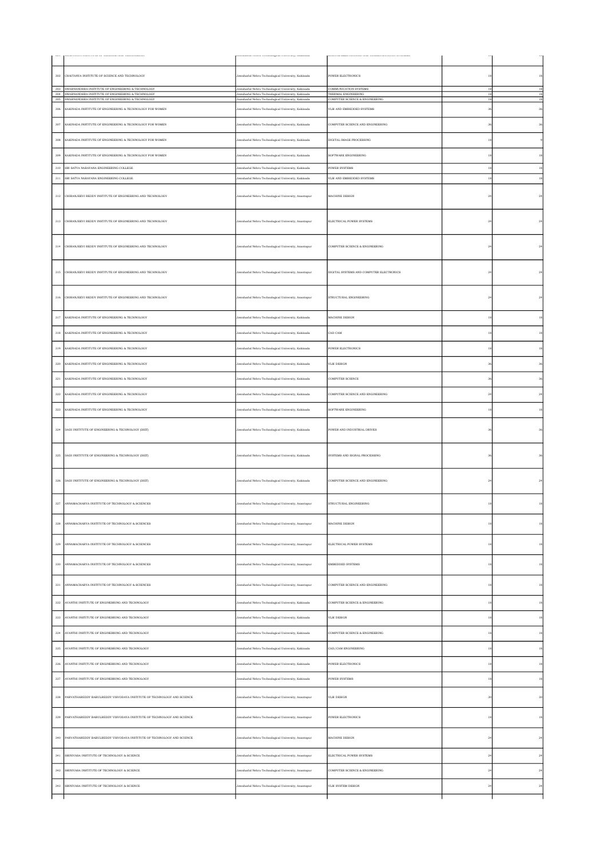| 302          | CHAITANYA INSTITUTE OF SCIENCE AND TECHNOLOGY                                                                  | Jawaharlal Nehru Technological University, Kakinada                                                        | POWER ELECTRONICS                            | 18       | 18           |
|--------------|----------------------------------------------------------------------------------------------------------------|------------------------------------------------------------------------------------------------------------|----------------------------------------------|----------|--------------|
|              | 303 SWARNANDHRA INSTITUTE OF ENGINEERING & TECHNOLOGY<br>304 SWARNANDHRA INSTITUTE OF ENGINEERING & TECHNOLOGY | Jawaharlal Nehru Technological University, Kakinada<br>Jawaharlal Nehru Technological University, Kakinada | COMMUNICATION SYSTEMS<br>THERMAL ENGINEERING | 18<br>18 | 18<br>18     |
| 305          | SWARNANDHRA INSTITUTE OF ENGINEERING & TECHNOLOGY                                                              | Jawaharlal Nehru Technological University, Kakinada                                                        | COMPUTER SCIENCE & ENGINEERING               | 18       | $^{\rm 18}$  |
| 306          | KAKINADA INSTITUTE OF ENGINEERING & TECHNOLOGY FOR WOMEN                                                       | Jawaharlal Nehru Technological University, Kakinada                                                        | VLSI AND EMBEDDED SYSTEMS                    | 36       | 36           |
| 307          | KAKINADA INSTITUTE OF ENGINEERING & TECHNOLOGY FOR WOMEN                                                       | Jawaharlal Nehru Technological University, Kakinada                                                        | COMPUTER SCIENCE AND ENGINEERING             | 36       | 36           |
| 308          | KAKINADA INSTITUTE OF ENGINEERING & TECHNOLOGY FOR WOMEN                                                       | Jawaharlal Nehru Technological University, Kakinada                                                        | DIGITAL IMAGE PROCESSING                     | 18       |              |
| 309          | KAKINADA INSTITUTE OF ENGINEERING & TECHNOLOGY FOR WOMEN                                                       | Jawaharlal Nehru Technological University, Kakinada                                                        | SOFTWARE ENGINEERING                         | 18       | 18           |
| 310          | SRI SATYA NARAYANA ENGINEERING COLLEGE                                                                         | Jawaharlal Nehru Technological University, Kakinada                                                        | <b>POWER SYSTEMS</b>                         | 18       | 18           |
| 311          | SRI SATYA NARAYANA ENGINEERING COLLEGE                                                                         | Jawaharlal Nehru Technological University, Kakinada                                                        | VLSI AND EMBEDDED SYSTEMS                    | 18       | 18           |
| $_{\rm 312}$ | CHIRANJEEVI REDDY INSTITUTE OF ENGINEERING AND TECHNOLOGY                                                      | Jawaharlal Nehru Technological University, Anantapur                                                       | MACHINE DESIGN                               | $^{24}$  | $\bf{^{24}}$ |
|              | 313 CHIRANJEEVI REDDY INSTITUTE OF ENGINEERING AND TECHNOLOGY                                                  | Jawaharlal Nehru Technological University, Anantapur                                                       | ELECTRICAL POWER SYSTEMS                     | 24       | 24           |
| $_{\rm 314}$ | CHIRANJEEVI REDDY INSTITUTE OF ENGINEERING AND TECHNOLOGY                                                      | Jawaharlal Nehru Technological University, Anantapur                                                       | COMPUTER SCIENCE & ENGINEERING               | $^{24}$  | $\bf{^{24}}$ |
| $_{\rm 315}$ | CHIRANJEEVI REDDY INSTITUTE OF ENGINEERING AND TECHNOLOGY                                                      | Jawaharlal Nehru Technological University, Anantapur                                                       | DIGITAL SYSTEMS AND COMPUTER ELECTRONICS     | $^{24}$  | $^{24}$      |
| 316          | CHIRANJEEVI REDDY INSTITUTE OF ENGINEERING AND TECHNOLOGY                                                      | Jawaharlal Nehru Technological University, Anantapur                                                       | STRUCTURAL ENGINEERING                       | 24       | 24           |
| 317          | KAKINADA INSTITUTE OF ENGINEERING & TECHNOLOGY                                                                 | Jawaharlal Nehru Technological University, Kakinada                                                        | MACHINE DESIGN                               | 18       | 18           |
| 318          | KAKINADA INSTITUTE OF ENGINEERING & TECHNOLOGY                                                                 | Jawaharlal Nehru Technological University, Kakinada                                                        | CAD CAM                                      | 18       | 18           |
| 319          | KAKINADA INSTITUTE OF ENGINEERING & TECHNOLOGY                                                                 | Jawaharlal Nehru Technological University, Kakinada                                                        | POWER ELECTRONICS                            | 18       | 18           |
| 320          | KAKINADA INSTITUTE OF ENGINEERING & TECHNOLOGY                                                                 | Jawaharlal Nehru Technological University, Kakinada                                                        | VLSI DESIGN                                  | 36       | 36           |
| 321          | KAKINADA INSTITUTE OF ENGINEERING & TECHNOLOGY                                                                 | Jawaharlal Nehru Technological University, Kakinada                                                        | COMPUTER SCIENCE                             | 36       | 36           |
| 322          | KAKINADA INSTITUTE OF ENGINEERING & TECHNOLOGY                                                                 | Jawaharlal Nehru Technological University, Kakinada                                                        | COMPUTER SCIENCE AND ENGINEERING             | 24       | $^{24}$      |
| 323          | KAKINADA INSTITUTE OF ENGINEERING & TECHNOLOGY                                                                 | Jawaharlal Nehru Technological University, Kakinada                                                        | SOFTWARE ENGINEERING                         | 18       | 18           |
|              |                                                                                                                |                                                                                                            |                                              |          |              |
| 324          | DADI INSTITUTE OF ENGINEERING & TECHNOLOGY (DIET)                                                              | Jawaharlal Nehru Technological University, Kakinada                                                        | POWER AND INDUSTRIAL DRIVES                  | 36       | 36           |
| 325          | DADI INSTITUTE OF ENGINEERING & TECHNOLOGY (DIET)                                                              | Jawaharlal Nehru Technological University, Kakinada                                                        | SYSTEMS AND SIGNAL PROCESSING                | 36       | 36           |
| $326\,$      | DADI INSTITUTE OF ENGINEERING & TECHNOLOGY (DIET)                                                              | Jawaharlal Nehru Technological University, Kakinada                                                        | COMPUTER SCIENCE AND ENGINEERING             | 24       | $^{24}$      |
| $327\,$      | ANNAMACHARYA INSTITUTE OF TECHNOLOGY & SCIENCES                                                                | Jawaharlal Nehru Technological University, Anantapur                                                       | STRUCTURAL ENGINEERING                       |          | 18           |
| 328          | ANNAMACHARYA INSTITUTE OF TECHNOLOGY & SCIENCES                                                                | Jawaharlal Nehru Technological University, Anantapur                                                       | MACHINE DESIGN                               | 18       | 18           |
| 329          | ANNAMACHARYA INSTITUTE OF TECHNOLOGY & SCIENCES                                                                | Jawaharlal Nehru Technological University, Anantapur                                                       | ELECTRICAL POWER SYSTEMS                     | 18       | 18           |
| $_{\rm 330}$ | ANNAMACHARYA INSTITUTE OF TECHNOLOGY & SCIENCES                                                                | Jawaharlal Nehru Technological University, Anantapur                                                       | EMBEDDED SYSTEMS                             | 18       | $^{\rm 18}$  |
| 331          | ANNAMACHARYA INSTITUTE OF TECHNOLOGY & SCIENCES                                                                | Jawaharlal Nehru Technological University, Anantapur                                                       | COMPUTER SCIENCE AND ENGINEERING             | 18       | $^{\rm 18}$  |
| $_{\rm 332}$ | AVANTHI INSTITUTE OF ENGINERRING AND TECHNOLOGY                                                                | Jawaharlal Nehru Technological University, Kakinada                                                        | COMPUTER SCIENCE & ENGINEERING               | 18       | $^{\rm 18}$  |
| 333          | AVANTHI INSTITUTE OF ENGINERRING AND TECHNOLOGY                                                                | lawaharlal Nehru Technological University, Kakinada                                                        | VLSI DESIGN                                  | 18       | $^{\rm 18}$  |
| 334          | AVANTHI INSTITUTE OF ENGINERRING AND TECHNOLOGY                                                                | Jawaharlal Nehru Technological University, Kakinada                                                        | COMPUTER SCIENCE & ENGINEERING               |          | $^{\rm 18}$  |
| 335          | AVANTHI INSTITUTE OF ENGINERRING AND TECHNOLOGY                                                                | lawaharlal Nehru Technological University, Kakinada                                                        | CAD/CAM ENGINEERING                          | 18       | $^{\rm 18}$  |
| 336          | AVANTHI INSTITUTE OF ENGINERRING AND TECHNOLOGY                                                                | Jawaharlal Nehru Technological University, Kakinada                                                        | POWER ELECTRONICS                            | 18       | 18           |
| 337          | AVANTHI INSTITUTE OF ENGINERRING AND TECHNOLOGY                                                                | Jawaharlal Nehru Technological University, Kakinada                                                        | <b>POWER SYSTEMS</b>                         | 18       | 18           |
| 338          | PARVATHAREDDY BABULREDDY VISVODAYA INSTITUTE OF TECHNOLOGY AND SCIENCE                                         | Jawaharlal Nehru Technological University, Anantapur                                                       | VLSI DESIGN                                  | 30       | 30           |
| 339          | PARVATHAREDDY BABULREDDY VISVODAYA INSTITUTE OF TECHNOLOGY AND SCIENCE                                         | Jawaharlal Nehru Technological University, Anantapur                                                       | POWER ELECTRONICS                            | 18       | 18           |
| 340          | PARVATHAREDDY BABULREDDY VISVODAYA INSTITUTE OF TECHNOLOGY AND SCIENCE                                         | Jawaharlal Nehru Technological University, Anantapur                                                       | MACHINE DESIGN                               | 24       | $\bf{24}$    |
| 341          | SRINIVASA INSTITUTE OF TECHNOLOGY & SCIENCE                                                                    | Jawaharlal Nehru Technological University, Anantapur                                                       | ELECTRICAL POWER SYSTEMS                     | 24       | $^{24}$      |
| 342          | SRINIVASA INSTITUTE OF TECHNOLOGY & SCIENCE                                                                    | Jawaharlal Nehru Technological University, Anantapur                                                       | COMPUTER SCIENCE & ENGINEERING               | 24       | 24           |
| 343          | SRINIVASA INSTITUTE OF TECHNOLOGY & SCIENCE                                                                    | Jawaharlal Nehru Technological University, Anantapur                                                       | VLSI SYSTEM DESIGN                           | 24       | 24           |
|              |                                                                                                                |                                                                                                            |                                              |          |              |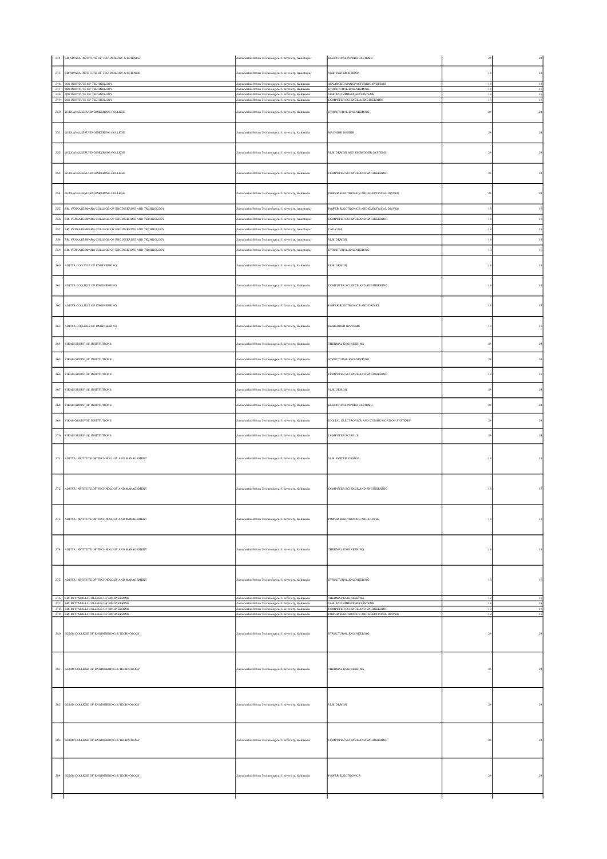|         | 344 SRINIVASA INSTITUTE OF TECHNOLOGY & SCIENCE                                                                                                                                           | Jawaharlal Nehru Technological University, Anantapur                                                       | ELECTRICAL POWER SYSTEMS                                                    | $^{24}$     | $\sqrt{24}$  |
|---------|-------------------------------------------------------------------------------------------------------------------------------------------------------------------------------------------|------------------------------------------------------------------------------------------------------------|-----------------------------------------------------------------------------|-------------|--------------|
| 345     | SRINIVASA INSTITUTE OF TECHNOLOGY & SCIENCE                                                                                                                                               | Jawaharlal Nehru Technological University, Anantapur                                                       | VLSI SYSTEM DESIGN                                                          | 18          | 18           |
|         | 346 QIS INSTITUTE OF TECHNOLOGY<br>347 QIS INSTITUTE OF TECHNOLOGY                                                                                                                        | Jawaharlal Nehru Technological University, Kakinada<br>Jawaharlal Nehru Technological University, Kakinada | ADVANCED MANUFACTURING SYSTEMS<br>STRUCTURAL ENGINEERING                    | 18<br>18    | 18<br>$18\,$ |
|         | 348 QIS INSTITUTE OF TECHNOLOGY                                                                                                                                                           | Jawaharlal Nehru Technological University, Kakinada<br>Jawaharlal Nehru Technological University, Kakinada | VLSI AND EMBEDDED SYSTEMS                                                   | 18<br>18    | 18<br>18     |
|         | 349 QIS INSTITUTE OF TECHNOLOGY                                                                                                                                                           |                                                                                                            | COMPUTER SCIENCE & ENGINEERING                                              |             |              |
|         | 350 GUDLAVALLERU ENGINEERING COLLEGE                                                                                                                                                      | Jawaharlal Nehru Technological University, Kakinada                                                        | STRUCTURAL ENGINEERING                                                      | $^{24}$     | $\bf{24}$    |
|         | 351 GUDLAVALLERU ENGINEERING COLLEGE                                                                                                                                                      | Jawaharlal Nehru Technological University, Kakinada                                                        | MACHINE DESIGN                                                              | $^{24}$     | $_{\rm 24}$  |
|         | 352 GUDLAVALLERU ENGINEERING COLLEGE                                                                                                                                                      | Jawaharlal Nehru Technological University, Kakinada                                                        | VLSI DESIGN AND EMBEDDED SYSTEMS                                            | $^{24}$     | 24           |
|         | 353 GUDLAVALLERU ENGINEERING COLLEGE                                                                                                                                                      | Jawaharlal Nehru Technological University, Kakinada                                                        | COMPUTER SCIENCE AND ENGINEERING                                            | $^{24}$     | $\bf{24}$    |
|         | 354 GUDLAVALLERU ENGINEERING COLLEGE                                                                                                                                                      | Jawaharlal Nehru Technological University, Kakinada                                                        | POWER ELECTRONICS AND ELECTRICAL DRIVES                                     | $^{24}$     | $_{\rm 24}$  |
| $355\,$ | SRI VENKATESWARA COLLEGE OF ENGINEERING AND TECHNOLOGY                                                                                                                                    | Jawaharlal Nehru Technological University, Anantapur                                                       | POWER ELECTRONICS AND ELECTRICAL DRIVES                                     | 18          | $18\,$       |
| 356     | SRI VENKATESWARA COLLEGE OF ENGINEERING AND TECHNOLOGY                                                                                                                                    | awaharlal Nehru Technological University, Anantapur                                                        | COMPUTER SCIENCE AND ENGINEERING                                            | 18          | $^{\rm 18}$  |
| 357     | SRI VENKATESWARA COLLEGE OF ENGINEERING AND TECHNOLOGY                                                                                                                                    | Jawaharlal Nehru Technological University, Anantapur                                                       | CAD CAM                                                                     | 18          | 18           |
| 358     | SRI VENKATESWARA COLLEGE OF ENGINEERING AND TECHNOLOGY                                                                                                                                    | Jawaharlal Nehru Technological University, Anantapur                                                       | VLSI DESIGN                                                                 | 18          | $^{\rm 18}$  |
| 359     | SRI VENKATESWARA COLLEGE OF ENGINEERING AND TECHNOLOGY                                                                                                                                    | lawaharlal Nehru Technological University, Anantapur                                                       | STRUCTURAL ENGINEERING                                                      | $18\,$      | $^{\rm 18}$  |
|         | 360 ADITYA COLLEGE OF ENGINEERING                                                                                                                                                         | Jawaharlal Nehru Technological University, Kakinada                                                        | VLSI DESIGN                                                                 |             | $^{\rm 18}$  |
| $361\,$ | ADITYA COLLEGE OF ENGINEERING                                                                                                                                                             | Jawaharlal Nehru Technological University, Kakinada                                                        | COMPUTER SCIENCE AND ENGINEERING                                            | 18          | $^{\rm 18}$  |
|         | 362 ADITYA COLLEGE OF ENGINEERING                                                                                                                                                         | Jawaharlal Nehru Technological University, Kakinada                                                        | POWER ELECTRONICS AND DRIVES                                                | 18          | 18           |
|         | 363 ADITYA COLLEGE OF ENGINEERING                                                                                                                                                         | Jawaharlal Nehru Technological University, Kakinada                                                        | <b>EMBEDDED SYSTEMS</b>                                                     | 18          | $^{\rm 18}$  |
| 364     | VIKAS GROUP OF INSTITUTIONS                                                                                                                                                               | Jawaharlal Nehru Technological University, Kakinada                                                        | THERMAL ENGINEERING                                                         | $^{24}$     | 24           |
|         | 365 VIKAS GROUP OF INSTITUTIONS                                                                                                                                                           | Jawaharlal Nehru Technological University, Kakinada                                                        | STRUCTURAL ENGINEERING                                                      | 24          | 24           |
| 366     | VIKAS GROUP OF INSTITUTIONS                                                                                                                                                               | Jawaharlal Nehru Technological University, Kakinada                                                        | COMPUTER SCIENCE AND ENGINEERING                                            | 18          | 18           |
|         | 367 VIKAS GROUP OF INSTITUTIONS                                                                                                                                                           | Jawaharlal Nehru Technological University, Kakinada                                                        | VLSI DESIGN                                                                 | $^{24}$     | 24           |
| $368\,$ | VIKAS GROUP OF INSTITUTIONS                                                                                                                                                               | Jawaharlal Nehru Technological University, Kakinada                                                        | ELECTRICAL POWER SYSTEMS                                                    | 24          | 24           |
|         | 369 VIKAS GROUP OF INSTITUTIONS                                                                                                                                                           | Jawaharlal Nehru Technological University, Kakinada                                                        | DIGITAL ELECTRONICS AND COMMUNICATION SYSTEMS                               | 24          | 24           |
|         |                                                                                                                                                                                           |                                                                                                            |                                                                             |             |              |
|         | 370 VIKAS GROUP OF INSTITUTIONS                                                                                                                                                           | Jawaharlal Nehru Technological University, Kakinada                                                        | COMPUTER SCIENCE                                                            | $^{24}$     | $\sqrt{24}$  |
|         | 371 ADITYA INSTITUTE OF TECHNOLOGY AND MANAGEMENT                                                                                                                                         | Jawaharlal Nehru Technological University, Kakinada                                                        | VLSI SYSTEM DESIGN                                                          | 18          | 18           |
|         | 372 ADITYA INSTITUTE OF TECHNOLOGY AND MANAGEMENT                                                                                                                                         | Jawaharlal Nehru Technological University, Kakinada                                                        | COMPUTER SCIENCE AND ENGINEERING                                            |             |              |
|         | 373 ADITYA INSTITUTE OF TECHNOLOGY AND MANAGEMENT                                                                                                                                         | Jawaharlal Nehru Technological University, Kakinada                                                        | POWER ELECTRONICS AND DRIVES                                                |             | $18\,$       |
|         | 374 ADITYA INSTITUTE OF TECHNOLOGY AND MANAGEMENT                                                                                                                                         | Jawaharlal Nehru Technological University, Kakinada                                                        | THERMAL ENGINEERING                                                         | 18          | 18           |
|         | 375 ADITYA INSTITUTE OF TECHNOLOGY AND MANAGEMENT                                                                                                                                         | Jawaharlal Nehru Technological University, Kakinada                                                        | STRUCTURAL ENGINEERING                                                      | 18          | $^{\rm 18}$  |
|         | $\begin{tabular}{c c} 376 & \textbf{SRI MIT} \textbf{JAPALLI COLEGE OF ENGINEERING} \\ \hline 377 & \textbf{SRI MIT} \textbf{JATTAPALLI COLLEGE OF ENGINEERING} \end{tabular}$            | Jawaharlal Nehru Technological University, Kakinada<br>Jawaharlal Nehru Technological University, Kakinada | THERMAL ENGINEERING<br>VLSI AND EMBEDDED SYSTEMS                            | 18<br>18    | 18<br>18     |
|         | $\begin{tabular}{c c} 378 & \textbf{SRI MIT} \textbf{APALL} \textbf{COLEGE OF ENGINEERING} \\ \hline 379 & \textbf{SRI MIT} \textbf{APALL} \textbf{COLLEGE OF ENGINEERING} \end{tabular}$ | Jawaharlal Nehru Technological University, Kakinada<br>Jawaharlal Nehru Technological University, Kakinada | COMPUTER SCIENCE AND ENGINEERING<br>POWER ELECTRONICS AND ELECTRICAL DRIVES | 18<br>18    | 18<br>$18\,$ |
|         | 380 GDMM COLLEGE OF ENGINEERING & TECHNOLOGY                                                                                                                                              | Jawaharlal Nehru Technological University, Kakinada                                                        | STRUCTURAL ENGINEERING                                                      | $^{24}$     | $\bf{24}$    |
|         |                                                                                                                                                                                           |                                                                                                            |                                                                             |             |              |
|         | 381 GDMM COLLEGE OF ENGINEERING & TECHNOLOGY                                                                                                                                              | Jawaharlal Nehru Technological University, Kakinada                                                        | THERMAL ENGINEERING                                                         | $^{\rm 24}$ | $\bf{24}$    |
|         |                                                                                                                                                                                           |                                                                                                            |                                                                             |             |              |
|         | 382 GDMM COLLEGE OF ENGINEERING & TECHNOLOGY                                                                                                                                              | Jawaharlal Nehru Technological University, Kakinada                                                        | VLSI DESIGN                                                                 | $^{24}$     | 24           |
|         | 383 GDMM COLLEGE OF ENGINEERING & TECHNOLOGY                                                                                                                                              | Jawaharlal Nehru Technological University, Kakinada                                                        | COMPUTER SCIENCE AND ENGINEERING                                            | 24          | 24           |
|         | 384 GDMM COLLEGE OF ENGINEERING & TECHNOLOGY                                                                                                                                              | Jawaharlal Nehru Technological University, Kakinada                                                        | <b>POWER ELECTRONICS</b>                                                    | 24          | $^{24}$      |
|         |                                                                                                                                                                                           |                                                                                                            |                                                                             |             |              |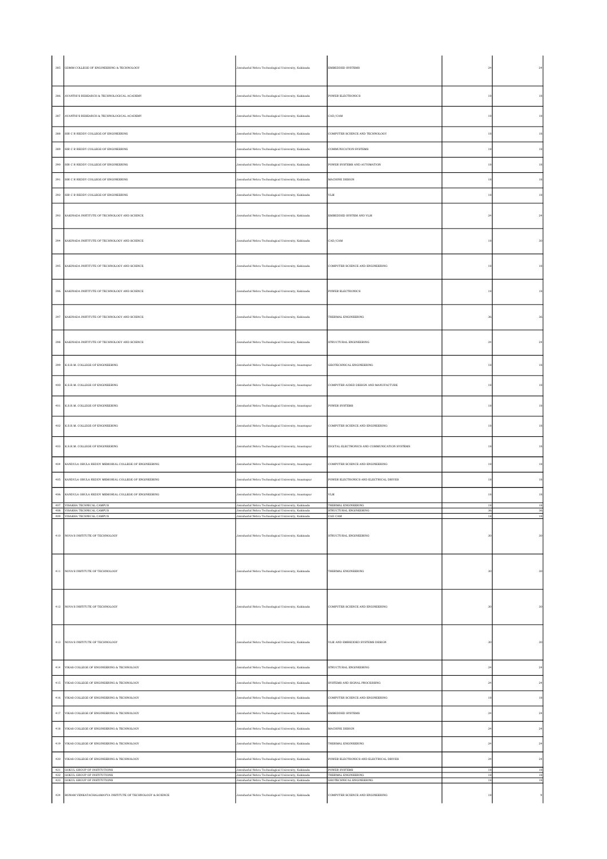| 385          | GDMM COLLEGE OF ENGINEERING & TECHNOLOGY                                                              | Jawaharlal Nehru Technological University, Kakinada                                                                                                               | EMBEDDED SYSTEMS                                                 |                | $^{24}$            |
|--------------|-------------------------------------------------------------------------------------------------------|-------------------------------------------------------------------------------------------------------------------------------------------------------------------|------------------------------------------------------------------|----------------|--------------------|
| 386          | AVANTHI'S RESEARCH & TECHNOLOGICAL ACADEMY                                                            | Jawaharlal Nehru Technological University, Kakinada                                                                                                               | POWER ELECTRONICS                                                | 18             | 18                 |
| $387\,$      | AVANTHI'S RESEARCH & TECHNOLOGICAL ACADEMY                                                            | Jawaharlal Nehru Technological University, Kakinada                                                                                                               | CAD/CAM                                                          | 18             | $^{\rm 18}$        |
| 388          | SIR C R REDDY COLLEGE OF ENGINEERING                                                                  | Jawaharlal Nehru Technological University, Kakinada                                                                                                               | COMPUTER SCIENCE AND TECHNOLOGY                                  | 18             | 18                 |
| 389          | SIR C R REDDY COLLEGE OF ENGINEERING                                                                  | Jawaharlal Nehru Technological University, Kakinada                                                                                                               | COMMUNICATION SYSTEMS                                            | 18             | 18                 |
| 390          | SIR C R REDDY COLLEGE OF ENGINEERING                                                                  | Jawaharlal Nehru Technological University, Kakinada                                                                                                               | POWER SYSTEMS AND AUTOMATION                                     | 18             | 18                 |
| 391          | SIR C R REDDY COLLEGE OF ENGINEERING                                                                  | Jawaharlal Nehru Technological University, Kakinada                                                                                                               | MACHINE DESIGN                                                   | 18             | 18                 |
| 392          | SIR C R REDDY COLLEGE OF ENGINEERING                                                                  | Jawaharlal Nehru Technological University, Kakinada                                                                                                               | VLSI                                                             | 18             | 18                 |
| 393          | KAKINADA INSTITUTE OF TECHNOLOGY AND SCIENCE                                                          | Jawaharlal Nehru Technological University, Kakinada                                                                                                               | EMBEDDED SYSTEM AND VLSI                                         | $^{24}$        | 24                 |
| 394          | KAKINADA INSTITUTE OF TECHNOLOGY AND SCIENCE                                                          | Jawaharlal Nehru Technological University, Kakinada                                                                                                               | CAD/CAM                                                          | 18             | 30                 |
| 395          | KAKINADA INSTITUTE OF TECHNOLOGY AND SCIENCE                                                          | Jawaharlal Nehru Technological University, Kakinada                                                                                                               | COMPUTER SCIENCE AND ENGINEERING                                 | $18$           | $^{\rm 18}$        |
| 396          | KAKINADA INSTITUTE OF TECHNOLOGY AND SCIENCE                                                          | Jawaharlal Nehru Technological University, Kakinada                                                                                                               | POWER ELECTRONICS                                                | 18             | 18                 |
| 397          | KAKINADA INSTITUTE OF TECHNOLOGY AND SCIENCE                                                          | Jawaharlal Nehru Technological University, Kakinada                                                                                                               | THERMAL ENGINEERING                                              | 36             | 36                 |
| 398          | KAKINADA INSTITUTE OF TECHNOLOGY AND SCIENCE                                                          | Jawaharlal Nehru Technological University, Kakinada                                                                                                               | STRUCTURAL ENGINEERING                                           | $^{24}$        | 24                 |
| 399          | K.S.R.M. COLLEGE OF ENGINEERING                                                                       | Jawaharlal Nehru Technological University, Anantapur                                                                                                              | GEOTECHNICAL ENGINEERING                                         | 18             | 18                 |
| $400\,$      | K.S.R.M. COLLEGE OF ENGINEERING                                                                       | Jawaharlal Nehru Technological University, Anantapur                                                                                                              | COMPUTER AIDED DESIGN AND MANUFACTURE                            | 18             | $^{\rm 18}$        |
| $401\,$      | K.S.R.M. COLLEGE OF ENGINEERING                                                                       | Jawaharlal Nehru Technological University, Anantapur                                                                                                              | POWER SYSTEMS                                                    | 18             | $^{\rm 18}$        |
| 402          | K.S.R.M. COLLEGE OF ENGINEERING                                                                       | Jawaharlal Nehru Technological University, Anantapur                                                                                                              | COMPUTER SCIENCE AND ENGINEERING                                 | 18             | 18                 |
| 403          | K.S.R.M. COLLEGE OF ENGINEERING                                                                       | Jawaharlal Nehru Technological University, Anantapur                                                                                                              | DIGITAL ELECTRONICS AND COMMUNICATION SYSTEMS                    | 18             | 18                 |
| $404\,$      | KANDULA OBULA REDDY MEMORIAL COLLEGE OF ENGINEERING                                                   | Jawaharlal Nehru Technological University, Anantapur                                                                                                              | COMPUTER SCIENCE AND ENGINEERING                                 | 18             | $^{\rm 18}$        |
| $40\%$       | KANDULA OBULA REDDY MEMORIAL COLLEGE OF ENGINEERING                                                   | Jawaharlal Nehru Technological University, Anantapur                                                                                                              | POWER ELECTRONICS AND ELECTRICAL DRIVES                          |                | $^{\rm 18}$        |
| 406          | KANDULA OBULA REDDY MEMORIAL COLLEGE OF ENGINEERING                                                   | Jawaharlal Nehru Technological University, Anantapur                                                                                                              | VLSI                                                             | 18             | 18                 |
|              | 407 VISAKHA TECHNICAL CAMPUS<br>$408$ $\,$ VISAKHA TECHNICAL CAMPUS<br>409 VISAKHA TECHNICAL CAMPUS   | Jawaharlal Nehru Technological University, Kakinada<br>Jawaharlal Nehru Technological University, Kakinada<br>Jawaharlal Nehru Technological University, Kakinada | THERMAL ENGINEERING<br>STRUCTURAL ENGINEERING<br>CAD CAM         |                | 18<br>36<br>18     |
| $410\,$      | NOVA'S INSTITUTE OF TECHNOLOGY                                                                        | Jawaharlal Nehru Technological University, Kakinada                                                                                                               | STRUCTURAL ENGINEERING                                           | 30             | 30                 |
|              | 411 NOVA'S INSTITUTE OF TECHNOLOGY                                                                    | Jawaharlal Nehru Technological University, Kakinada                                                                                                               | THERMAL ENGINEERING                                              | 30             | 30                 |
|              |                                                                                                       |                                                                                                                                                                   |                                                                  |                |                    |
| 412          | NOVA'S INSTITUTE OF TECHNOLOGY                                                                        | Jawaharlal Nehru Technological University, Kakinada                                                                                                               | COMPUTER SCIENCE AND ENGINEERING                                 | 30             | 30                 |
|              |                                                                                                       |                                                                                                                                                                   |                                                                  |                |                    |
|              | 413 NOVA'S INSTITUTE OF TECHNOLOGY                                                                    | Jawaharlal Nehru Technological University, Kakinada                                                                                                               | VLSI AND EMBEDDED SYSTEMS DESIGN                                 | 3 <sub>0</sub> | 30                 |
| $414\,$      | VIKAS COLLEGE OF ENGINEERING & TECHNOLOGY                                                             | Jawaharlal Nehru Technological University, Kakinada                                                                                                               | STRUCTURAL ENGINEERING                                           | $^{\rm 24}$    | $\bf{24}$          |
| $\rm 415$    | VIKAS COLLEGE OF ENGINEERING & TECHNOLOGY                                                             | Jawaharlal Nehru Technological University, Kakinada                                                                                                               | SYSTEMS AND SIGNAL PROCESSING                                    | $^{24}$        | $\bf{24}$          |
| $416\,$      | VIKAS COLLEGE OF ENGINEERING & TECHNOLOGY                                                             | Jawaharlal Nehru Technological University, Kakinada                                                                                                               | COMPUTER SCIENCE AND ENGINEERING                                 | 18             | $18\,$             |
| $417\,$      | VIKAS COLLEGE OF ENGINEERING & TECHNOLOGY                                                             | Jawaharlal Nehru Technological University, Kakinada                                                                                                               | EMBEDDED SYSTEMS                                                 | $^{24}$        | $\bf{24}$          |
| $_{\rm 418}$ | VIKAS COLLEGE OF ENGINEERING & TECHNOLOGY                                                             | Jawaharlal Nehru Technological University, Kakinada                                                                                                               | MACHINE DESIGN                                                   | $^{\rm 24}$    | $_{\rm 24}$        |
| $419\,$      | VIKAS COLLEGE OF ENGINEERING & TECHNOLOGY                                                             | Jawaharlal Nehru Technological University, Kakinada                                                                                                               | THERMAL ENGINEERING                                              | $^{24}$        | $_{\rm 24}$        |
| $420\,$      | VIKAS COLLEGE OF ENGINEERING & TECHNOLOGY                                                             | Jawaharlal Nehru Technological University, Kakinada                                                                                                               | POWER ELECTRONICS AND ELECTRICAL DRIVES                          | $^{24}$        | $\bf{24}$          |
|              |                                                                                                       |                                                                                                                                                                   |                                                                  |                |                    |
|              | 421 GOKUL GROUP OF INSTITUTIONS<br>422 GOKUL GROUP OF INSTITUTIONS<br>423 GOKUL GROUP OF INSTITUTIONS | Jawaharlal Nehru Technological University, Kakinada<br>Jawaharlal Nehru Technological University, Kakinada<br>Jawaharlal Nehru Technological University, Kakinada | POWER SYSTEMS<br>THERMAL ENGINEERING<br>GEOTECHNICAL ENGINEERING | 18<br>18<br>18 | 18<br>18<br>$18\,$ |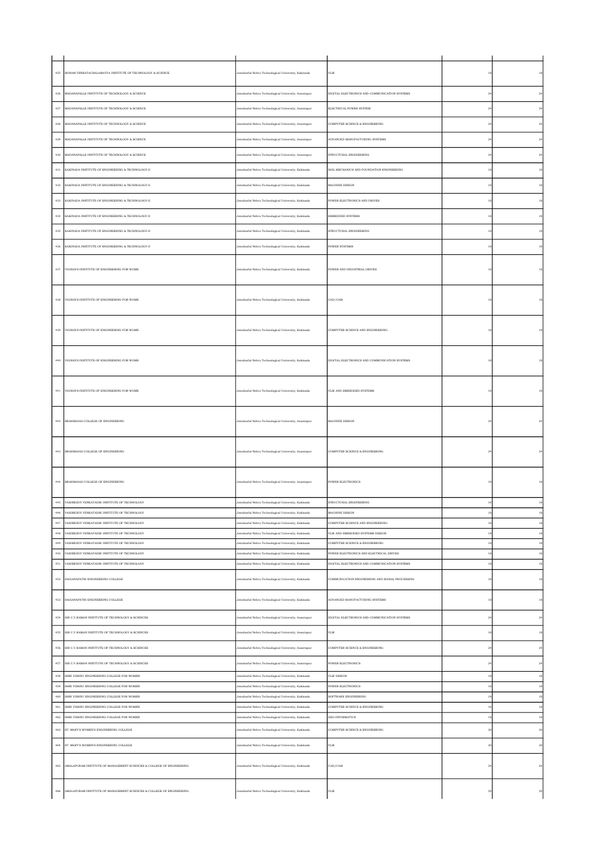|              | 425 BONAM VENKATACHALAMAYYA INSTITUTE OF TECHNOLOGY & SCIENCE                               | Jawaharlal Nehru Technological University, Kakinada                                                        | VLSI                                                                                     | 18             | $^{\rm 18}$       |
|--------------|---------------------------------------------------------------------------------------------|------------------------------------------------------------------------------------------------------------|------------------------------------------------------------------------------------------|----------------|-------------------|
|              | 426 MADANAPALLE INSTITUTE OF TECHNOLOGY & SCIENCE                                           | Jawaharlal Nehru Technological University, Anantapur                                                       | DIGITAL ELECTRONICS AND COMMUNICATION SYSTEMS                                            | $^{\rm 24}$    | $\bf{24}$         |
|              | 427 MADANAPALLE INSTITUTE OF TECHNOLOGY & SCIENCE                                           | Jawaharlal Nehru Technological University, Anantapur                                                       | ELECTRICAL POWER SYSTEM                                                                  | $^{\rm 24}$    | $\bf{24}$         |
| $_{\rm 428}$ | MADANAPALLE INSTITUTE OF TECHNOLOGY & SCIENCE                                               | Jawaharlal Nehru Technological University, Anantapur                                                       | COMPUTER SCIENCE & ENGINEERING                                                           | $^{\rm 24}$    | $\bf{24}$         |
| 429          | MADANAPALLE INSTITUTE OF TECHNOLOGY & SCIENCE                                               | Jawaharlal Nehru Technological University, Anantapur                                                       | ADVANCED MANUFACTURING SYSTEMS                                                           | $2\epsilon$    | $\bf{24}$         |
| 430          | MADANAPALLE INSTITUTE OF TECHNOLOGY & SCIENCE                                               | Jawaharlal Nehru Technological University, Anantapur                                                       | STRUCTURAL ENGINEERING                                                                   | $\sqrt{24}$    | $\bf{24}$         |
| $431\,$      | KAKINADA INSTITUTE OF ENGINEERING & TECHNOLOGY-II                                           | Jawaharlal Nehru Technological University, Kakinada                                                        | SOIL MECHANICS AND FOUNDATION ENGINEERING                                                | 18             | $^{\rm 18}$       |
| 432          | KAKINADA INSTITUTE OF ENGINEERING & TECHNOLOGY-II                                           | Jawaharlal Nehru Technological University, Kakinada                                                        | MACHINE DESIGN                                                                           | 18             | $^{\rm 18}$       |
| $433\,$      | KAKINADA INSTITUTE OF ENGINEERING & TECHNOLOGY-II                                           | Jawaharlal Nehru Technological University, Kakinada                                                        | POWER ELECTRONICS AND DRIVES                                                             | 18             | $^{\rm 18}$       |
|              |                                                                                             |                                                                                                            |                                                                                          |                |                   |
| $434\,$      | KAKINADA INSTITUTE OF ENGINEERING & TECHNOLOGY-II                                           | Jawaharlal Nehru Technological University, Kakinada                                                        | EMBEDDED SYSTEMS                                                                         | 18             | $^{\rm 18}$       |
|              | 435 KAKINADA INSTITUTE OF ENGINEERING & TECHNOLOGY-II                                       | Jawaharlal Nehru Technological University, Kakinada                                                        | STRUCTURAL ENGINEERING                                                                   | 18             | $^{\rm 18}$       |
| $\bf 436$    | KAKINADA INSTITUTE OF ENGINEERING & TECHNOLOGY-II                                           | Jawaharlal Nehru Technological University, Kakinada                                                        | POWER SYSTEMS                                                                            | 18             | $^{\rm 18}$       |
|              | 437 VIGNAN'S INSTITUTE OF ENGINEERING FOR WOME                                              | Jawaharlal Nehru Technological University, Kakinada                                                        | POWER AND INDUSTRIAL DRIVES                                                              |                | $^{\rm 18}$       |
|              | 438 VIGNAN'S INSTITUTE OF ENGINEERING FOR WOME                                              | Jawaharlal Nehru Technological University, Kakinada                                                        | CAD/CAM                                                                                  |                |                   |
|              | 439 VIGNAN'S INSTITUTE OF ENGINEERING FOR WOME                                              | Jawaharlal Nehru Technological University, Kakinada                                                        | COMPUTER SCIENCE AND ENGINEERING                                                         | 18             | 18                |
|              | 440 VIGNAN'S INSTITUTE OF ENGINEERING FOR WOME                                              | Jawaharlal Nehru Technological University, Kakinada                                                        | DIGITAL ELECTRONICS AND COMMUNICATION SYSTEMS                                            | 18             |                   |
|              | 441 VIGNAN'S INSTITUTE OF ENGINEERING FOR WOME                                              | Jawaharlal Nehru Technological University, Kakinada                                                        | VLSI AND EMBEDDED SYSTEMS                                                                | 18             | 18                |
|              | 442 BRAHMAIAH COLLEGE OF ENGINEERING                                                        | Jawaharlal Nehru Technological University, Anantapur                                                       | MACHINE DESIGN                                                                           | 2 <sup>i</sup> |                   |
|              | 443 BRAHMAIAH COLLEGE OF ENGINEERING                                                        | Jawaharlal Nehru Technological University, Anantapur                                                       | COMPUTER SCEINCE & ENGINEERING                                                           |                | $^{24}$           |
|              | 444 BRAHMAIAH COLLEGE OF ENGINEERING                                                        | Jawaharlal Nehru Technological University, Anantapur                                                       | POWER ELECTRONICS                                                                        | 18             |                   |
|              | 445 VASIREDDY VENKATADRI INSTITUTE OF TECHNOLOGY                                            | Jawaharlal Nehru Technological University, Kakinada                                                        | STRUCTURAL ENGINEERING                                                                   |                | $^{\rm 18}$       |
|              | 446 VASIREDDY VENKATADRI INSTITUTE OF TECHNOLOGY                                            | Jawaharlal Nehru Technological University, Kakinada                                                        | MACHINE DESIGN                                                                           | 18             | 18                |
| $447\,$      | VASIREDDY VENKATADRI INSTITUTE OF TECHNOLOGY                                                | Jawaharlal Nehru Technological University, Kakinada                                                        | COMPUTER SCIENCE AND ENGINEERING                                                         | 18             | $^{\rm 18}$       |
| 448          | VASIREDDY VENKATADRI INSTITUTE OF TECHNOLOGY                                                | Jawaharlal Nehru Technological University, Kakinada                                                        | VLSI AND EMBEDDED SYSTEMS DESIGN                                                         | 18             | 18                |
| 449          | VASIREDDY VENKATADRI INSTITUTE OF TECHNOLOGY                                                | Jawaharlal Nehru Technological University, Kakinada                                                        | COMPUTER SCEINCE & ENGINEERING                                                           | $1\,$          | $^{\rm 18}$       |
| 450<br>451   | ASIREDDY VENKATADRI INSTITUTE OF TECHNOLOGY<br>VASIREDDY VENKATADRI INSTITUTE OF TECHNOLOGY | Jawaharlal Nehru Technological University, Kakinada                                                        | YOWER ELECTRONICS AND ELECTRICAL DRIVES<br>DIGITAL ELECTRONICS AND COMMUNICATION SYSTEMS | $1\,$<br>18    | $^{\rm 18}$<br>18 |
|              | 452 SAIGANAPATHI ENGINEERING COLLEGE                                                        | Jawaharlal Nehru Technological University, Kakinada<br>Jawaharlal Nehru Technological University, Kakinada | COMMUNICATION ENGINEERING AND SIGNAL PROCESSING                                          | 18             | $18\,$            |
| 453          | SAIGANAPATHI ENGINEERING COLLEGE                                                            | Jawaharlal Nehru Technological University, Kakinada                                                        | ADVANCED MANUFACTURING SYSTEMS                                                           | 18             | $^{\rm 18}$       |
|              | 454 SIR C.V.RAMAN INSTITUTE OF TECHNOLOGY & SCIENCES                                        | Jawaharlal Nehru Technological University, Anantapur                                                       | DIGITAL ELECTRONICS AND COMMUNICATION SYSTEMS                                            | $^{24}$        | 24                |
| 455          | SIR C.V.RAMAN INSTITUTE OF TECHNOLOGY & SCIENCES                                            | Jawaharlal Nehru Technological University, Anantapur                                                       | VLSI                                                                                     | 18             | 18                |
|              | 456 SIR C.V.RAMAN INSTITUTE OF TECHNOLOGY & SCIENCES                                        | Jawaharlal Nehru Technological University, Anantapur                                                       | COMPUTER SCIENCE & ENGINEERING                                                           | $^{24}$        | 24                |
| 457          | SIR C.V.RAMAN INSTITUTE OF TECHNOLOGY & SCIENCES                                            | Jawaharlal Nehru Technological University, Anantapur                                                       | <b>POWER ELECTRONICS</b>                                                                 | 2 <sup>i</sup> | 24                |
| $_{458}\,$   | SHRI VISHNU ENGINEERING COLLEGE FOR WOMEN                                                   | Jawaharlal Nehru Technological University, Kakinada                                                        | VLSI DESIGN                                                                              | 18             | $^{\rm 18}$       |
| 459          | SHRI VISHNU ENGINEERING COLLEGE FOR WOMEN                                                   | Jawaharlal Nehru Technological University, Kakinada                                                        | <b>POWER ELECTRONICS</b>                                                                 | 18             | 18                |
| 460          | SHRI VISHNU ENGINEERING COLLEGE FOR WOMEN                                                   | Jawaharlal Nehru Technological University, Kakinada                                                        | SOFTWARE ENGINEERING                                                                     | 18             | 18                |
| 461          | SHRI VISHNU ENGINEERING COLLEGE FOR WOMEN                                                   | Jawaharlal Nehru Technological University, Kakinada                                                        | COMPUTER SCIENCE & ENGINEERING                                                           | 18             | $^{\rm 18}$       |
| 462          | SHRI VISHNU ENGINEERING COLLEGE FOR WOMEN                                                   | Jawaharlal Nehru Technological University, Kakinada                                                        | <b>GEO INFORMATICS</b>                                                                   | 18             | 18                |
| 463          | ST. MARY'S WOMEN'S ENGINEERING COLLEGE                                                      | Jawaharlal Nehru Technological University, Kakinada                                                        | COMPUTER SCIENCE & ENGINEERING                                                           | 3 <sup>0</sup> | $30\,$            |
| $464\,$      | ST. MARY'S WOMEN'S ENGINEERING COLLEGE                                                      | Jawaharlal Nehru Technological University, Kakinada                                                        | VLSI                                                                                     | 3 <sup>0</sup> | $30\,$            |
|              | 465 AMALAPURAM INSTITUTE OF MANAGEMENT SCIENCES & COLLEGE OF ENGINEERING.                   | Jawaharlal Nehru Technological University, Kakinada                                                        | CAD/CAM                                                                                  | 2 <sup>i</sup> | 24                |
| 466          | AMALAPURAM INSTITUTE OF MANAGEMENT SCIENCES & COLLEGE OF ENGINEERING.                       | Jawaharlal Nehru Technological University, Kakinada                                                        | $_{\rm VLSI}$                                                                            | $2\epsilon$    | $_{\rm 24}$       |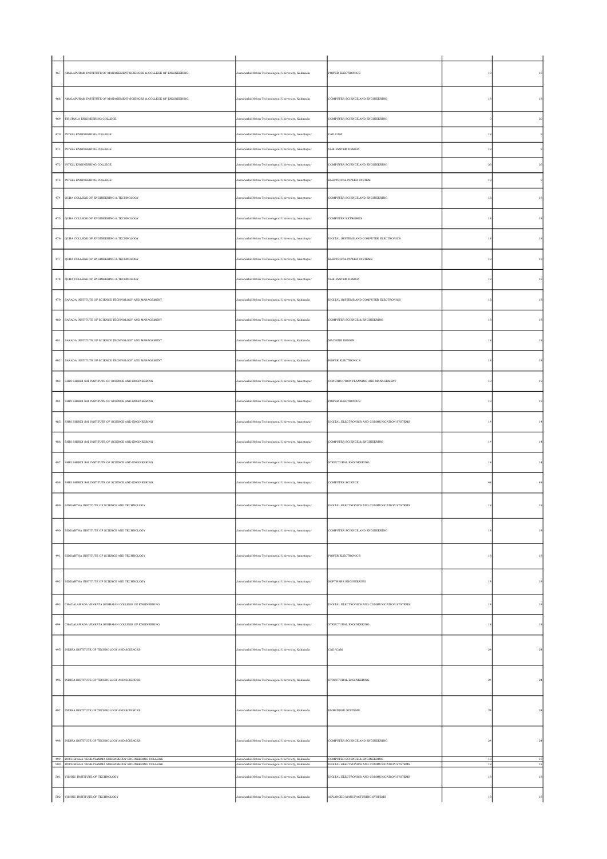| $467\,$      | AMALAPURAM INSTITUTE OF MANAGEMENT SCIENCES & COLLEGE OF ENGINEERING.                                            | Jawaharlal Nehru Technological University, Kakinada                                                        | POWER ELECTRONICS                                                               | 18          | 18          |
|--------------|------------------------------------------------------------------------------------------------------------------|------------------------------------------------------------------------------------------------------------|---------------------------------------------------------------------------------|-------------|-------------|
| 468          | AMALAPURAM INSTITUTE OF MANAGEMENT SCIENCES & COLLEGE OF ENGINEERING.                                            | Jawaharlal Nehru Technological University, Kakinada                                                        | COMPUTER SCIENCE AND ENGINEERING                                                | 18          | 18          |
| 469          | TIRUMALA ENGINEERING COLLEGE                                                                                     | Jawaharlal Nehru Technological University, Kakinada                                                        | COMPUTER SCIENCE AND ENGINEERING                                                |             | $_{\rm 30}$ |
| $_{\rm 470}$ | INTELL ENGINEERING COLLEGE                                                                                       | lawaharlal Nehru Technological University, Anantapur                                                       | CAD CAM                                                                         | 18          |             |
| $471\,$      | INTELL ENGINEERING COLLEGE                                                                                       | Jawaharlal Nehru Technological University, Anantapur                                                       | VLSI SYSTEM DESIGN                                                              | 18          |             |
| $472\,$      | INTELL ENGINEERING COLLEGE                                                                                       | Jawaharlal Nehru Technological University, Anantapur                                                       | COMPUTER SCIENCE AND ENGINEERING                                                | 36          | 36          |
| $_{\rm 473}$ | INTELL ENGINEERING COLLEGE                                                                                       | Jawaharlal Nehru Technological University, Anantapur                                                       | ELECTRICAL POWER SYSTEM                                                         | $18\,$      |             |
|              |                                                                                                                  |                                                                                                            |                                                                                 |             |             |
| $474\,$      | QUBA COLLEGE OF ENGINEERING & TECHNOLOGY                                                                         | Jawaharlal Nehru Technological University, Anantapur                                                       | COMPUTER SCIENCE AND ENGINEERING                                                | 18          | 18          |
| $475\,$      | QUBA COLLEGE OF ENGINEERING & TECHNOLOGY                                                                         | Jawaharlal Nehru Technological University, Anantapur                                                       | COMPUTER NETWORKS                                                               | 18          | $^{\rm 18}$ |
| $476\,$      | QUBA COLLEGE OF ENGINEERING & TECHNOLOGY                                                                         | Jawaharlal Nehru Technological University, Anantapur                                                       | DIGITAL SYSTEMS AND COMPUTER ELECTRONICS                                        | 18          | 18          |
| $477\,$      | QUBA COLLEGE OF ENGINEERING & TECHNOLOGY                                                                         | Jawaharlal Nehru Technological University, Anantapur                                                       | ELECTRICAL POWER SYSTEMS                                                        | 18          | 18          |
| 478          | QUBA COLLEGE OF ENGINEERING & TECHNOLOGY                                                                         | Jawaharlal Nehru Technological University, Anantapur                                                       | VLSI SYSTEM DESIGN                                                              | 18          | 18          |
| $479\,$      | SARADA INSTITUTE OF SCIENCE TECHNOLOGY AND MANAGEMENT                                                            | Jawaharlal Nehru Technological University, Kakinada                                                        | DIGITAL SYSTEMS AND COMPUTER ELECTRONICS                                        | 18          | $^{\rm 18}$ |
| $480\,$      | SARADA INSTITUTE OF SCIENCE TECHNOLOGY AND MANAGEMENT                                                            | Jawaharlal Nehru Technological University, Kakinada                                                        | COMPUTER SCIENCE & ENGINEERING                                                  | 18          | 18          |
| 481          | SARADA INSTITUTE OF SCIENCE TECHNOLOGY AND MANAGEMENT                                                            | Jawaharlal Nehru Technological University, Kakinada                                                        | <b>MACHINE DESIGN</b>                                                           | 18          | 18          |
| $\bf 482$    | SARADA INSTITUTE OF SCIENCE TECHNOLOGY AND MANAGEMENT                                                            | Jawaharlal Nehru Technological University, Kakinada                                                        | POWER ELECTRONICS                                                               | 18          | $^{\rm 18}$ |
| $\bf 483$    | SHRI SHIRDI SAI INSTITUTE OF SCIENCE AND ENGINEERING                                                             | Jawaharlal Nehru Technological University, Anantapur                                                       | CONSTRUCTION PLANNING AND MANAGEMENT                                            | 19          | $^{\rm 19}$ |
| 484          | SHRI SHIRDI SAI INSTITUTE OF SCIENCE AND ENGINEERING                                                             | Jawaharlal Nehru Technological University, Anantapur                                                       | POWER ELECTRONICS                                                               | 19          | 19          |
| 485          | SHRI SHIRDI SAI INSTITUTE OF SCIENCE AND ENGINEERING                                                             | Jawaharlal Nehru Technological University, Anantapur                                                       | DIGITAL ELECTRONICS AND COMMUNICATION SYSTEMS                                   | 14          | 14          |
| $\bf 486$    | SHRI SHIRDI SAI INSTITUTE OF SCIENCE AND ENGINEERING                                                             | Jawaharlal Nehru Technological University, Anantapur                                                       | COMPUTER SCIENCE & ENGINEERING                                                  | 14          | $^{\rm 14}$ |
| $\bf 487$    | SHRI SHIRDI SAI INSTITUTE OF SCIENCE AND ENGINEERING                                                             | Jawaharlal Nehru Technological University, Anantapur                                                       | STRUCTURAL ENGINEERING                                                          | $^{14}$     | $^{\rm 14}$ |
| 488          | SHRI SHIRDI SAI INSTITUTE OF SCIENCE AND ENGINEERING                                                             | Jawaharlal Nehru Technological University, Anantapur                                                       | COMPUTER SCIENCE                                                                | 48          | 48          |
| 489          | SIDDARTHA INSTITUTE OF SCIENCE AND TECHNOLOGY                                                                    | Jawaharial Nehru Technological University, Anantapur                                                       | DIGITAL ELECTRONICS AND COMMUNICATION SYSTEMS                                   | 18          | 18          |
| $490\,$      | SIDDARTHA INSTITUTE OF SCIENCE AND TECHNOLOGY                                                                    | Jawaharlal Nehru Technological University, Anantapur                                                       | COMPUTER SCIENCE AND ENGINEERING                                                | $^{\rm 18}$ | 18          |
| 491          | SIDDARTHA INSTITUTE OF SCIENCE AND TECHNOLOGY                                                                    | Jawaharlal Nehru Technological University, Anantapur                                                       | <b>POWER ELECTRONICS</b>                                                        | 18          | 18          |
| $492\,$      | SIDDARTHA INSTITUTE OF SCIENCE AND TECHNOLOGY                                                                    | Jawaharlal Nehru Technological University, Anantapur                                                       | SOFTWARE ENGINEERING                                                            | 18          | $^{\rm 18}$ |
| 493          | CHADALAWADA VENKATA SUBBAIAH COLLEGE OF ENGINEERING                                                              | Jawaharlal Nehru Technological University, Anantapur                                                       | DIGITAL ELECTRONICS AND COMMUNICATION SYSTEMS                                   | 18          | $^{\rm 18}$ |
| 494          | CHADALAWADA VENKATA SUBBAIAH COLLEGE OF ENGINEERING                                                              | Jawaharlal Nehru Technological University, Anantapur                                                       | STRUCTURAL ENGINEERING                                                          | 18          | 18          |
| $495\,$      | INDIRA INSTITUTE OF TECHNOLOGY AND SCIENCES                                                                      | Jawaharlal Nehru Technological University, Kakinada                                                        | CAD/CAM                                                                         | $^{24}$     | $\bf{24}$   |
| 496          | INDIRA INSTITUTE OF TECHNOLOGY AND SCIENCES                                                                      | Jawaharlal Nehru Technological University, Kakinada                                                        | STRUCTURAL ENGINEERING                                                          | $^{24}$     | 24          |
|              | 497 INDIRA INSTITUTE OF TECHNOLOGY AND SCIENCES                                                                  | Jawaharlal Nehru Technological University, Kakinada                                                        | <b>EMBEDDED SYSTEMS</b>                                                         | $^{24}$     | $^{24}$     |
| 498          | INDIRA INSTITUTE OF TECHNOLOGY AND SCIENCES                                                                      | Jawaharlal Nehru Technological University, Kakinada                                                        | COMPUTER SCIENCE AND ENGINEERING                                                | $^{24}$     | 24          |
| $500\,$      | 499 BUCHEPALLI VENKAYAMMA SUBBAREDDY ENGINEERING COLLEGE<br>BUCHEPALLI VENKAYAMMA SUBBAREDDY ENGINEERING COLLEGE | Jawaharlal Nehru Technological University, Kakinada<br>Jawaharlal Nehru Technological University, Kakinada | COMPUTER SCIENCE & ENGINEERING<br>DIGITAL ELECTRONICS AND COMMUNICATION SYSTEMS | 18<br>18    | 18<br>18    |
| $501\,$      | VISHNU INSTITUTE OF TECHNOLOGY                                                                                   | Jawaharlal Nehru Technological University, Kakinada                                                        | DIGITAL ELECTRONICS AND COMMUNICATION SYSTEMS                                   | 18          | $^{\rm 18}$ |
| $502\,$      | VISHNU INSTITUTE OF TECHNOLOGY                                                                                   | Jawaharlal Nehru Technological University, Kakinada                                                        | ADVANCED MANUFACTURING SYSTEMS                                                  |             | $^{\rm 18}$ |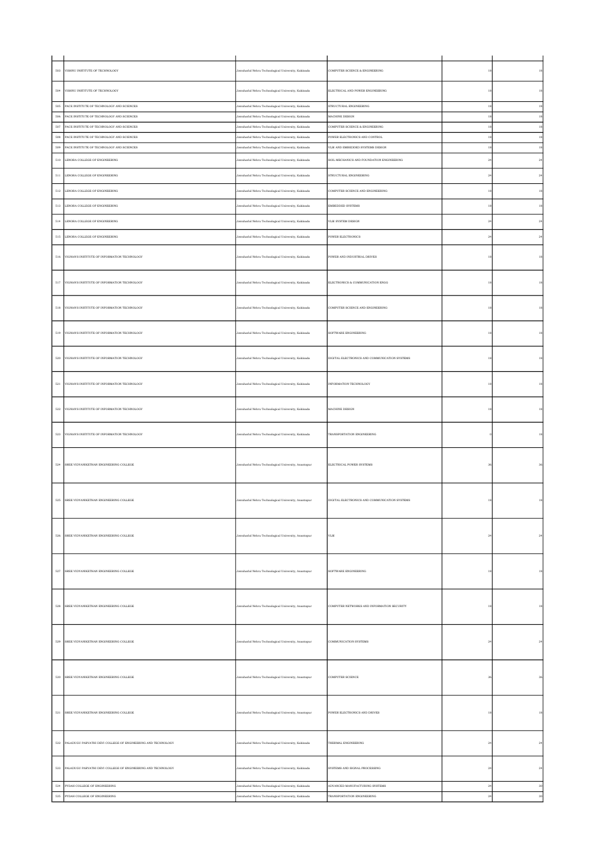| 503          | VISHNU INSTITUTE OF TECHNOLOGY                               | Jawaharlal Nehru Technological University, Kakinada  | COMPUTER SCIENCE & ENGINEERING                | 18          | $^{\rm 18}$ |
|--------------|--------------------------------------------------------------|------------------------------------------------------|-----------------------------------------------|-------------|-------------|
| $504\,$      | VISHNU INSTITUTE OF TECHNOLOGY                               | Jawaharlal Nehru Technological University, Kakinada  | ELECTRICAL AND POWER ENGINEERING              | $18\,$      | $^{\rm 18}$ |
| $505\,$      | PACE INSTITUTE OF TECHNOLOGY AND SCIENCES                    | Jawaharlal Nehru Technological University, Kakinada  | STRUCTURAL ENGINEERING                        | 18          | $^{\rm 18}$ |
| $506\,$      | PACE INSTITUTE OF TECHNOLOGY AND SCIENCES                    | Jawaharlal Nehru Technological University, Kakinada  | MACHINE DESIGN                                | 18          | $^{\rm 18}$ |
| 507          | PACE INSTITUTE OF TECHNOLOGY AND SCIENCES                    | Jawaharlal Nehru Technological University, Kakinada  | COMPUTER SCIENCE & ENGINEERING                | 18          | $^{\rm 18}$ |
| $_{\rm 508}$ | PACE INSTITUTE OF TECHNOLOGY AND SCIENCES                    | Jawaharlal Nehru Technological University, Kakinada  | POWER ELECTRONICS AND CONTROL                 | 18          | $^{\rm 18}$ |
| 509          | PACE INSTITUTE OF TECHNOLOGY AND SCIENCES                    | Jawaharlal Nehru Technological University, Kakinada  | VLSI AND EMBEDDED SYSTEMS DESIGN              | 18          | $^{\rm 18}$ |
|              |                                                              |                                                      |                                               |             |             |
| $_{510}$     | LENORA COLLEGE OF ENGINEERING                                | Jawaharlal Nehru Technological University, Kakinada  | SOIL MECHANICS AND FOUNDATION ENGINEERING     | $^{24}$     | $\bf{24}$   |
| $_{\rm 511}$ | LENORA COLLEGE OF ENGINEERING                                | Jawaharlal Nehru Technological University, Kakinada  | STRUCTURAL ENGINEERING                        | $^{\rm 24}$ | $\bf{24}$   |
|              |                                                              |                                                      |                                               |             |             |
| $512\,$      | LENORA COLLEGE OF ENGINEERING                                | Jawaharlal Nehru Technological University, Kakinada  | COMPUTER SCIENCE AND ENGINEERING              | 18          | $^{\rm 18}$ |
| $513\,$      | LENORA COLLEGE OF ENGINEERING                                | Jawaharlal Nehru Technological University, Kakinada  | EMBEDDED SYSTEMS                              | 18          | $^{\rm 18}$ |
| $514\,$      | LENORA COLLEGE OF ENGINEERING                                | Jawaharlal Nehru Technological University, Kakinada  | VLSI SYSTEM DESIGN                            | $^{24}$     | $\bf{24}$   |
|              |                                                              |                                                      |                                               |             |             |
| $_{515}$     | LENORA COLLEGE OF ENGINEERING                                | Jawaharlal Nehru Technological University, Kakinada  | POWER ELECTRONICS                             | $^{24}$     | $\bf{24}$   |
|              |                                                              |                                                      |                                               |             |             |
| 516          | VIGNAN'S INSTITUTE OF INFORMATION TECHNOLOGY                 | Jawaharlal Nehru Technological University, Kakinada  | POWER AND INDUSTRIAL DRIVES                   | 18          | 18          |
|              |                                                              |                                                      |                                               |             |             |
| $517\,$      | VIGNAN'S INSTITUTE OF INFORMATION TECHNOLOGY                 | Jawaharlal Nehru Technological University, Kakinada  | ELECTRONICS & COMMUNICATION ENGG              | 18          | $^{\rm 18}$ |
|              |                                                              |                                                      |                                               |             |             |
|              |                                                              |                                                      |                                               |             |             |
| $_{518}$     | VIGNAN'S INSTITUTE OF INFORMATION TECHNOLOGY                 | Jawaharlal Nehru Technological University, Kakinada  | COMPUTER SCIENCE AND ENGINEERING              | 18          | 18          |
|              |                                                              |                                                      |                                               |             |             |
| $519\,$      | VIGNAN'S INSTITUTE OF INFORMATION TECHNOLOGY                 | Jawaharlal Nehru Technological University, Kakinada  | SOFTWARE ENGINEERING                          | 18          | 18          |
|              |                                                              |                                                      |                                               |             |             |
|              |                                                              |                                                      |                                               |             |             |
| 520          | VIGNAN'S INSTITUTE OF INFORMATION TECHNOLOGY                 | Jawaharlal Nehru Technological University, Kakinada  | DIGITAL ELECTRONICS AND COMMUNICATION SYSTEMS | 18          | 18          |
|              |                                                              |                                                      |                                               |             |             |
|              |                                                              |                                                      |                                               |             |             |
| $521\,$      | VIGNAN'S INSTITUTE OF INFORMATION TECHNOLOGY                 | Jawaharlal Nehru Technological University, Kakinada  | INFORMATION TECHNOLOGY                        | 18          | 18          |
|              |                                                              |                                                      |                                               |             |             |
| $522\,$      | VIGNAN'S INSTITUTE OF INFORMATION TECHNOLOGY                 | Jawaharlal Nehru Technological University, Kakinada  | MACHINE DESIGN                                | 18          | $^{\rm 18}$ |
|              |                                                              |                                                      |                                               |             |             |
|              |                                                              |                                                      |                                               |             |             |
| 523          | VIGNAN'S INSTITUTE OF INFORMATION TECHNOLOGY                 | Jawaharlal Nehru Technological University, Kakinada  | TRANSPORTATION ENGINEERING                    |             | 18          |
|              |                                                              |                                                      |                                               |             |             |
|              |                                                              |                                                      |                                               |             |             |
| $524\,$      | SREE VIDYANIKETHAN ENGINEERING COLLEGE                       | Jawaharlal Nehru Technological University, Anantapur | ELECTRICAL POWER SYSTEMS                      |             | 36          |
|              |                                                              |                                                      |                                               |             |             |
|              |                                                              |                                                      |                                               |             |             |
| 525          | SREE VIDYANIKETHAN ENGINEERING COLLEGE                       | Jawaharlal Nehru Technological University, Anantapur | DIGITAL ELECTRONICS AND COMMUNICATION SYSTEMS |             | 18          |
|              |                                                              |                                                      |                                               |             |             |
|              |                                                              |                                                      |                                               |             |             |
|              |                                                              |                                                      |                                               |             |             |
| 526          | SREE VIDYANIKETHAN ENGINEERING COLLEGE                       | Jawaharlal Nehru Technological University, Anantapur | $_{\rm VLSI}$                                 | $^{24}$     | 24          |
|              |                                                              |                                                      |                                               |             |             |
|              |                                                              |                                                      |                                               |             |             |
| 527          | SREE VIDYANIKETHAN ENGINEERING COLLEGE                       | Jawaharlal Nehru Technological University, Anantapur | SOFTWARE ENGINEERING                          | 18          | $^{\rm 18}$ |
|              |                                                              |                                                      |                                               |             |             |
|              |                                                              |                                                      |                                               |             |             |
|              |                                                              |                                                      |                                               |             |             |
| 528          | SREE VIDYANIKETHAN ENGINEERING COLLEGE                       | Jawaharlal Nehru Technological University, Anantapur | COMPUTER NETWORKS AND INFORMATION SECURITY    | 18          | 18          |
|              |                                                              |                                                      |                                               |             |             |
|              |                                                              |                                                      |                                               |             |             |
| $529\,$      | SREE VIDYANIKETHAN ENGINEERING COLLEGE                       | Jawaharlal Nehru Technological University, Anantapur | COMMUNICATION SYSTEMS                         | $\sqrt{24}$ | $\sqrt{24}$ |
|              |                                                              |                                                      |                                               |             |             |
|              |                                                              |                                                      |                                               |             |             |
| $_{530}$     |                                                              |                                                      | COMPUTER SCIENCE                              | 36          |             |
|              | SREE VIDYANIKETHAN ENGINEERING COLLEGE                       | Jawaharlal Nehru Technological University, Anantapur |                                               |             |             |
|              |                                                              |                                                      |                                               |             |             |
|              |                                                              |                                                      |                                               |             |             |
| $531\,$      | SREE VIDYANIKETHAN ENGINEERING COLLEGE                       | Jawaharlal Nehru Technological University, Anantapur | POWER ELECTRONICS AND DRIVES                  | 18          | $^{\rm 18}$ |
|              |                                                              |                                                      |                                               |             |             |
|              |                                                              |                                                      |                                               |             |             |
| $532\,$      | PALADUGU PARVATHI DEVI COLLEGE OF ENGINEERING AND TECHNOLOGY | Jawaharlal Nehru Technological University, Kakinada  | THERMAL ENGINEERING                           | $_{\rm 24}$ | $\bf{24}$   |
|              |                                                              |                                                      |                                               |             |             |
| 533          | PALADUGU PARVATHI DEVI COLLEGE OF ENGINEERING AND TECHNOLOGY |                                                      | SYSTEMS AND SIGNAL PROCESSING                 | $^{24}$     | 24          |
|              |                                                              | Jawaharlal Nehru Technological University, Kakinada  |                                               |             |             |
| 534          | PYDAH COLLEGE OF ENGINEERING                                 | Jawaharlal Nehru Technological University, Kakinada  | ADVANCED MANUFACTURING SYSTEMS                | $\sqrt{24}$ | $30\,$      |
| $535\,$      | PYDAH COLLEGE OF ENGINEERING                                 | Jawaharlal Nehru Technological University, Kakinada  | TRANSPORTATION ENGINEERING                    | $\sqrt{24}$ | 30          |
|              |                                                              |                                                      |                                               |             |             |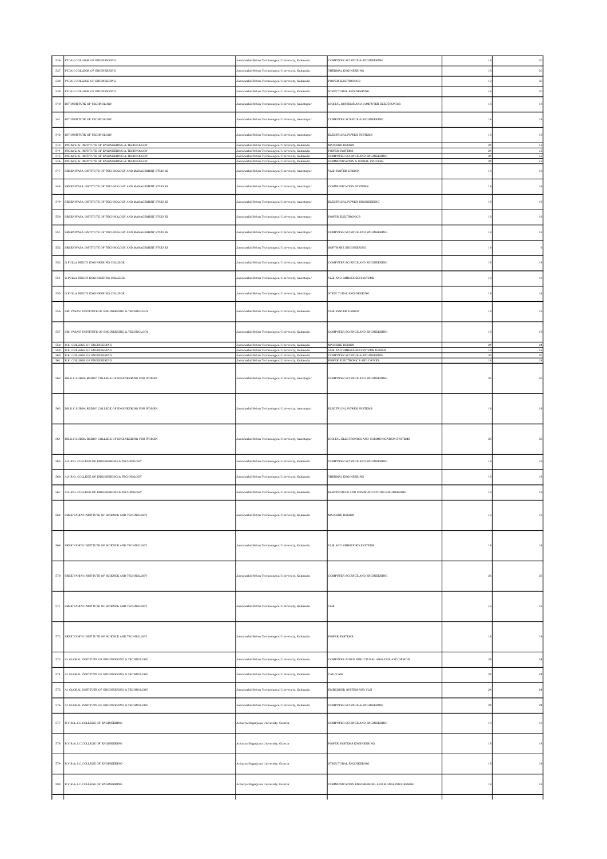| 536          | PYDAH COLLEGE OF ENGINEERING                                                                               | Jawaharlal Nehru Technological University, Kakinada                                                        | COMPUTER SCIENCE & ENGINEERING                                 | 18             | 30           |
|--------------|------------------------------------------------------------------------------------------------------------|------------------------------------------------------------------------------------------------------------|----------------------------------------------------------------|----------------|--------------|
| 537          | PYDAH COLLEGE OF ENGINEERING                                                                               | Jawaharlal Nehru Technological University, Kakinada                                                        | THERMAL ENGINEERING                                            | 18             | 30           |
| 538          | PYDAH COLLEGE OF ENGINEERING                                                                               | Jawaharlal Nehru Technological University, Kakinada                                                        | OWER ELECTRONICS                                               |                | $_{\rm 30}$  |
| 539          | PYDAH COLLEGE OF ENGINEERING                                                                               | Jawaharlal Nehru Technological University, Kakinada                                                        | STRUCTURAL ENGINEERING                                         | 18             | 30           |
| 540          | BIT INSTITUTE OF TECHNOLOGY                                                                                | Jawaharlal Nehru Technological University, Anantapur                                                       | DIGITAL SYSTEMS AND COMPUTER ELECTRONICS                       |                | $^{\rm 18}$  |
| 541          | BIT INSTITUTE OF TECHNOLOGY                                                                                | Jawaharlal Nehru Technological University, Anantapur                                                       | COMPUTER SCEINCE & ENGINEERING                                 |                | $^{\rm 18}$  |
| $542\,$      | BIT INSTITUTE OF TECHNOLOGY                                                                                | Jawaharlal Nehru Technological University, Anantapur                                                       | ELECTRICAL POWER SYSTEMS                                       | 18             | $^{\rm 18}$  |
|              | 543 PNC&VIJAI INSTITUTE OF ENGINEERING & TECHNOLGOY                                                        | Jawaharlal Nehru Technological University, Kakinada                                                        | MACHINE DESIGN                                                 | $^{24}$        | 12           |
|              | 544 PNC&VLJAI INSTITUTE OF ENGINEERING & TECHNOLGOY<br>545 PNC&VIJAI INSTITUTE OF ENGINEERING & TECHNOLGOY | Jawaharlal Nehru Technological University, Kakinada<br>Jawaharlal Nehru Technological University, Kakinada | <b>POWER SYSTEMS</b><br>COMPUTER SCIENCE AND ENGINEERING       | 24<br>24       | 12<br>12     |
|              | 546 PNC&VLJAI INSTITUTE OF ENGINEERING & TECHNOLGOY                                                        | Jawaharlal Nehru Technological University, Kakinada                                                        | COMMUNICATION & SIGNAL PROCESS                                 | $^{24}$        | 12           |
| 547          | SREENIVASA INSTITUTE OF TECHNOLOGY AND MANAGEMENT STUDIES                                                  | Jawaharlal Nehru Technological University, Anantapur                                                       | VLSI SYSTEM DESIGN                                             | 18             | 18           |
| 548          | SREENIVASA INSTITUTE OF TECHNOLOGY AND MANAGEMENT STUDIES                                                  | Jawaharlal Nehru Technological University, Anantapur                                                       | COMMUNICATION SYSTEMS                                          |                | 18           |
| 549          | SREENIVASA INSTITUTE OF TECHNOLOGY AND MANAGEMENT STUDIES                                                  | Jawaharlal Nehru Technological University, Anantapur                                                       | ELECTRICAL POWER ENGINEERING                                   |                | 18           |
| 550          | SREENIVASA INSTITUTE OF TECHNOLOGY AND MANAGEMENT STUDIES                                                  | Jawaharlal Nehru Technological University, Anantapur                                                       | <b>POWER ELECTRONICS</b>                                       |                | 18           |
| 551          | SREENIVASA INSTITUTE OF TECHNOLOGY AND MANAGEMENT STUDIES                                                  | Jawaharlal Nehru Technological University, Anantapur                                                       | COMPUTER SCIENCE AND ENGINEERING                               |                | 18           |
| 552          | SREENIVASA INSTITUTE OF TECHNOLOGY AND MANAGEMENT STUDIES                                                  | Jawaharlal Nehru Technological University, Anantapur                                                       | SOFTWARE ENGINEERING                                           |                |              |
| 553          | G.PULLA REDDY ENGINEERING COLLEGE                                                                          | Jawaharlal Nehru Technological University, Anantapur                                                       | COMPUTER SCIENCE AND ENGINEERING                               |                | 18           |
| 554          | G.PULLA REDDY ENGINEERING COLLEGE                                                                          | Jawaharlal Nehru Technological University, Anantapur                                                       | VLSI AND EMBEDDED SYSTEMS                                      |                | 18           |
| 555          | G.PULLA REDDY ENGINEERING COLLEGE                                                                          | Jawaharlal Nehru Technological University, Anantapur                                                       | STRUCTURAL ENGINEERING                                         |                | 18           |
| 556          | SRI VASAVI INSTITUTE OF ENGINEERING & TECHNOLOGY                                                           | Jawaharlal Nehru Technological University, Kakinada                                                        | VLSI SYSTEM DESIGN                                             |                | 18           |
|              |                                                                                                            |                                                                                                            |                                                                | 18             |              |
| 557          | SRI VASAVI INSTITUTE OF ENGINEERING & TECHNOLOGY                                                           | Jawaharlal Nehru Technological University, Kakinada                                                        | COMPUTER SCIENCE AND ENGINEERING                               | 18             | 18           |
|              | 558 R.K. COLLEGE OF ENGINEERING<br>559 R.K. COLLEGE OF ENGINEERING                                         | Jawaharlal Nehru Technological University, Kakinada<br>Jawaharlal Nehru Technological University, Kakinada | MACHINE DESIGN<br>VLSI AND EMBEDDED SYSTEMS DESIGN             | $^{24}$<br>18  | 24<br>18     |
|              | 560 R.K. COLLEGE OF ENGINEERING<br>561 R.K. COLLEGE OF ENGINEERING                                         | Jawaharlal Nehru Technological University, Kakinada<br>Jawaharlal Nehru Technological University, Kakinada | COMPUTER SCIENCE & ENGINEERING<br>POWER ELECTRONICS AND DRIVES | 36<br>18       | 36<br>$18\,$ |
|              |                                                                                                            |                                                                                                            |                                                                |                |              |
|              | 562 DR.K.V.SUBBA REDDY COLLEGE OF ENGINEERING FOR WOMEN                                                    | Jawaharlal Nehru Technological University, Anantapur                                                       | COMPUTER SCIENCE AND ENGINEERING                               |                | 36           |
| $563\,$      | DR.K.V.SUBBA REDDY COLLEGE OF ENGINEERING FOR WOMEN                                                        | Jawaharlal Nehru Technological University, Anantapur                                                       | ELECTRICAL POWER SYSTEMS                                       |                |              |
| 564          | DR.K.V.SUBBA REDDY COLLEGE OF ENGINEERING FOR WOMEN                                                        | Jawaharlal Nehru Technological University, Anantapur                                                       | DIGITAL ELECTRONICS AND COMMUNICATION SYSTEMS                  |                | 36           |
| 565          | A.K.R.G. COLLEGE OF ENGINEERING & TECHNOLOGY                                                               | Jawaharlal Nehru Technological University, Kakinada                                                        | COMPUTER SCIENCE AND ENGINEERING                               |                | 18           |
| 566          | A.K.R.G. COLLEGE OF ENGINEERING & TECHNOLOGY                                                               | Jawaharlal Nehru Technological University, Kakinada                                                        | THERMAL ENGINEERING                                            |                | 18           |
| 567          | A.K.R.G. COLLEGE OF ENGINEERING & TECHNOLOGY                                                               | Jawaharlal Nehru Technological University, Kakinada                                                        | ELECTRONICS AND COMMUNICATIONS ENGINEERING                     |                | 18           |
| 568          | SREE VAHINI INSTITUTE OF SCIENCE AND TECHNOLOGY                                                            | Jawaharlal Nehru Technological University, Kakinada                                                        | MACHINE DESIGN                                                 | 18             | $18\,$       |
| 569          | SREE VAHINI INSTITUTE OF SCIENCE AND TECHNOLOGY                                                            | Jawaharlal Nehru Technological University, Kakinada                                                        | VLSI AND EMBEDDED SYSTEMS                                      | 18             | 18           |
| $_{\rm 570}$ | SREE VAHINI INSTITUTE OF SCIENCE AND TECHNOLOGY                                                            | Jawaharlal Nehru Technological University, Kakinada                                                        | COMPUTER SCIENCE AND ENGINEERING                               |                | 36           |
| $_{\rm 571}$ | SREE VAHINI INSTITUTE OF SCIENCE AND TECHNOLOGY                                                            | Jawaharlal Nehru Technological University, Kakinada                                                        | $_{\rm VLSI}$                                                  |                | 18           |
| $572\,$      | SREE VAHINI INSTITUTE OF SCIENCE AND TECHNOLOGY                                                            | Jawaharlal Nehru Technological University, Kakinada                                                        | POWER SYSTEMS                                                  |                | 18           |
| $573\,$      | A1 GLOBAL INSTITUTE OF ENGINEERING & TECHNOLOGY                                                            | Jawaharlal Nehru Technological University, Kakinada                                                        | COMPUTER AIDED STRUCTURAL ANALYSIS AND DESIGN                  | $^{24}$        | $\bf{24}$    |
| $574\,$      | A1 GLOBAL INSTITUTE OF ENGINEERING & TECHNOLOGY                                                            | Jawaharlal Nehru Technological University, Kakinada                                                        | CAD/CAM                                                        | 2 <sup>i</sup> | $\bf{24}$    |
| $575\,$      | A1 GLOBAL INSTITUTE OF ENGINEERING & TECHNOLOGY                                                            | lawaharlal Nehru Technological University, Kakinada                                                        | EMBEDDED SYSTEM AND VLSI                                       | $^{24}$        | $\bf{24}$    |
| 576          | A1 GLOBAL INSTITUTE OF ENGINEERING & TECHNOLOGY                                                            | Jawaharlal Nehru Technological University, Kakinada                                                        | COMPUTER SCIENCE & ENGINEERING                                 | 2 <sup>i</sup> | $\bf{24}$    |
|              | 577 R.V.R.& J.C.COLLEGE OF ENGINEERING                                                                     | Acharya Nagarjuna University, Guntur                                                                       | COMPUTER SCIENCE AND ENGINEERING                               | 18             | 18           |
| $578\,$      | R.V.R.& J.C.COLLEGE OF ENGINEERING                                                                         | Acharya Nagarjuna University, Guntur                                                                       | POWER SYSTEMS ENGINEERING                                      |                | $^{\rm 18}$  |
|              |                                                                                                            |                                                                                                            |                                                                |                |              |
| 579          | R.V.R.A J.C.COLLEGE OF ENGINEERING                                                                         | Acharya Nagarjuna University, Guntur                                                                       | STRUCTURAL ENGINEERING                                         | 18             | $^{\rm 18}$  |
| 580          | R.V.R.& J.C.COLLEGE OF ENGINEERING                                                                         | Acharya Nagarjuna University, Guntur                                                                       | COMMUNICATION ENGINEERING AND SIGNAL PROCESSING                | 18             | 18           |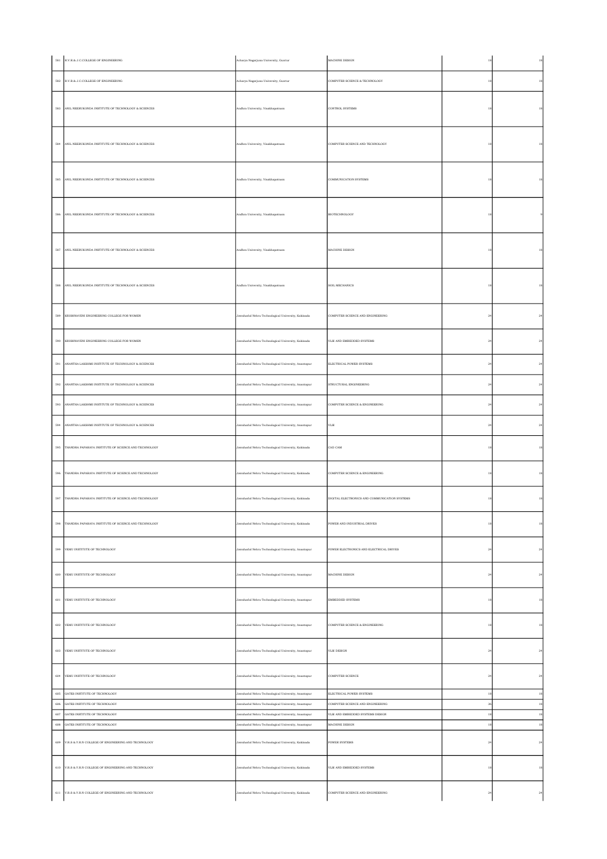|         | 581 R.V.R.& J.C.COLLEGE OF ENGINEERING                   | Acharya Nagarjuna University, Guntur                 | MACHINE DESIGN                                | 18           | $^{\rm 18}$ |
|---------|----------------------------------------------------------|------------------------------------------------------|-----------------------------------------------|--------------|-------------|
|         | 582 R.V.R.& J.C.COLLEGE OF ENGINEERING                   | Acharya Nagarjuna University, Guntur                 | COMPUTER SCIENCE & TECHNOLOGY                 | 18           | $18\,$      |
|         | 583 ANIL NEERUKONDA INSTITUTE OF TECHNOLOGY & SCIENCES   | Andhra University, Visakhapatnam                     | CONTROL SYSTEMS                               | 18           |             |
|         | 584 ANIL NEERUKONDA INSTITUTE OF TECHNOLOGY & SCIENCES   | Andhra University, Visakhapatnam                     | COMPUTER SCIENCE AND TECHNOLOGY               | 18           |             |
| 585     | ANL NEERUKONDA INSTITUTE OF TECHNOLOGY & SCIENCES        | Andhra University, Visakhapatnam                     | COMMUNICATION SYSTEMS                         | 18           |             |
| 586     | ANL NEERUKONDA INSTITUTE OF TECHNOLOGY & SCIENCES        | Andhra University, Visakhapatnam                     | <b>BIOTECHNOLOGY</b>                          | 18           |             |
| 587     | ANIL NEERUKONDA INSTITUTE OF TECHNOLOGY & SCIENCES       | Andhra University, Visakhapatnam                     | MACHINE DESIGN                                | $18\,$       |             |
|         | 588 ANIL NEERUKONDA INSTITUTE OF TECHNOLOGY & SCIENCES   | Andhra University, Visakhapatnam                     | SOIL MECHANICS                                | 18           | 18          |
|         | 589 KRISHNAVENI ENGINEERING COLLEGE FOR WOMEN            | Jawaharlal Nehru Technological University, Kakinada  | COMPUTER SCIENCE AND ENGINEERING              | $\sqrt{24}$  | $^{24}$     |
|         | 590 KRISHNAVENI ENGINEERING COLLEGE FOR WOMEN            | Jawaharlal Nehru Technological University, Kakinada  | VLSI AND EMBEDDED SYSTEMS                     | $^{\rm 24}$  | $\bf{24}$   |
|         | 591 ANANTHA LAKSHMI INSTITUTE OF TECHNOLOGY & SCIENCES   | Jawaharlal Nehru Technological University, Anantapur | ELECTRICAL POWER SYSTEMS                      | $\bf{^{24}}$ | $\,24$      |
| $592\,$ | ANANTHA LAKSHMI INSTITUTE OF TECHNOLOGY & SCIENCES       | Jawaharlal Nehru Technological University, Anantapur | STRUCTURAL ENGINEERING                        | $\bf{^{24}}$ | $\,24$      |
|         | 593 ANANTHA LAKSHMI INSTITUTE OF TECHNOLOGY & SCIENCES   | Jawaharlal Nehru Technological University, Anantapur | COMPUTER SCIENCE & ENGINEERING                | $\sqrt{24}$  | 24          |
|         | 594 ANANTHA LAKSHMI INSTITUTE OF TECHNOLOGY & SCIENCES   | Jawaharlal Nehru Technological University, Anantapur | VLSI                                          | $\sqrt{24}$  | $\bf{24}$   |
|         | 595 THANDRA PAPARAYA INSTITUTE OF SCIENCE AND TECHNOLOGY | Jawaharlal Nehru Technological University, Kakinada  | CAD CAM                                       | $^{\rm 18}$  | 18          |
|         | 596 THANDRA PAPARAYA INSTITUTE OF SCIENCE AND TECHNOLOGY | Jawaharlal Nehru Technological University, Kakinada  | COMPUTER SCIENCE & ENGINEERING                | $^{\rm 18}$  | $^{\rm 18}$ |
|         | 597 THANDRA PAPARAYA INSTITUTE OF SCIENCE AND TECHNOLOGY | Jawaharlal Nehru Technological University, Kakinada  | DIGITAL ELECTRONICS AND COMMUNICATION SYSTEMS | $18\,$       | 18          |
|         | 598 THANDRA PAPARAYA INSTITUTE OF SCIENCE AND TECHNOLOGY | Jawaharlal Nehru Technological University, Kakinada  | POWER AND INDUSTRIAL DRIVES                   | 18           | $18\,$      |
|         | 599 VEMU INSTITUTE OF TECHNOLOGY                         | Jawaharlal Nehru Technological University, Anantapur | POWER ELECTRONICS AND ELECTRICAL DRIVES       | $\bf{^{24}}$ | $\bf{24}$   |
| 600     | VEMU INSTITUTE OF TECHNOLOGY                             | Jawaharlal Nehru Technological University, Anantapur | MACHINE DESIGN                                | $\sqrt{24}$  | $^{24}$     |
|         | 601 VEMU INSTITUTE OF TECHNOLOGY                         | Jawaharlal Nehru Technological University, Anantapur | EMBEDDED SYSTEMS                              | $^{\rm 18}$  | $^{\rm 18}$ |
|         | 602 VEMU INSTITUTE OF TECHNOLOGY                         | Jawaharlal Nehru Technological University, Anantapur | COMPUTER SCIENCE & ENGINEERING                | $18\,$       | 18          |
| 603     | VEMU INSTITUTE OF TECHNOLOGY                             | Jawaharlal Nehru Technological University, Anantapur | VLSI DESIGN                                   | $_{\rm 24}$  | $\bf{24}$   |
|         | 604 VEMU INSTITUTE OF TECHNOLOGY                         | Jawaharlal Nehru Technological University, Anantapur | COMPUTER SCIENCE                              | $\sqrt{24}$  | 24          |
| 605     | GATES INSTITUTE OF TECHNOLOGY                            | Jawaharlal Nehru Technological University, Anantapur | ELECTRICAL POWER SYSTEMS                      | 18           | 18          |
| 606     | GATES INSTITUTE OF TECHNOLOGY                            | Jawaharlal Nehru Technological University, Anantapur | COMPUTER SCIENCE AND ENGINEERING              | 36           | $^{\rm 18}$ |
| $607\,$ | GATES INSTITUTE OF TECHNOLOGY                            | lawaharlal Nehru Technological University, Anantapur | VLSI AND EMBEDDED SYSTEMS DESIGN              | $^{\rm 18}$  | $^{\rm 18}$ |
| $608\,$ | GATES INSTITUTE OF TECHNOLOGY                            | Jawaharlal Nehru Technological University, Anantapur | MACHINE DESIGN                                | $^{\rm 18}$  | 18          |
| $609\,$ | V.R.S & Y.R.N COLLEGE OF ENGINEERING AND TECHNOLOGY      | Jawaharlal Nehru Technological University, Kakinada  | POWER SYSTEMS                                 | $_{\rm 24}$  | $\sqrt{24}$ |
|         | 610 V.R.S & Y.R.N COLLEGE OF ENGINEERING AND TECHNOLOGY  | Jawaharlal Nehru Technological University, Kakinada  | VLSI AND EMBEDDED SYSTEMS                     | $18\,$       | $18\,$      |
|         | 611 V.R.S & Y.R.N COLLEGE OF ENGINEERING AND TECHNOLOGY  | Jawaharlal Nehru Technological University, Kakinada  | COMPUTER SCIENCE AND ENGINEERING              | 24           | $^{\rm 24}$ |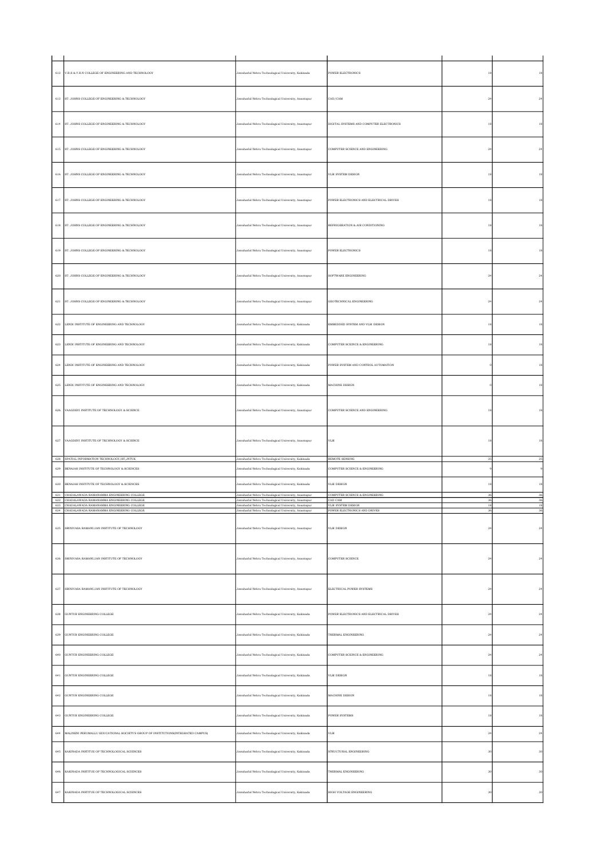|              | 612 V.R.S & Y.R.N COLLEGE OF ENGINEERING AND TECHNOLOGY                                                                                             | Jawaharlal Nehru Technological University, Kakinada                                                                                                                  | <b>POWER ELECTRONICS</b>                                      | 18             | 18                 |
|--------------|-----------------------------------------------------------------------------------------------------------------------------------------------------|----------------------------------------------------------------------------------------------------------------------------------------------------------------------|---------------------------------------------------------------|----------------|--------------------|
|              | 613 ST. JOHNS COLLEGE OF ENGINEERING & TECHNOLOGY                                                                                                   | Jawaharlal Nehru Technological University, Anantapur                                                                                                                 | CAD/CAM                                                       | $\sqrt{24}$    | $^{24}$            |
|              | 614 ST. JOHNS COLLEGE OF ENGINEERING & TECHNOLOGY                                                                                                   | Jawaharlal Nehru Technological University, Anantapur                                                                                                                 | DIGITAL SYSTEMS AND COMPUTER ELECTRONICS                      | $^{\rm 18}$    | 18                 |
|              | 615 ST. JOHNS COLLEGE OF ENGINEERING & TECHNOLOGY                                                                                                   | Jawaharlal Nehru Technological University, Anantapur                                                                                                                 | COMPUTER SCIENCE AND ENGINEERING                              | $\sqrt{24}$    | 24                 |
|              | 616 ST. JOHNS COLLEGE OF ENGINEERING & TECHNOLOGY                                                                                                   | Jawaharlal Nehru Technological University, Anantapur                                                                                                                 | VLSI SYSTEM DESIGN                                            | $\frac{18}{2}$ | $^{\rm 18}$        |
|              | 617 ST. JOHNS COLLEGE OF ENGINEERING & TECHNOLOGY                                                                                                   | Jawaharlal Nehru Technological University, Anantapur                                                                                                                 | POWER ELECTRONICS AND ELECTRICAL DRIVES                       | 18             | 18                 |
|              | 618 ST. JOHNS COLLEGE OF ENGINEERING & TECHNOLOGY                                                                                                   | Jawaharlal Nehru Technological University, Anantapur                                                                                                                 | REFRIGERATION & AIR CONDITIONING                              | $^{\rm 18}$    | 18                 |
|              | 619 ST. JOHNS COLLEGE OF ENGINEERING & TECHNOLOGY                                                                                                   | Jawaharlal Nehru Technological University, Anantapur                                                                                                                 | <b>POWER ELECTRONICS</b>                                      | 18             | 18                 |
| $_{\rm 620}$ | ST. JOHNS COLLEGE OF ENGINEERING & TECHNOLOGY                                                                                                       | Jawaharlal Nehru Technological University, Anantapur                                                                                                                 | SOFTWARE ENGINEERING                                          | $^{24}$        |                    |
|              | 621 ST. JOHNS COLLEGE OF ENGINEERING & TECHNOLOGY                                                                                                   | Jawaharlal Nehru Technological University, Anantapur                                                                                                                 | GEOTECHNICAL ENGINEERING                                      | $^{\rm 24}$    | $^{24}$            |
|              | 622 LENDI INSTITUTE OF ENGINEERING AND TECHNOLOGY                                                                                                   | Jawaharlal Nehru Technological University, Kakinada                                                                                                                  | EMBEDDED SYSTEM AND VLSI DESIGN                               | $^{\rm 18}$    | $^{\rm 18}$        |
|              | 623 LENDI INSTITUTE OF ENGINEERING AND TECHNOLOGY                                                                                                   | Jawaharlal Nehru Technological University, Kakinada                                                                                                                  | COMPUTER SCEINCE & ENGINEERING                                | $^{\rm 18}$    | $^{\rm 18}$        |
|              | 624 LENDI INSTITUTE OF ENGINEERING AND TECHNOLOGY                                                                                                   | Jawaharlal Nehru Technological University, Kakinada                                                                                                                  | POWER SYSTEM AND CONTROL AUTOMATION                           |                | 18                 |
|              | 625 LENDI INSTITUTE OF ENGINEERING AND TECHNOLOGY                                                                                                   | Jawaharlal Nehru Technological University, Kakinada                                                                                                                  | MACHINE DESIGN                                                |                | 18                 |
| $626\,$      | VAAGDEVI INSTITUTE OF TECHNOLOGY & SCIENCE                                                                                                          | Jawaharlal Nehru Technological University, Anantapur                                                                                                                 | COMPUTER SCIENCE AND ENGINEERING                              | 18             |                    |
| $627\,$      | VAAGDEVI INSTITUTE OF TECHNOLOGY & SCIENCE                                                                                                          | Jawaharlal Nehru Technological University, Anantapur                                                                                                                 | VLSI                                                          | 18             |                    |
| 629          | 628 SPATIAL INFORMATION TECHNOLOGY, IST, JNTUK<br>BENAIAH INSTITUTE OF TECHNOLOGY & SCIENCES                                                        | Jawaharlal Nehru Technological University, Kakinada<br>Jawaharlal Nehru Technological University, Kakinada                                                           | REMOTE SENSING<br>COMPUTER SCIENCE & ENGINEERING              | 25             | 25                 |
| 630          | BENAIAH INSTITUTE OF TECHNOLOGY & SCIENCES                                                                                                          | Jawaharlal Nehru Technological University, Kakinada                                                                                                                  | VLSI DESIGN                                                   | 18             | 18                 |
|              | 631 CHADALAWADA RAMANAMMA ENGINEERING COLLEGE                                                                                                       | Jawaharlal Nehru Technological University, Anantapur                                                                                                                 | COMPUTER SCIENCE & ENGINEERING                                | 36             | 36                 |
|              | $632$ CHADALAWADA RAMANAMMA ENGINEERING COLLEGE<br>633 CHADALAWADA RAMANAMMA ENGINEERING COLLEGE<br>$634$ CHADALAWADA RAMANAMMA ENGINEERING COLLEGE | Jawaharlal Nehru Technological University, Anantapur<br>Jawaharlal Nehru Technological University, Anantapur<br>Jawaharlal Nehru Technological University, Anantapur | CAD CAM<br>VLSI SYSTEM DESIGN<br>POWER ELECTRONICS AND DRIVES | 36<br>18<br>36 | $36\,$<br>18<br>36 |
| $635\,$      | SRINIVASA RAMANUJAN INSTITUTE OF TECHNOLOGY                                                                                                         | Jawaharlal Nehru Technological University, Anantapur                                                                                                                 | VLSI DESIGN                                                   | 24             |                    |
|              | 636 SRINIVASA RAMANUJAN INSTITUTE OF TECHNOLOGY                                                                                                     | Jawaharlal Nehru Technological University, Anantapur                                                                                                                 | COMPUTER SCIENCE                                              | $\bf 24$       | $\bf{^{24}}$       |
| 637          | SRINIVASA RAMANUJAN INSTITUTE OF TECHNOLOGY                                                                                                         | Jawaharlal Nehru Technological University, Anantapur                                                                                                                 | ELECTRICAL POWER SYSTEMS                                      | $^{\rm 24}$    | $^{24}$            |
| 638          | GUNTUR ENGINEERING COLLEGE                                                                                                                          | Jawaharlal Nehru Technological University, Kakinada                                                                                                                  | POWER ELECTRONICS AND ELECTRICAL DRIVES                       | 24             | $^{24}$            |
| 639          | <b>GUNTUR ENGINEERING COLLEGE</b>                                                                                                                   | Jawaharlal Nehru Technological University, Kakinada                                                                                                                  | THERMAL ENGINEERING                                           | $\bf 24$       | 24                 |
| 640          | GUNTUR ENGINEERING COLLEGE                                                                                                                          | Jawaharlal Nehru Technological University, Kakinada                                                                                                                  | COMPUTER SCEINCE & ENGINEERING                                | $^{\rm 24}$    | $\bf{^{24}}$       |
| $641\,$      | GUNTUR ENGINEERING COLLEGE                                                                                                                          | Jawaharlal Nehru Technological University, Kakinada                                                                                                                  | VLSI DESIGN                                                   | $^{\rm 18}$    | $^{\rm 18}$        |
|              | 642 GUNTUR ENGINEERING COLLEGE                                                                                                                      | Jawaharlal Nehru Technological University, Kakinada                                                                                                                  | MACHINE DESIGN                                                | $18\,$         | $^{\rm 18}$        |
| 643          | GUNTUR ENGINEERING COLLEGE                                                                                                                          | Jawaharlal Nehru Technological University, Kakinada                                                                                                                  | POWER SYSTEMS                                                 | $\frac{18}{2}$ | $^{\rm 18}$        |
| 644          | MALINENI PERUMALLU EDUCATIONAL SOCIETY'S GROUP OF INSTITUTIONS(INTEGRATED CAMPUS)                                                                   | Jawaharlal Nehru Technological University, Kakinada                                                                                                                  | VLSI                                                          | $\sqrt{24}$    | 24                 |
|              | 645 KAKINADA INSTITUE OF TECHNOLOGICAL SCIENCES                                                                                                     | Jawaharlal Nehru Technological University, Kakinada                                                                                                                  | STRUCTURAL ENGINEERING                                        | 30             | 30                 |
| 646          |                                                                                                                                                     | Jawaharlal Nehru Technological University, Kakinada                                                                                                                  | THERMAL ENGINEERING                                           | 30             | 30                 |
|              | KAKINADA INSTITUE OF TECHNOLOGICAL SCIENCES                                                                                                         |                                                                                                                                                                      |                                                               |                |                    |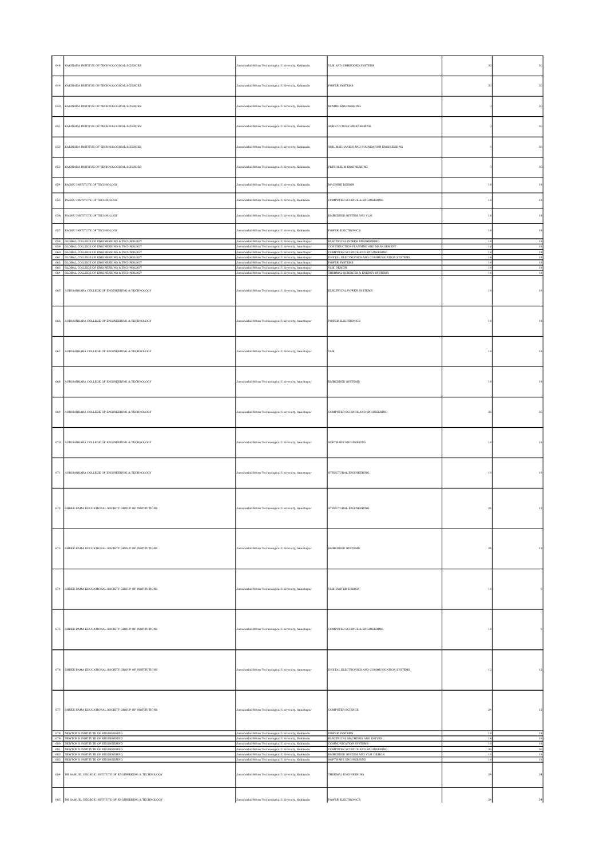| $_{\rm 648}$ | KAKINADA INSTITUE OF TECHNOLOGICAL SCIENCES                                                      | Jawaharlal Nehru Technological University, Kakinada                                                                                                                  | VLSI AND EMBEDDED SYSTEMS                                                         |              | 30                    |
|--------------|--------------------------------------------------------------------------------------------------|----------------------------------------------------------------------------------------------------------------------------------------------------------------------|-----------------------------------------------------------------------------------|--------------|-----------------------|
| $649\,$      | KAKINADA INSTITUE OF TECHNOLOGICAL SCIENCES                                                      | Jawaharlal Nehru Technological University, Kakinada                                                                                                                  | POWER SYSTEMS                                                                     | 30           | 30                    |
| 650          | KAKINADA INSTITUE OF TECHNOLOGICAL SCIENCES                                                      | Jawaharlal Nehru Technological University, Kakinada                                                                                                                  | MINING ENGINEERING                                                                |              | 30                    |
| $651\,$      | KAKINADA INSTITUE OF TECHNOLOGICAL SCIENCES                                                      | Jawaharlal Nehru Technological University, Kakinada                                                                                                                  | AGRICULTURE ENGINEERING                                                           |              | 30                    |
| $_{\rm 652}$ | KAKINADA INSTITUE OF TECHNOLOGICAL SCIENCES                                                      | Jawaharlal Nehru Technological University, Kakinada                                                                                                                  | SOIL MECHANICS AND FOUNDATION ENGINEERING                                         |              | 30                    |
|              | 653 KAKINADA INSTITUE OF TECHNOLOGICAL SCIENCES                                                  | Jawaharlal Nehru Technological University, Kakinada                                                                                                                  | PETROLEUM ENGINEERING                                                             |              | 30                    |
| $654\,$      | RAGHU INSTITUTE OF TECHNOLOGY                                                                    | Jawaharlal Nehru Technological University, Kakinada                                                                                                                  | MACHINE DESIGN                                                                    | $^{\rm 18}$  | 18                    |
| 655          | RAGHU INSTITUTE OF TECHNOLOGY                                                                    | Jawaharlal Nehru Technological University, Kakinada                                                                                                                  | COMPUTER SCIENCE & ENGINEERING                                                    | 18           | 18                    |
| 656          | RAGHU INSTITUTE OF TECHNOLOGY                                                                    | Jawaharlal Nehru Technological University, Kakinada                                                                                                                  | EMBEDDED SYSTEM AND VLSI                                                          | 18           | 18                    |
|              | 657 RAGHU INSTITUTE OF TECHNOLOGY                                                                | Jawaharlal Nehru Technological University, Kakinada                                                                                                                  | POWER ELECTRONICS                                                                 | $^{\rm 18}$  | 18                    |
|              | 658 GLOBAL COLLEGE OF ENGINEERING & TECHNOLOGY<br>659 GLOBAL COLLEGE OF ENGINEERING & TECHNOLOGY | Jawaharlal Nehru Technological University, Anantapur                                                                                                                 | ELECTRICAL POWER ENGINEERING<br>CONSTRUCTION PLANNING AND MANAGEMENT              | 18<br>18     | $^{\rm 18}$<br>18     |
|              | 660 GLOBAL COLLEGE OF ENGINEERING & TECHNOLOGY<br>661 GLOBAL COLLEGE OF ENGINEERING & TECHNOLOGY | Jawaharlal Nehru Technological University, Anantapur<br>Jawaharlal Nehru Technological University, Anantapur<br>Jawaharlal Nehru Technological University, Anantapur | COMPUTER SCIENCE AND ENGINEERING<br>DIGITAL ELECTRONICS AND COMMUNICATION SYSTEMS | 18<br>18     | $^{\rm 18}$<br>$18\,$ |
|              | 662 GLOBAL COLLEGE OF ENGINEERING & TECHNOLOGY<br>663 GLOBAL COLLEGE OF ENGINEERING & TECHNOLOGY | Jawaharlal Nehru Technological University, Anantapur<br>Jawaharlal Nehru Technological University, Anantapur                                                         | <b>POWER SYSTEMS</b><br>VLSI DESIGN                                               | 18<br>18     | 18<br>$^{\rm 18}$     |
|              | 664 GLOBAL COLLEGE OF ENGINEERING & TECHNOLOGY                                                   | Jawaharlal Nehru Technological University, Anantapur                                                                                                                 | THERMAL SCIENCES & ENERGY SYSTEMS                                                 | 18           | 18                    |
| 665          | AUDISANKARA COLLEGE OF ENGINEERING & TECHNOLOGY                                                  | Jawaharlal Nehru Technological University, Anantapur                                                                                                                 | ELECTRICAL POWER SYSTEMS                                                          | $^{\rm 18}$  | $^{\rm 18}$           |
| 666          | AUDISANKARA COLLEGE OF ENGINEERING & TECHNOLOGY                                                  | Jawaharlal Nehru Technological University, Anantapur                                                                                                                 | POWER ELECTRONICS                                                                 | 18           | 18                    |
| 667          | AUDISANKARA COLLEGE OF ENGINEERING & TECHNOLOGY                                                  | Jawaharlal Nehru Technological University, Anantapur                                                                                                                 | VLSI                                                                              | 18           |                       |
| 668          | AUDISANKARA COLLEGE OF ENGINEERING & TECHNOLOGY                                                  | Jawaharlal Nehru Technological University, Anantapur                                                                                                                 | <b>EMBEDDED SYSTEMS</b>                                                           | 18           | 18                    |
| 669          | AUDISANKARA COLLEGE OF ENGINEERING & TECHNOLOGY                                                  | Jawaharlal Nehru Technological University, Anantapur                                                                                                                 | COMPUTER SCIENCE AND ENGINEERING                                                  | 36           |                       |
| $_{\rm 670}$ | AUDISANKARA COLLEGE OF ENGINEERING & TECHNOLOGY                                                  | Jawaharlal Nehru Technological University, Anantapur                                                                                                                 | SOFTWARE ENGINEERING                                                              | 18           |                       |
| $671\,$      | AUDISANKARA COLLEGE OF ENGINEERING & TECHNOLOGY                                                  | Jawaharlal Nehru Technological University, Anantapur                                                                                                                 | STRUCTURAL ENGINEERING                                                            | 18           |                       |
|              | 672 SHREE RAMA EDUCATIONAL SOCIETY GROUP OF INSTITUTIONS                                         | Jawaharlal Nehru Technological University, Anantapur                                                                                                                 | STRUCTURAL ENGINEERING                                                            | 24           |                       |
|              | 673 SHREE RAMA EDUCATIONAL SOCIETY GROUP OF INSTITUTIONS                                         | Jawaharlal Nehru Technological University, Anantapur                                                                                                                 | <b>EMBEDDED SYSTEMS</b>                                                           | $\bf 24$     | 12                    |
| 674          | SHREE RAMA EDUCATIONAL SOCIETY GROUP OF INSTITUTIONS                                             | Jawaharlal Nehru Technological University, Anantapur                                                                                                                 | VLSI SYSTEM DESIGN                                                                | $^{\rm 18}$  |                       |
|              | 675 SHREE RAMA EDUCATIONAL SOCIETY GROUP OF INSTITUTIONS                                         | Jawaharlal Nehru Technological University, Anantapur                                                                                                                 | COMPUTER SCIENCE & ENGINEERING                                                    | 18           |                       |
|              | 676 SHREE RAMA EDUCATIONAL SOCIETY GROUP OF INSTITUTIONS                                         | Jawaharlal Nehru Technological University, Anantapur                                                                                                                 | DIGITAL ELECTRONICS AND COMMUNICATION SYSTEMS                                     | $^{\rm 12}$  | $^{\rm 12}$           |
|              | 677 SHREE RAMA EDUCATIONAL SOCIETY GROUP OF INSTITUTIONS                                         | Jawaharlal Nehru Technological University, Anantapur                                                                                                                 | COMPUTER SCIENCE                                                                  | $\bf 24$     | 12                    |
|              | 678 NEWTON'S INSTITUTE OF ENGINEERING<br>679 NEWTON'S INSTITUTE OF ENGINEERING                   | Jawaharlal Nehru Technological University, Kakinada<br>Jawaharlal Nehru Technological University, Kakinada                                                           | POWER SYSTEMS<br>ELECTRICAL MACHINES AND DRIVES                                   | 18<br>18     | 18<br>18              |
|              | 680 NEWTON'S INSTITUTE OF ENGINEERING<br>681 NEWTON'S INSTITUTE OF ENGINEERING                   | Jawaharlal Nehru Technological University, Kakinada<br>Jawaharlal Nehru Technological University, Kakinada                                                           | COMMUNICATION SYSTEMS<br>COMPUTER SCIENCE AND ENGINEERING                         | 18<br>36     | $18\,$<br>36          |
|              | 682 NEWTON'S INSTITUTE OF ENGINEERING<br>683 NEWTON'S INSTITUTE OF ENGINEERING                   | Jawaharlal Nehru Technological University, Kakinada<br>Jawaharlal Nehru Technological University, Kakinada                                                           | EMBEDDED SYSTEM AND VLSI DESIGN<br>SOFTWARE ENGINEERING                           | 18<br>18     | $18\,$<br>$^{\rm 18}$ |
|              | 684 DR SAMUEL GEORGE INSTITUTE OF ENGINEERING & TECHNOLOGY                                       | Jawaharlal Nehru Technological University, Kakinada                                                                                                                  | THERMAL ENGINEERING                                                               | $\sqrt{24}$  | $\sqrt{24}$           |
|              | 685 DR SAMUEL GEORGE INSTITUTE OF ENGINEERING & TECHNOLOGY                                       | Jawaharlal Nehru Technological University, Kakinada                                                                                                                  | POWER ELECTRONICS                                                                 | $\bf{^{24}}$ | $\bf{24}$             |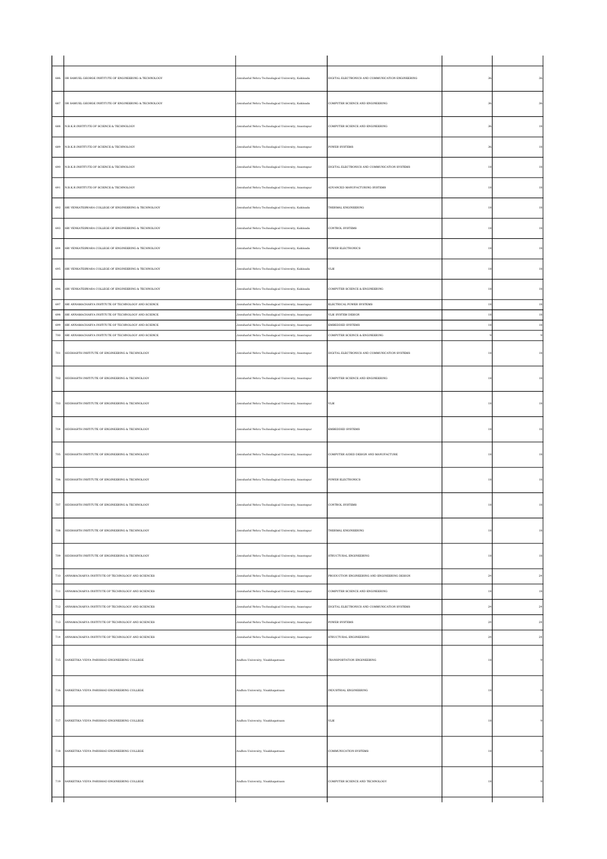| 686          | DR SAMUEL GEORGE INSTITUTE OF ENGINEERING & TECHNOLOGY | Jawaharlal Nehru Technological University, Kakinada  | DIGITAL ELECTRONICS AND COMMUNICATION ENGINEERING |    |    |
|--------------|--------------------------------------------------------|------------------------------------------------------|---------------------------------------------------|----|----|
| 687          | DR SAMUEL GEORGE INSTITUTE OF ENGINEERING & TECHNOLOGY | Jawaharlal Nehru Technological University, Kakinada  | COMPUTER SCIENCE AND ENGINEERING                  |    |    |
| 688          | N.B.K.R.INSTITUTE OF SCIENCE & TECHNOLOGY              | Jawaharlal Nehru Technological University, Anantapur | COMPUTER SCIENCE AND ENGINEERING                  |    |    |
| 689          | N.B.K.R.INSTITUTE OF SCIENCE & TECHNOLOGY              | Jawaharlal Nehru Technological University, Anantapur | <b>POWER SYSTEMS</b>                              |    |    |
| 690          | N.B.K.R.INSTITUTE OF SCIENCE & TECHNOLOGY              | lawaharlal Nehru Technological University, Anantapur | DIGITAL ELECTRONICS AND COMMUNICATION SYSTEMS     |    |    |
| 691          | N.B.K.R.INSTITUTE OF SCIENCE & TECHNOLOGY              | Jawaharlal Nehru Technological University, Anantapur | ADVANCED MANUFACTURING SYSTEMS                    |    |    |
| 692          | SRI VENKATESWARA COLLEGE OF ENGINEERING & TECHNOLOGY   | Jawaharlal Nehru Technological University, Kakinada  | THERMAL ENGINEERING                               |    |    |
| 693          | SRI VENKATESWARA COLLEGE OF ENGINEERING & TECHNOLOGY   | Jawaharlal Nehru Technological University, Kakinada  | <b>CONTROL SYSTEMS</b>                            |    |    |
| 694          | SRI VENKATESWARA COLLEGE OF ENGINEERING & TECHNOLOGY   | Jawaharlal Nehru Technological University, Kakinada  | POWER ELECTRONICS                                 |    |    |
| 695          | SRI VENKATESWARA COLLEGE OF ENGINEERING & TECHNOLOGY   | Jawaharlal Nehru Technological University, Kakinada  | VLSI                                              |    |    |
| 696          | SRI VENKATESWARA COLLEGE OF ENGINEERING & TECHNOLOGY   | Jawaharlal Nehru Technological University, Kakinada  | COMPUTER SCIENCE & ENGINEERING                    |    |    |
| 697          | SRI ANNAMACHARYA INSTITUTE OF TECHNOLOGY AND SCIENCE   | lawaharlal Nehru Technological University, Anantapur | ELECTRICAL POWER SYSTEMS                          | 18 |    |
| 698          | SRI ANNAMACHARYA INSTITUTE OF TECHNOLOGY AND SCIENCE   | lawaharlal Nehru Technological University, Anantapur | VLSI SYSTEM DESIGN                                |    |    |
|              |                                                        |                                                      |                                                   |    |    |
| 699          | SRI ANNAMACHARYA INSTITUTE OF TECHNOLOGY AND SCIENCE   | lawaharlal Nehru Technological University, Anantapur | EMBEDDED SYSTEMS                                  |    |    |
| 700          | SRI ANNAMACHARYA INSTITUTE OF TECHNOLOGY AND SCIENCE   | awaharlal Nehru Technological University, Anantapur  | COMPUTER SCEINCE & ENGINEERING                    |    |    |
| 701          | SIDDHARTH INSTITUTE OF ENGINEERING & TECHNOLOGY        | Jawaharlal Nehru Technological University, Anantapur | DIGITAL ELECTRONICS AND COMMUNICATION SYSTEMS     |    |    |
| $_{\rm 702}$ | SIDDHARTH INSTITUTE OF ENGINEERING $\&$ TECHNOLOGY     | lawaharlal Nehru Technological University, Anantapur | COMPUTER SCIENCE AND ENGINEERING                  |    |    |
| 703          | SIDDHARTH INSTITUTE OF ENGINEERING & TECHNOLOGY        | Jawaharlal Nehru Technological University, Anantapur | VLSI                                              |    |    |
| $_{\rm 704}$ | SIDDHARTH INSTITUTE OF ENGINEERING & TECHNOLOGY        | Jawaharlal Nehru Technological University, Anantapur | EMBEDDED SYSTEMS                                  |    |    |
| 705          | SIDDHARTH INSTITUTE OF ENGINEERING & TECHNOLOGY        | Jawaharlal Nehru Technological University, Anantapur | COMPUTER AIDED DESIGN AND MANUFACTURE             |    |    |
| 706          | SIDDHARTH INSTITUTE OF ENGINEERING & TECHNOLOGY        | Jawaharlal Nehru Technological University, Anantapur | POWER ELECTRONICS                                 |    |    |
| 707          | SIDDHARTH INSTITUTE OF ENGINEERING & TECHNOLOGY        | Jawaharlal Nehru Technological University, Anantapur | <b>CONTROL SYSTEMS</b>                            |    |    |
| 708          | SIDDHARTH INSTITUTE OF ENGINEERING & TECHNOLOGY        | Jawaharlal Nehru Technological University, Anantapur | THERMAL ENGINEERING                               | 18 | 18 |
| 709          | SIDDHARTH INSTITUTE OF ENGINEERING & TECHNOLOGY        | lawaharlal Nehru Technological University, Anantapur | STRUCTURAL ENGINEERING                            |    |    |
| $710\,$      | ANNAMACHARYA INSTITUTE OF TECHNOLOGY AND SCIENCES      | Jawaharlal Nehru Technological University, Anantapur | PRODUCTION ENGINEERING AND ENGINEERING DESIGN     |    |    |
| $711\,$      | ANNAMACHARYA INSTITUTE OF TECHNOLOGY AND SCIENCES      | lawaharlal Nehru Technological University, Anantapur | COMPUTER SCIENCE AND ENGINEERING                  |    |    |
|              |                                                        |                                                      |                                                   |    |    |
| $_{\rm 712}$ | ANNAMACHARYA INSTITUTE OF TECHNOLOGY AND SCIENCES      | lawaharlal Nehru Technological University, Anantapur | DIGITAL ELECTRONICS AND COMMUNICATION SYSTEMS     |    |    |
| $713\,$      | ANNAMACHARYA INSTITUTE OF TECHNOLOGY AND SCIENCES      | lawaharlal Nehru Technological University, Anantapur | POWER SYSTEMS                                     |    |    |
|              |                                                        |                                                      |                                                   |    |    |
| $714\,$      | ANNAMACHARYA INSTITUTE OF TECHNOLOGY AND SCIENCES      | Jawaharlal Nehru Technological University, Anantapur | STRUCTURAL ENGINEERING                            |    |    |
|              |                                                        |                                                      |                                                   |    |    |
| $715\,$      | SANKETIKA VIDYA PARISHAD ENGINEERING COLLEGE           | Andhra University, Visakhapatnam                     | TRANSPORTATION ENGINEERING                        |    |    |
| $716\,$      | SANKETIKA VIDYA PARISHAD ENGINEERING COLLEGE           | ndhra University, Visakhapatnam                      | INDUSTRIAL ENGINEERING                            |    |    |
| $717\,$      | SANKETIKA VIDYA PARISHAD ENGINEERING COLLEGE           | ndhra University, Visakhapatnam                      | $_{\rm VLSI}$                                     |    |    |
| 718          | SANKETIKA VIDYA PARISHAD ENGINEERING COLLEGE           | Andhra University, Visakhapatnam                     | COMMUNICATION SYSTEMS                             |    |    |
| 719          | SANKETIKA VIDYA PARISHAD ENGINEERING COLLEGE           | Andhra University, Visakhapatnam                     | COMPUTER SCIENCE AND TECHNOLOGY                   |    |    |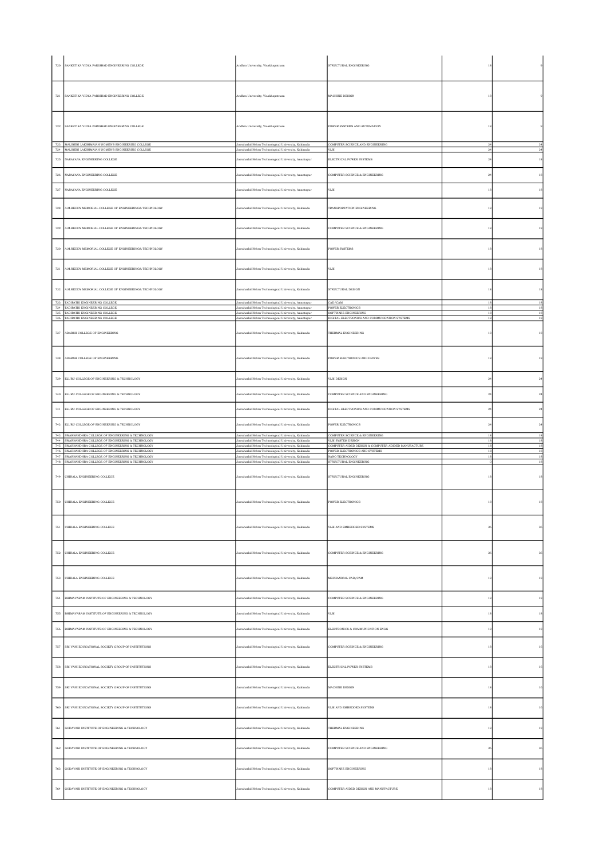| 720          | SANKETIKA VIDYA PARISHAD ENGINEERING COLLEGE                                                                                                                  | Andhra University, Visakhapatnam                                                                                                                                  | STRUCTURAL ENGINEERING                                                                                      |                   |                                  |
|--------------|---------------------------------------------------------------------------------------------------------------------------------------------------------------|-------------------------------------------------------------------------------------------------------------------------------------------------------------------|-------------------------------------------------------------------------------------------------------------|-------------------|----------------------------------|
| 721          | SANKETIKA VIDYA PARISHAD ENGINEERING COLLEGE                                                                                                                  | Andhra University, Visakhapatnam                                                                                                                                  | MACHINE DESIGN                                                                                              | 18                |                                  |
| 722<br>723   | SANKETIKA VIDYA PARISHAD ENGINEERING COLLEGE<br>MALINENI LAKSHMAIAH WOMEN'S ENGINEERING COLLEGE                                                               | Andhra University, Visakhapatnam                                                                                                                                  | POWER SYSTEMS AND AUTOMATION<br>COMPUTER SCIENCE AND ENGINEERING                                            | 18                |                                  |
|              | 724 MALINENI LAKSHMAIAH WOMEN'S ENGINEERING COLLEGE                                                                                                           | Jawaharlal Nehru Technological University, Kakinada<br>Jawaharlal Nehru Technological University, Kakinada                                                        | VLSI                                                                                                        | $^{24}$<br>24     | 24<br>24                         |
| $725\,$      | NARAYANA ENGINEERING COLLEGE                                                                                                                                  | lawaharlal Nehru Technological University, Anantapur                                                                                                              | ELECTRICAL POWER SYSTEMS                                                                                    | $\sqrt{24}$       | 18                               |
| $_{\rm 726}$ | NARAYANA ENGINEERING COLLEGE                                                                                                                                  | Jawaharlal Nehru Technological University, Anantapur                                                                                                              | COMPUTER SCIENCE & ENGINEERING                                                                              | 24                | 18                               |
| $727\,$      | NARAYANA ENGINEERING COLLEGE                                                                                                                                  | Jawaharlal Nehru Technological University, Anantapur                                                                                                              | VLSI                                                                                                        | $^{\rm 18}$       | 18                               |
| $_{\rm 728}$ | A.M.REDDY MEMORIAL COLLEGE OF ENGINEERING& TECHNOLOGY                                                                                                         | Jawaharlal Nehru Technological University, Kakinada                                                                                                               | TRANSPORTATION ENGINEERING                                                                                  | $^{\rm 18}$       | 18                               |
| $729\,$      | A.M.REDDY MEMORIAL COLLEGE OF ENGINEERING& TECHNOLOGY                                                                                                         | Jawaharlal Nehru Technological University, Kakinada                                                                                                               | COMPUTER SCIENCE & ENGINEERING                                                                              | 18                | 18                               |
| 730          | A.M.REDDY MEMORIAL COLLEGE OF ENGINEERING& TECHNOLOGY                                                                                                         | Jawaharlal Nehru Technological University, Kakinada                                                                                                               | <b>POWER SYSTEMS</b>                                                                                        | 18                | 18                               |
| 731          | A.M.REDDY MEMORIAL COLLEGE OF ENGINEERING& TECHNOLOGY                                                                                                         | Jawaharlal Nehru Technological University, Kakinada                                                                                                               | VLSI                                                                                                        | 18                | 18                               |
| 732          | A.M.REDDY MEMORIAL COLLEGE OF ENGINEERING& TECHNOLOGY<br>733 TADIPATRI ENGINEERING COLLEGE                                                                    | Jawaharlal Nehru Technological University, Kakinada<br>Jawaharlal Nehru Technological University, Anantapur                                                       | STRUCTURAL DESIGN<br>CAD/CAM                                                                                | $^{\rm 18}$<br>18 | 18<br>18                         |
|              | 734 TADIPATRI ENGINEERING COLLEGE<br>735 TADIPATRI ENGINEERING COLLEGE                                                                                        | Jawaharlal Nehru Technological University, Anantapur<br>Jawaharlal Nehru Technological University, Anantapur                                                      | POWER ELECTRONICS<br>SOFTWARE ENGINEERING                                                                   | 18<br>18          | 18<br>18                         |
| 736          | TADIPATRI ENGINEERING COLLEGE                                                                                                                                 | lawaharlal Nehru Technological University, Anantapur                                                                                                              | DIGITAL ELECTRONICS AND COMMUNICATION SYSTEMS                                                               | 18                | $^{\rm 18}$                      |
| 737          | ADARSH COLLEGE OF ENGINEERING                                                                                                                                 | Jawaharlal Nehru Technological University, Kakinada                                                                                                               | THERMAL ENGINEERING                                                                                         | 18                | 18                               |
| $_{\rm 738}$ | ADARSH COLLEGE OF ENGINEERING                                                                                                                                 | Jawaharlal Nehru Technological University, Kakinada                                                                                                               | POWER ELECTRONICS AND DRIVES                                                                                | $^{\rm 18}$       | $^{\rm 18}$                      |
| 739          | ELURU COLLEGE OF ENGINEERING & TECHNOLOGY                                                                                                                     | Jawaharlal Nehru Technological University, Kakinada                                                                                                               | VLSI DESIGN                                                                                                 | $\sqrt{24}$       | 24                               |
| 740          | ELURU COLLEGE OF ENGINEERING & TECHNOLOGY                                                                                                                     | Jawaharlal Nehru Technological University, Kakinada                                                                                                               | COMPUTER SCIENCE AND ENGINEERING                                                                            | 24                | $^{24}$                          |
| 741          | ELURU COLLEGE OF ENGINEERING & TECHNOLOGY                                                                                                                     | Jawaharlal Nehru Technological University, Kakinada                                                                                                               | DIGITAL ELECTRONICS AND COMMUNICATION SYSTEMS                                                               | 24                | $^{24}$                          |
| 742          | ELURU COLLEGE OF ENGINEERING & TECHNOLOGY                                                                                                                     | Jawaharlal Nehru Technological University, Kakinada                                                                                                               | POWER ELECTRONICS                                                                                           | 24                | $^{24}$                          |
| $744\,$      | 743 SWARNANDHRA COLLEGE OF ENGINEERING & TECHNOLOGY<br>SWARNANDHRA COLLEGE OF ENGINEERING & TECHNOLOGY<br>745 SWARNANDHRA COLLEGE OF ENGINEERING & TECHNOLOGY | Jawaharlal Nehru Technological University, Kakinada<br>Jawaharlal Nehru Technological University, Kakinada<br>Jawaharlal Nehru Technological University, Kakinada | COMPUTER SCIENCE & ENGINEERING<br>VLSI SYSTEM DESIGN<br>COMPUTER AIDED DESIGN & COMPUTER ADIDED MANUFACTURE | 18<br>18<br>18    | 18<br><sup>18</sup><br>18        |
| 747          | 746 SWARNANDHRA COLLEGE OF ENGINEERING & TECHNOLOGY<br>SWARNANDHRA COLLEGE OF ENGINEERING & TECHNOLOGY<br>748 SWARNANDHRA COLLEGE OF ENGINEERING & TECHNOLOGY | Jawaharlal Nehru Technological University, Kakinada<br>Jawaharlal Nehru Technological University, Kakinada<br>Jawaharlal Nehru Technological University, Kakinada | POWER ELECTRONICS AND SYSTEMS<br>NANO TECHNOLOGY<br>STRUCTURAL ENGINEERING                                  | 18<br>18          | $^{\rm 18}$<br>$^{\rm 18}$<br>18 |
|              | 749 CHIRALA ENGINEERING COLLEGE                                                                                                                               | Jawaharlal Nehru Technological University, Kakinada                                                                                                               | STRUCTURAL ENGINEERING                                                                                      | 18                | 18                               |
| 750          | CHIRALA ENGINEERING COLLEGE                                                                                                                                   | Jawaharlal Nehru Technological University, Kakinada                                                                                                               | POWER ELECTRONICS                                                                                           | 18                | 18                               |
| 751          | CHIRALA ENGINEERING COLLEGE                                                                                                                                   | Jawaharlal Nehru Technological University, Kakinada                                                                                                               | VLSI AND EMBEDDED SYSTEMS                                                                                   | 36                |                                  |
| $752\,$      | CHIRALA ENGINEERING COLLEGE                                                                                                                                   | Jawaharlal Nehru Technological University, Kakinada                                                                                                               | COMPUTER SCEINCE & ENGINEERING                                                                              | 36                | 36                               |
| 753          | CHIRALA ENGINEERING COLLEGE                                                                                                                                   | Jawaharlal Nehru Technological University, Kakinada                                                                                                               | MECHANICAL CAD/CAM                                                                                          | 18                | 18                               |
| $754\,$      | BHIMAVARAM INSTITUTE OF ENGINEERING & TECHNOLOGY                                                                                                              | Jawaharlal Nehru Technological University, Kakinada                                                                                                               | COMPUTER SCEINCE & ENGINEERING                                                                              | 18                | $^{\rm 18}$                      |
| 755          |                                                                                                                                                               |                                                                                                                                                                   |                                                                                                             |                   |                                  |
| 756          | BHIMAVARAM INSTITUTE OF ENGINEERING & TECHNOLOGY                                                                                                              | Jawaharlal Nehru Technological University, Kakinada                                                                                                               | VLSI                                                                                                        | $^{\rm 18}$       | $^{\rm 18}$                      |
|              | BHIMAVARAM INSTITUTE OF ENGINEERING & TECHNOLOGY                                                                                                              | Jawaharlal Nehru Technological University, Kakinada                                                                                                               | ELECTRONICS & COMMUNICATION ENGG                                                                            | $^{\rm 18}$       | 18                               |
| 757          | SRI VANI EDUCATIONAL SOCIETY GROUP OF INSTITUTIONS                                                                                                            | Jawaharlal Nehru Technological University, Kakinada                                                                                                               | COMPUTER SCEINCE & ENGINEERING                                                                              | 18                | 16                               |
| $758\,$      | SRI VANI EDUCATIONAL SOCIETY GROUP OF INSTITUTIONS                                                                                                            | Jawaharlal Nehru Technological University, Kakinada                                                                                                               | ELECTRICAL POWER SYSTEMS                                                                                    | $^{\rm 18}$       | $16\,$                           |
| 759          | SRI VANI EDUCATIONAL SOCIETY GROUP OF INSTITUTIONS                                                                                                            | Jawaharlal Nehru Technological University, Kakinada                                                                                                               | MACHINE DESIGN                                                                                              | $^{\rm 18}$       | $16\,$                           |
| 760          | SRI VANI EDUCATIONAL SOCIETY GROUP OF INSTITUTIONS                                                                                                            | Jawaharlal Nehru Technological University, Kakinada                                                                                                               | VLSI AND EMBEDDED SYSTEMS                                                                                   | 18                | 16                               |
| $761\,$      | GODAVARI INSTITUTE OF ENGINEERING & TECHNOLOGY                                                                                                                | Jawaharlal Nehru Technological University, Kakinada                                                                                                               | THERMAL ENGINEERING                                                                                         | $^{\rm 18}$       | $^{\rm 18}$                      |
| $762\,$      | GODAVARI INSTITUTE OF ENGINEERING & TECHNOLOGY                                                                                                                | Jawaharlal Nehru Technological University, Kakinada                                                                                                               | COMPUTER SCIENCE AND ENGINEERING                                                                            | 36                | 36                               |
| 763          | GODAVARI INSTITUTE OF ENGINEERING & TECHNOLOGY                                                                                                                | Jawaharlal Nehru Technological University, Kakinada                                                                                                               | SOFTWARE ENGINEERING                                                                                        | 18                | 18                               |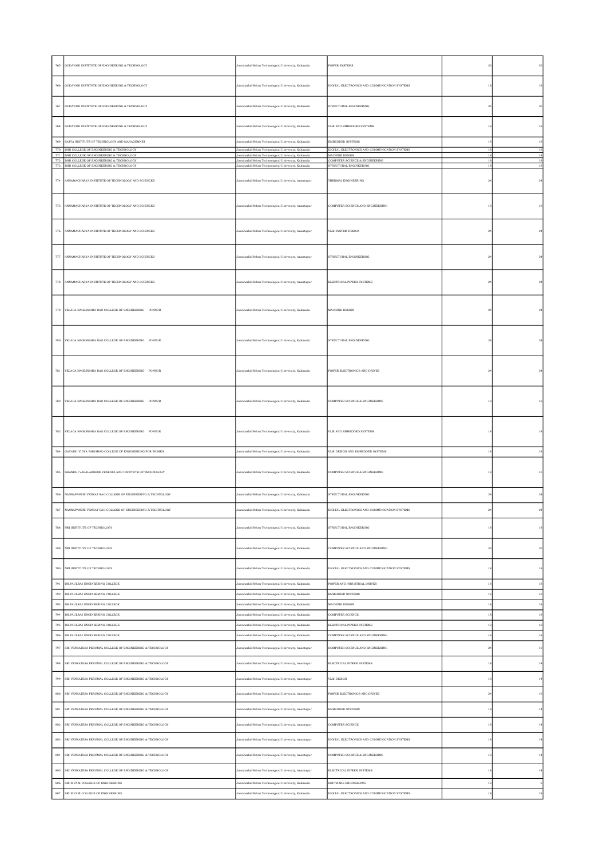| 765          | GODAVARI INSTITUTE OF ENGINEERING & TECHNOLOGY                                             | Jawaharlal Nehru Technological University, Kakinada                                                        | POWER SYSTEMS                                                   |             | 36          |
|--------------|--------------------------------------------------------------------------------------------|------------------------------------------------------------------------------------------------------------|-----------------------------------------------------------------|-------------|-------------|
| 766          | GODAVARI INSTITUTE OF ENGINEERING & TECHNOLOGY                                             | Jawaharlal Nehru Technological University, Kakinada                                                        | DIGITAL ELECTRONICS AND COMMUNICATION SYSTEMS                   | 18          | $^{\rm 18}$ |
| 767          | GODAVARI INSTITUTE OF ENGINEERING & TECHNOLOGY                                             | Jawaharlal Nehru Technological University, Kakinada                                                        | STRUCTURAL ENGINEERING                                          | 36          | 36          |
|              | 768 GODAVARI INSTITUTE OF ENGINEERING & TECHNOLOGY                                         | Jawaharlal Nehru Technological University, Kakinada                                                        | VLSI AND EMBEDDED SYSTEMS                                       | $^{\rm 18}$ | $^{\rm 18}$ |
| 769          | SATYA INSTITUTE OF TECHNOLOGY AND MANAGEMNET                                               | Jawaharlal Nehru Technological University, Kakinada                                                        | EMBEDDED SYSTEMS                                                | $^{\rm 18}$ | $^{\rm 18}$ |
|              | 770 DNR COLLEGE OF ENGINEERING & TECHNOLOGY<br>771 DNR COLLEGE OF ENGINEERING & TECHNOLOGY | Jawaharlal Nehru Technological University, Kakinada<br>Jawaharlal Nehru Technological University, Kakinada | DIGITAL ELECTRONICS AND COMMUNICATION SYSTEMS<br>MACHINE DESIGN | 18<br>18    | 18<br>18    |
|              | 772 DNR COLLEGE OF ENGINEERING & TECHNOLOGY<br>773 DNR COLLEGE OF ENGINEERING & TECHNOLOGY | Jawaharlal Nehru Technological University, Kakinada<br>Jawaharlal Nehru Technological University, Kakinada | COMPUTER SCIENCE & ENGINEERING<br>STRUCTURAL ENGINEERING        | 18<br>18    | 18<br>18    |
|              | 774 ANNAMACHARYA INSTITUTE OF TECHNOLOGY AND SCIENCES                                      | Jawaharlal Nehru Technological University, Anantapur                                                       | THERMAL ENGINEERING                                             | $^{\rm 24}$ | $\bf{24}$   |
|              | 775 ANNAMACHARYA INSTITUTE OF TECHNOLOGY AND SCIENCES                                      | Jawaharlal Nehru Technological University, Anantapur                                                       | COMPUTER SCIENCE AND ENGINEERING                                | 18          | 18          |
|              | 776 ANNAMACHARYA INSTITUTE OF TECHNOLOGY AND SCIENCES                                      | Jawaharlal Nehru Technological University, Anantapur                                                       | VLSI SYSTEM DESIGN                                              | $^{24}$     | 24          |
| $777\,$      | ANNAMACHARYA INSTITUTE OF TECHNOLOGY AND SCIENCES                                          | Jawaharlal Nehru Technological University, Anantapur                                                       | STRUCTURAL ENGINEERING                                          | $^{\rm 24}$ | $^{24}$     |
| 778          | ANNAMACHARYA INSTITUTE OF TECHNOLOGY AND SCIENCES                                          | Jawaharlal Nehru Technological University, Anantapur                                                       | ELECTRICAL POWER SYSTEMS                                        | $^{24}$     | $^{24}$     |
|              | 779 VELAGA NAGESWARA RAO COLLEGE OF ENGINEERING PONNUR                                     | Jawaharlal Nehru Technological University, Kakinada                                                        | MACHINE DESIGN                                                  | 24          | $^{24}$     |
|              | 780 VELAGA NAGESWARA RAO COLLEGE OF ENGINEERING PONNUR                                     | Jawaharlal Nehru Technological University, Kakinada                                                        | STRUCTURAL ENGINEERING                                          | 24          |             |
| 781          | VELAGA NAGESWARA RAO COLLEGE OF ENGINEERING PONNUR                                         | Jawaharlal Nehru Technological University, Kakinada                                                        | POWER ELECTRONICS AND DRIVES                                    | 24          | $^{24}$     |
| $_{\rm 782}$ | VELAGA NAGESWARA RAO COLLEGE OF ENGINEERING PONNUR                                         | Jawaharlal Nehru Technological University, Kakinada                                                        | COMPUTER SCIENCE & ENGINEERING                                  | 18          |             |
| $_{\rm 783}$ | VELAGA NAGESWARA RAO COLLEGE OF ENGINEERING PONNUR                                         | Jawaharlal Nehru Technological University, Kakinada                                                        | VLSI AND EMBEDDED SYSTEMS                                       | $^{\rm 18}$ | 18          |
| 784          | GAYATRI VIDYA PARISHAD COLLEGE OF ENGINEERING FOR WOMEN                                    | Jawaharlal Nehru Technological University, Kakinada                                                        | VLSI DESIGN AND EMBEDDED SYSTEMS                                | 18          | 18          |
|              | 785 GRANDHI VARALAKSHMI VENKATA RAO INSTITUTE OF TECHNOLOGY                                | Jawaharlal Nehru Technological University, Kakinada                                                        | COMPUTER SCIENCE & ENGINEERING                                  | 18          | 16          |
| 786          | NANNAPANENI VENKAT RAO COLLEGE OF ENGINEERING & TECHNOLOGY                                 | Jawaharlal Nehru Technological University, Kakinada                                                        | STRUCTURAL ENGINEERING                                          | $\sqrt{24}$ | $^{24}$     |
|              | 787 NANNAPANENI VENKAT RAO COLLEGE OF ENGINEERING & TECHNOLOGY                             | Jawaharlal Nehru Technological University, Kakinada                                                        | DIGITAL ELECTRONICS AND COMMUNICATION SYSTEMS                   | $\bf 24$    | $\sqrt{24}$ |
|              |                                                                                            |                                                                                                            |                                                                 |             |             |
| 788          | NRI INSTITUTE OF TECHNOLOGY                                                                | Jawaharlal Nehru Technological University, Kakinada                                                        | STRUCTURAL ENGINEERING                                          | 18          | 18          |
| 789          | NRI INSTITUTE OF TECHNOLOGY                                                                | Jawaharlal Nehru Technological University, Kakinada                                                        | COMPUTER SCIENCE AND ENGINEERING                                | 36          | 36          |
| 790          | NRI INSTITUTE OF TECHNOLOGY                                                                | lawaharlal Nehru Technological University, Kakinada                                                        | DIGITAL ELECTRONICS AND COMMUNICATION SYSTEMS                   | 18          | $^{\rm 18}$ |
| 791          | DR.PAULRAJ ENGINEERING COLLEGE                                                             | lawaharlal Nehru Technological University, Kakinada                                                        | YOWER AND INDUSTRIAL DRIVES                                     | $^{\rm 18}$ | $^{\rm 18}$ |
| 792          | DR.PAULRAJ ENGINEERING COLLEGE                                                             | Jawaharlal Nehru Technological University, Kakinada                                                        | EMBEDDED SYSTEMS                                                | 18          | $18\,$      |
| 793          | DR.PAULRAJ ENGINEERING COLLEGE                                                             | lawaharlal Nehru Technological University, Kakinada                                                        | MACHINE DESIGN                                                  | $^{\rm 18}$ | $^{\rm 18}$ |
| 794          | DR.PAULRAJ ENGINEERING COLLEGE                                                             | Jawaharlal Nehru Technological University, Kakinada                                                        | COMPUTER SCIENCE                                                | $^{\rm 18}$ | $^{\rm 18}$ |
| 795          | DR.PAULRAJ ENGINEERING COLLEGE                                                             | Jawaharlal Nehru Technological University, Kakinada                                                        | ELECTRICAL POWER SYSTEMS                                        | 18          | 18          |
| 796          | DR.PAULRAJ ENGINEERING COLLEGE                                                             | Jawaharlal Nehru Technological University, Kakinada                                                        | COMPUTER SCIENCE AND ENGINEERING                                | 18          | 18          |
| 797          | SRI VENKATESA PERUMAL COLLEGE OF ENGINEERING & TECHNOLOGY                                  | Jawaharlal Nehru Technological University, Anantapur                                                       | COMPUTER SCIENCE AND ENGINEERING                                | $\sqrt{24}$ | 19          |
| 798          | SRI VENKATESA PERUMAL COLLEGE OF ENGINEERING & TECHNOLOGY                                  | Jawaharlal Nehru Technological University, Anantapur                                                       | ELECTRICAL POWER SYSTEMS                                        | 18          | 14          |
| 799          | SRI VENKATESA PERUMAL COLLEGE OF ENGINEERING & TECHNOLOGY                                  | lawaharlal Nehru Technological University, Anantapur                                                       | VLSI DESIGN                                                     | 18          | 14          |
| 800          | SRI VENKATESA PERUMAL COLLEGE OF ENGINEERING & TECHNOLOGY                                  | lawaharlal Nehru Technological University, Anantapur                                                       | POWER ELECTRONICS AND DRIVES                                    | 24          | 19          |
| 801          | SRI VENKATESA PERUMAL COLLEGE OF ENGINEERING & TECHNOLOGY                                  | lawaharlal Nehru Technological University, Anantapur                                                       | EMBEDDED SYSTEMS                                                | 18          | 14          |
|              |                                                                                            |                                                                                                            |                                                                 |             |             |
| 802          | SRI VENKATESA PERUMAL COLLEGE OF ENGINEERING & TECHNOLOGY                                  | Jawaharlal Nehru Technological University, Anantapur                                                       | COMPUTER SCIENCE                                                | 18          | 14          |
| 803          | SRI VENKATESA PERUMAL COLLEGE OF ENGINEERING & TECHNOLOGY                                  | lawaharlal Nehru Technological University, Anantapur                                                       | DIGITAL ELECTRONICS AND COMMUNICATION SYSTEMS                   | 18          | 14          |
| 804          | SRI VENKATESA PERUMAL COLLEGE OF ENGINEERING & TECHNOLOGY                                  | Jawaharlal Nehru Technological University, Anantapur                                                       | COMPUTER SCIENCE & ENGINEERING                                  | 18          | 14          |
| 805          | SRI VENKATESA PERUMAL COLLEGE OF ENGINEERING & TECHNOLOGY                                  | Jawaharlal Nehru Technological University, Anantapur                                                       | ELECTRICAL POWER SYSTEMS                                        | 18          | 14          |
| 806          | SRI SIVANI COLLEGE OF ENGINEERING                                                          | lawaharlal Nehru Technological University, Kakinada                                                        | SOFTWARE ENGINEERING                                            | 18          |             |
| $807\,$      | SRI SIVANI COLLEGE OF ENGINEERING                                                          | Jawaharlal Nehru Technological University, Kakinada                                                        | DIGITAL ELECTRONICS AND COMMUNICATION SYSTEMS                   | $^{\rm 18}$ | 18          |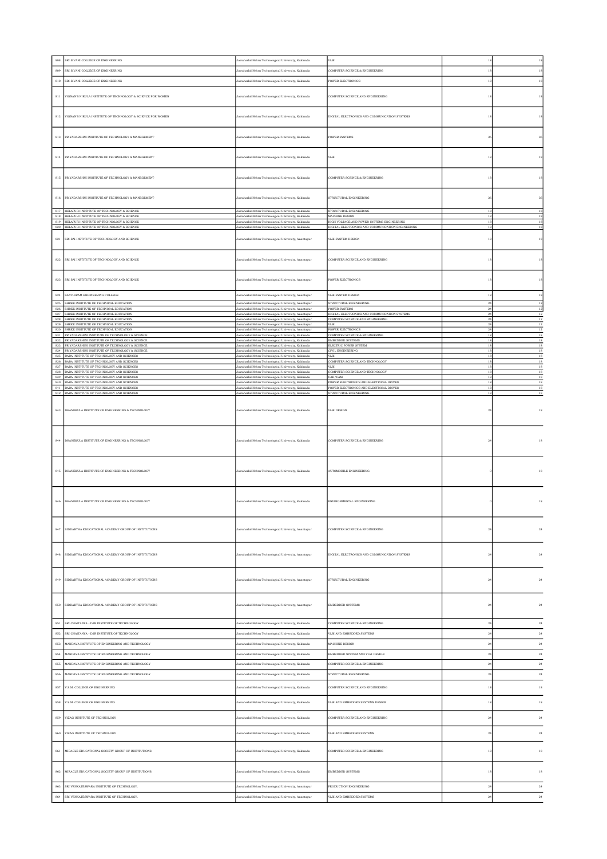| 808        | SRI SIVANI COLLEGE OF ENGINEERING                                                                          | lawaharlal Nehru Technological University, Kakinada                                                          | VLSI                                                                                            | 18                 | $^{\rm 18}$         |
|------------|------------------------------------------------------------------------------------------------------------|--------------------------------------------------------------------------------------------------------------|-------------------------------------------------------------------------------------------------|--------------------|---------------------|
| 809        | SRI SIVANI COLLEGE OF ENGINEERING                                                                          | Jawaharlal Nehru Technological University, Kakinada                                                          | COMPUTER SCIENCE & ENGINEERING                                                                  | $^{\rm 18}$        | 18                  |
| 810        | SRI SIVANI COLLEGE OF ENGINEERING                                                                          | Jawaharlal Nehru Technological University, Kakinada                                                          | <b>POWER ELECTRONICS</b>                                                                        | 18                 | 18                  |
|            |                                                                                                            |                                                                                                              |                                                                                                 |                    |                     |
| 811        | VIGNAN'S NIRULA INSTITUTE OF TECHNOLOGY & SCIENCE FOR WOMEN                                                | Jawaharlal Nehru Technological University, Kakinada                                                          | COMPUTER SCIENCE AND ENGINEERING                                                                | 18                 | 18                  |
|            |                                                                                                            |                                                                                                              |                                                                                                 |                    |                     |
| $812\,$    | VIGNAN'S NIRULA INSTITUTE OF TECHNOLOGY & SCIENCE FOR WOMEN                                                | Jawaharlal Nehru Technological University, Kakinada                                                          | DIGITAL ELECTRONICS AND COMMUNICATION SYSTEMS                                                   | 18                 | 18                  |
|            |                                                                                                            |                                                                                                              |                                                                                                 |                    |                     |
| $813\,$    | PRIYADARSHNI INSTITUTE OF TECHNOLOGY & MANEGEMENT                                                          | Jawaharlal Nehru Technological University, Kakinada                                                          | <b>POWER SYSTEMS</b>                                                                            | 36                 | 36                  |
|            |                                                                                                            |                                                                                                              |                                                                                                 |                    |                     |
|            |                                                                                                            |                                                                                                              |                                                                                                 |                    |                     |
| 814        | PRIYADARSHNI INSTITUTE OF TECHNOLOGY & MANEGEMENT                                                          | Jawaharlal Nehru Technological University, Kakinada                                                          | VLSI                                                                                            | 18                 | 18                  |
|            |                                                                                                            |                                                                                                              |                                                                                                 |                    |                     |
| 815        | PRIYADARSHNI INSTITUTE OF TECHNOLOGY & MANEGEMENT                                                          | Jawaharlal Nehru Technological University, Kakinada                                                          | COMPUTER SCEINCE & ENGINEERING                                                                  | 18                 | 18                  |
|            |                                                                                                            |                                                                                                              |                                                                                                 |                    |                     |
| $816\,$    | PRIYADARSHNI INSTITUTE OF TECHNOLOGY & MANEGEMENT                                                          | Jawaharlal Nehru Technological University, Kakinada                                                          | STRUCTURAL ENGINEERING                                                                          | 36                 | 36                  |
|            |                                                                                                            |                                                                                                              |                                                                                                 |                    |                     |
| $818\,$    | 817 HELAPURI INSTITUTE OF TECHNOLOGY & SCIENCE<br>HELAPURI INSTITUTE OF TECHNOLOGY & SCIENCE               | Jawaharlal Nehru Technological University, Kakinada<br>Jawaharlal Nehru Technological University, Kakinada   | STRUCTURAL ENGINEERING<br>MACHINE DESIGN                                                        | 18<br>18           | 18<br>18            |
|            | 819 HELAPURI INSTITUTE OF TECHNOLOGY & SCIENCE<br>820 HELAPURI INSTITUTE OF TECHNOLOGY & SCIENCE           | Jawaharlal Nehru Technological University, Kakinada<br>Jawaharlal Nehru Technological University, Kakinada   | HIGH VOLTAGE AND POWER SYSTEMS ENGINEERING<br>DIGITAL ELECTRONICS AND COMMUNICATION ENGINEERING | 18<br>18           | 18<br>$^{\rm 18}$   |
|            |                                                                                                            |                                                                                                              |                                                                                                 |                    |                     |
| 821        | SRI SAI INSTITUTE OF TECHNOLOGY AND SCIENCE                                                                | Jawaharlal Nehru Technological University, Anantapur                                                         | VLSI SYSTEM DESIGN                                                                              | 18                 | 18                  |
|            |                                                                                                            |                                                                                                              |                                                                                                 |                    |                     |
| 822        | SRI SAI INSTITUTE OF TECHNOLOGY AND SCIENCE                                                                | Jawaharlal Nehru Technological University, Anantapur                                                         | COMPUTER SCIENCE AND ENGINEERING                                                                | 18                 | 18                  |
|            |                                                                                                            |                                                                                                              |                                                                                                 |                    |                     |
| 823        | SRI SAI INSTITUTE OF TECHNOLOGY AND SCIENCE                                                                | Jawaharlal Nehru Technological University, Anantapur                                                         | <b>POWER ELECTRONICS</b>                                                                        | 18                 | $18\,$              |
|            |                                                                                                            |                                                                                                              |                                                                                                 |                    |                     |
| 824        | SANTHIRAM ENGINEERING COLLEGE                                                                              | Jawaharlal Nehru Technological University, Anantapur                                                         | VLSI SYSTEM DESIGN                                                                              | 18                 | 18                  |
| 826        | 825 SHREE INSTITUTE OF TECHNICAL EDUCATION<br>SHREE INSTITUTE OF TECHNICAL EDUCATION                       | Jawaharlal Nehru Technological University, Anantapur<br>Jawaharlal Nehru Technological University, Anantapur | STRUCTURAL ENGINEERING<br>POWER SYSTEMS                                                         | $^{24}$<br>24      | <sup>12</sup><br>12 |
| $827\,$    | SHREE INSTITUTE OF TECHNICAL EDUCATION<br>828 SHREE INSTITUTE OF TECHNICAL EDUCATION                       | Jawaharlal Nehru Technological University, Anantapur<br>Jawaharlal Nehru Technological University, Anantapur | DIGITAL ELECTRONICS AND COMMUNICATION SYSTEMS<br>COMPUTER SCIENCE AND ENGINEERING               | $^{24}$<br>$^{24}$ | 12<br>12            |
|            | 829 SHREE INSTITUTE OF TECHNICAL EDUCATION                                                                 | Jawaharlal Nehru Technological University, Anantapur                                                         | VLSI                                                                                            | 24                 | $12\,$              |
| 830<br>831 | SHREE INSTITUTE OF TECHNICAL EDUCATION<br>PRIYADARSHINI INSTITUTE OF TECHNOLOGY & SCIENCE                  | lawaharlal Nehru Technological University, Anantapur<br>Jawaharlal Nehru Technological University, Kakinada  | POWER ELECTRONICS<br>COMPUTER SCIENCE & ENGINEERING                                             | 24<br>18           | 12<br><sup>18</sup> |
|            | 832 PRIYADARSHINI INSTITUTE OF TECHNOLOGY & SCIENCE<br>833 PRIYADARSHINI INSTITUTE OF TECHNOLOGY & SCIENCE | Jawaharlal Nehru Technological University, Kakinada<br>Jawaharlal Nehru Technological University, Kakinada   | EMBEDDED SYSTEMS<br>ELECTRIC POWER SYSTEM                                                       | 18<br>18           | $18\,$<br>18        |
| 834        | PRIYADARSHINI INSTITUTE OF TECHNOLOGY & SCIENCE                                                            | Jawaharlal Nehru Technological University, Kakinada                                                          | <b>IVIL ENGINEERING</b>                                                                         | 18                 | 18                  |
|            | 835 BABA INSTITUTE OF TECHNOLOGY AND SCIENCES<br>836 BABA INSTITUTE OF TECHNOLOGY AND SCIENCES             | Jawaharlal Nehru Technological University, Kakinada<br>Jawaharlal Nehru Technological University, Kakinada   | VLSI<br>COMPUTER SCIENCE AND TECHNOLOGY                                                         | 18<br>18           | 18<br>$18\,$        |
| 837        | BABA INSTITUTE OF TECHNOLOGY AND SCIENCES<br>838 BABA INSTITUTE OF TECHNOLOGY AND SCIENCES                 | Jawaharlal Nehru Technological University, Kakinada<br>Jawaharlal Nehru Technological University, Kakinada   | VLSI<br>COMPUTER SCIENCE AND TECHNOLOGY                                                         | 18<br>18           | 18<br>18            |
|            | 839 BABA INSTITUTE OF TECHNOLOGY AND SCIENCES<br>840 BABA INSTITUTE OF TECHNOLOGY AND SCIENCES             | Jawaharlal Nehru Technological University, Kakinada<br>Jawaharlal Nehru Technological University, Kakinada   | CAD/CAM<br>POWER ELECTRONICS AND ELECTRICAL DRIVES                                              | 18<br>18           | $18\,$<br>18        |
|            | 841 BABA INSTITUTE OF TECHNOLOGY AND SCIENCES                                                              | Jawaharlal Nehru Technological University, Kakinada                                                          | POWER ELECTRONICS AND ELECTRICAL DRIVES                                                         | 18                 | 18                  |
|            | 842 BABA INSTITUTE OF TECHNOLOGY AND SCIENCES                                                              | Jawaharlal Nehru Technological University, Kakinada                                                          | STRUCTURAL ENGINEERING                                                                          | 18                 | 18                  |
|            |                                                                                                            |                                                                                                              |                                                                                                 |                    |                     |
| 843        | DHANEKULA INSTITUTE OF ENGINEERING & TECHNOLOGY                                                            | Jawaharlal Nehru Technological University, Kakinada                                                          | VLSI DESIGN                                                                                     | $^{24}$            | $^{\rm 18}$         |
|            |                                                                                                            |                                                                                                              |                                                                                                 |                    |                     |
|            |                                                                                                            |                                                                                                              |                                                                                                 |                    |                     |
| 844        | DHANEKULA INSTITUTE OF ENGINEERING & TECHNOLOGY                                                            | Jawaharlal Nehru Technological University, Kakinada                                                          | COMPUTER SCIENCE & ENGINEERING                                                                  | 24                 | 18                  |
|            |                                                                                                            |                                                                                                              |                                                                                                 |                    |                     |
|            |                                                                                                            |                                                                                                              |                                                                                                 |                    |                     |
| 845        | DHANEKULA INSTITUTE OF ENGINEERING & TECHNOLOGY                                                            | Jawaharlal Nehru Technological University, Kakinada                                                          | AUTOMOBILE ENGINEERING                                                                          |                    | 18                  |
|            |                                                                                                            |                                                                                                              |                                                                                                 |                    |                     |
|            |                                                                                                            |                                                                                                              |                                                                                                 |                    |                     |
|            |                                                                                                            |                                                                                                              |                                                                                                 |                    |                     |
| 846        | DHANEKULA INSTITUTE OF ENGINEERING & TECHNOLOGY                                                            | Jawaharlal Nehru Technological University, Kakinada                                                          | ENVIRONMENTAL ENGINEERING                                                                       |                    | 18                  |
|            |                                                                                                            |                                                                                                              |                                                                                                 |                    |                     |
|            |                                                                                                            |                                                                                                              |                                                                                                 |                    |                     |
| 847        | SIDDARTHA EDUCATIONAL ACADEMY GROUP OF INSTITUTIONS                                                        | Jawaharlal Nehru Technological University, Anantapur                                                         | COMPUTER SCIENCE & ENGINEERING                                                                  | $\sqrt{24}$        | 24                  |
|            |                                                                                                            |                                                                                                              |                                                                                                 |                    |                     |
|            |                                                                                                            |                                                                                                              |                                                                                                 |                    |                     |
| 848        | SIDDARTHA EDUCATIONAL ACADEMY GROUP OF INSTITUTIONS                                                        | Jawaharlal Nehru Technological University, Anantapur                                                         | DIGITAL ELECTRONICS AND COMMUNICATION SYSTEMS                                                   | $^{\rm 24}$        | $^{24}$             |
|            |                                                                                                            |                                                                                                              |                                                                                                 |                    |                     |
| 849        | SIDDARTHA EDUCATIONAL ACADEMY GROUP OF INSTITUTIONS                                                        | Jawaharlal Nehru Technological University, Anantapur                                                         | STRUCTURAL ENGINEERING                                                                          | $^{24}$            | 24                  |
|            |                                                                                                            |                                                                                                              |                                                                                                 |                    |                     |
|            |                                                                                                            |                                                                                                              |                                                                                                 |                    |                     |
| 850        | SIDDARTHA EDUCATIONAL ACADEMY GROUP OF INSTITUTIONS                                                        | Jawaharlal Nehru Technological University, Anantapur                                                         | <b>EMBEDDED SYSTEMS</b>                                                                         | 24                 | 24                  |
|            |                                                                                                            |                                                                                                              |                                                                                                 |                    |                     |
| $851\,$    | SRI CHAITANYA - DJR INSTITUTE OF TECHNOLOGY                                                                | Jawaharlal Nehru Technological University, Kakinada                                                          | COMPUTER SCIENCE & ENGINEERING                                                                  | $\sqrt{24}$        | $\bf{24}$           |
| 852        | SRI CHAITANYA - DJR INSTITUTE OF TECHNOLOGY                                                                | Jawaharlal Nehru Technological University, Kakinada                                                          | VLSI AND EMBEDDED SYSTEMS                                                                       | $^{24}$            | 24                  |
| 853        | MANDAVA INSTITUTE OF ENGINEERING AND TECHNOLOGY                                                            | Jawaharlal Nehru Technological University, Kakinada                                                          | MACHINE DESIGN                                                                                  | 24                 | 24                  |
| $854\,$    | MANDAVA INSTITUTE OF ENGINEERING AND TECHNOLOGY                                                            | lawaharlal Nehru Technological University, Kakinada                                                          | <b>EMBEDDED SYSTEM AND VLSI DESIGN</b>                                                          | $\sqrt{24}$        | $\bf 24$            |
|            |                                                                                                            |                                                                                                              |                                                                                                 |                    |                     |
| 855        | MANDAVA INSTITUTE OF ENGINEERING AND TECHNOLOGY                                                            | Jawaharlal Nehru Technological University, Kakinada                                                          | COMPUTER SCIENCE & ENGINEERING                                                                  | $\sqrt{24}$        | 24                  |
| 856        | MANDAVA INSTITUTE OF ENGINEERING AND TECHNOLOGY                                                            | Jawaharlal Nehru Technological University, Kakinada                                                          | STRUCTURAL ENGINEERING                                                                          | 24                 | 24                  |
| 857        | V.S.M. COLLEGE OF ENGINEERING                                                                              | Jawaharlal Nehru Technological University, Kakinada                                                          | COMPUTER SCIENCE AND ENGINEERING                                                                | 18                 | 18                  |
|            |                                                                                                            |                                                                                                              |                                                                                                 |                    |                     |
| $858\,$    | V.S.M. COLLEGE OF ENGINEERING                                                                              | Jawaharlal Nehru Technological University, Kakinada                                                          | VLSI AND EMBEDDED SYSTEMS DESIGN                                                                | 18                 | $18\,$              |
| 859        | VIZAG INSTITUTE OF TECHNOLOGY                                                                              | Jawaharlal Nehru Technological University, Kakinada                                                          | COMPUTER SCIENCE AND ENGINEERING                                                                | 24                 | $\bf{24}$           |
|            |                                                                                                            |                                                                                                              |                                                                                                 |                    |                     |
| 860        | VIZAG INSTITUTE OF TECHNOLOGY                                                                              | lawaharlal Nehru Technological University, Kakinada                                                          | VLSI AND EMBEDDED SYSTEMS                                                                       | $^{24}$            | $\bf{24}$           |
|            |                                                                                                            |                                                                                                              |                                                                                                 |                    |                     |
| 861        | MIRACLE EDUCATIONAL SOCIETY GROUP OF INSTITUTIONS                                                          | Jawaharlal Nehru Technological University, Kakinada                                                          | COMPUTER SCIENCE & ENGINEERING                                                                  | 18                 | 18                  |
|            |                                                                                                            |                                                                                                              |                                                                                                 |                    |                     |
| 862        | MIRACLE EDUCATIONAL SOCIETY GROUP OF INSTITUTIONS                                                          | Jawaharlal Nehru Technological University, Kakinada                                                          | EMBEDDED SYSTEMS                                                                                | $^{\rm 18}$        | $^{\rm 18}$         |
|            |                                                                                                            |                                                                                                              |                                                                                                 |                    |                     |
| 863        | SRI VENKATESWARA INSTITUTE OF TECHNOLOGY.                                                                  | Jawaharlal Nehru Technological University, Anantapur                                                         | PRODUCTION ENGINEERING                                                                          | $\sqrt{24}$        | $\bf 24$            |
| 864        | SRI VENKATESWARA INSTITUTE OF TECHNOLOGY.                                                                  | Jawaharlal Nehru Technological University, Anantapur                                                         | VLSI AND EMBEDDED SYSTEMS                                                                       | $^{24}$            | 24                  |
|            |                                                                                                            |                                                                                                              |                                                                                                 |                    |                     |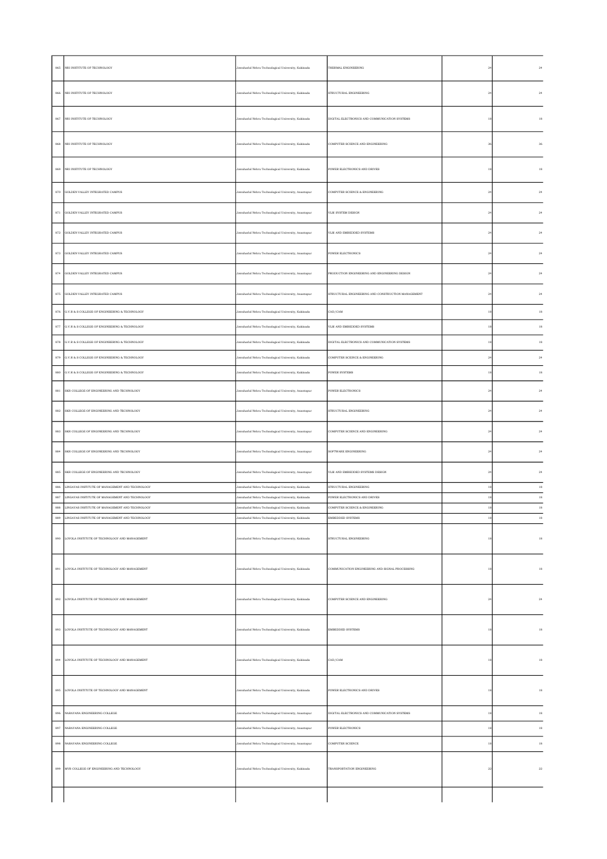| 865          | NRI INSTITUTE OF TECHNOLOGY                                                                        | Jawaharlal Nehru Technological University, Kakinada                                                        | THERMAL ENGINEERING                                    | 24             |  |
|--------------|----------------------------------------------------------------------------------------------------|------------------------------------------------------------------------------------------------------------|--------------------------------------------------------|----------------|--|
| 866          | NRI INSTITUTE OF TECHNOLOGY                                                                        | Jawaharlal Nehru Technological University, Kakinada                                                        | STRUCTURAL ENGINEERING                                 | $^{24}$        |  |
| 867          | NRI INSTITUTE OF TECHNOLOGY                                                                        | Jawaharlal Nehru Technological University, Kakinada                                                        | DIGITAL ELECTRONICS AND COMMUNICATION SYSTEMS          | 18             |  |
| 868          | NRI INSTITUTE OF TECHNOLOGY                                                                        | Jawaharlal Nehru Technological University, Kakinada                                                        | COMPUTER SCIENCE AND ENGINEERING                       | 36             |  |
| 869          | NRI INSTITUTE OF TECHNOLOGY                                                                        | Jawaharlal Nehru Technological University, Kakinada                                                        | POWER ELECTRONICS AND DRIVES                           | 18             |  |
| 870          | GOLDEN VALLEY INTEGRATED CAMPUS                                                                    | Jawaharlal Nehru Technological University, Anantapur                                                       | COMPUTER SCIENCE & ENGINEERING                         | $^{24}$        |  |
| $_{\rm 871}$ | GOLDEN VALLEY INTEGRATED CAMPUS                                                                    | Jawaharlal Nehru Technological University, Anantapur                                                       | VLSI SYSTEM DESIGN                                     | $^{24}$        |  |
| 872          | GOLDEN VALLEY INTEGRATED CAMPUS                                                                    | Jawaharlal Nehru Technological University, Anantapur                                                       | VLSI AND EMBEDDED SYSTEMS                              | $^{24}$        |  |
|              | 873 GOLDEN VALLEY INTEGRATED CAMPUS                                                                | Jawaharlal Nehru Technological University, Anantapur                                                       | POWER ELECTRONICS                                      | $^{24}$        |  |
| $_{\rm 874}$ | GOLDEN VALLEY INTEGRATED CAMPUS                                                                    | Jawaharlal Nehru Technological University, Anantapur                                                       | PRODUCTION ENGINEERING AND ENGINEERING DESIGN          | $^{24}$        |  |
| 875          | GOLDEN VALLEY INTEGRATED CAMPUS                                                                    | Jawaharlal Nehru Technological University, Anantapur                                                       | STRUCTURAL ENGINEERING AND CONSTRUCTION MANAGEMENT     | $^{24}$        |  |
| $876\,$      | G.V.R & S COLLEGE OF ENGINEERING & TECHNOLOGY                                                      | Jawaharlal Nehru Technological University, Kakinada                                                        | CAD/CAM                                                | 18             |  |
| $877\,$      | G.V.R & S COLLEGE OF ENGINEERING & TECHNOLOGY                                                      | Jawaharlal Nehru Technological University, Kakinada                                                        | VLSI AND EMBEDDED SYSTEMS                              | 18             |  |
| $878\,$      | G.V.R & S COLLEGE OF ENGINEERING & TECHNOLOGY                                                      | Jawaharlal Nehru Technological University, Kakinada                                                        | DIGITAL ELECTRONICS AND COMMUNICATION SYSTEMS          | 18             |  |
| 879          | G.V.R & S COLLEGE OF ENGINEERING & TECHNOLOGY                                                      | Jawaharlal Nehru Technological University, Kakinada                                                        | COMPUTER SCEINCE & ENGINEERING                         | 24             |  |
| 880          | G.V.R & S COLLEGE OF ENGINEERING & TECHNOLOGY                                                      | Jawaharlal Nehru Technological University, Kakinada                                                        | POWER SYSTEMS                                          | 18             |  |
| 881          | SKR COLLEGE OF ENGINEERING AND TECHNOLOGY                                                          | Jawaharlal Nehru Technological University, Anantapur                                                       | <b>POWER ELECTRONICS</b>                               | 24             |  |
| $_{\rm 882}$ | SKR COLLEGE OF ENGINEERING AND TECHNOLOGY                                                          | Jawaharlal Nehru Technological University, Anantapur                                                       | STRUCTURAL ENGINEERING                                 | $^{24}$        |  |
| 883          | SKR COLLEGE OF ENGINEERING AND TECHNOLOGY                                                          | Jawaharlal Nehru Technological University, Anantapur                                                       | COMPUTER SCIENCE AND ENGINEERING                       | $^{24}$        |  |
| 884          | SKR COLLEGE OF ENGINEERING AND TECHNOLOGY                                                          | Jawaharlal Nehru Technological University, Anantapur                                                       | SOFTWARE ENGINEERING                                   | 24             |  |
| 885          | SKR COLLEGE OF ENGINEERING AND TECHNOLOGY                                                          | Jawaharlal Nehru Technological University, Anantapur                                                       | VLSI AND EMBEDDED SYSTEMS DESIGN                       | $^{24}$        |  |
| 886<br>887   | LINGAYAS INSTITUTE OF MANAGEMENT AND TECHNOLOGY<br>LINGAYAS INSTITUTE OF MANAGEMENT AND TECHNOLOGY | Jawaharlal Nehru Technological University, Kakinada<br>Jawaharlal Nehru Technological University, Kakinada | STRUCTURAL ENGINEERING<br>POWER ELECTRONICS AND DRIVES | 18<br>18       |  |
| $_{\rm 888}$ | LINGAYAS INSTITUTE OF MANAGEMENT AND TECHNOLOGY                                                    | Jawaharlal Nehru Technological University, Kakinada                                                        | COMPUTER SCIENCE & ENGINEERING                         |                |  |
| 889          | LINGAYAS INSTITUTE OF MANAGEMENT AND TECHNOLOGY                                                    | Jawaharlal Nehru Technological University, Kakinada                                                        | EMBEDDED SYSTEMS                                       | $^{\rm 18}$    |  |
| 890          | LOYOLA INSTITUTE OF TECHNOLOGY AND MANAGEMENT                                                      | Jawaharlal Nehru Technological University, Kakinada                                                        | STRUCTURAL ENGINEERING                                 | 18             |  |
| 891          | LOYOLA INSTITUTE OF TECHNOLOGY AND MANAGEMENT                                                      | Jawaharlal Nehru Technological University, Kakinada                                                        | COMMUNICATION ENGINEERING AND SIGNAL PROCESSING        | $\frac{18}{2}$ |  |
| $892\,$      | LOYOLA INSTITUTE OF TECHNOLOGY AND MANAGEMENT                                                      | Jawaharlal Nehru Technological University, Kakinada                                                        | COMPUTER SCIENCE AND ENGINEERING                       | $\bf 24$       |  |
| 893          | LOYOLA INSTITUTE OF TECHNOLOGY AND MANAGEMENT                                                      | Jawaharlal Nehru Technological University, Kakinada                                                        | <b>EMBEDDED SYSTEMS</b>                                | 18             |  |
| 894          | LOYOLA INSTITUTE OF TECHNOLOGY AND MANAGEMENT                                                      | Jawaharlal Nehru Technological University, Kakinada                                                        | CAD/CAM                                                | 18             |  |
|              | 895 LOYOLA INSTITUTE OF TECHNOLOGY AND MANAGEMENT                                                  | Jawaharlal Nehru Technological University, Kakinada                                                        | POWER ELECTRONICS AND DRIVES                           | $^{\rm 18}$    |  |
| 896          | NARAYANA ENGINEERING COLLEGE                                                                       | Jawaharlal Nehru Technological University, Anantapur                                                       | DIGITAL ELECTRONICS AND COMMUNICATION SYSTEMS          | 18             |  |
| $897\,$      | NARAYANA ENGINEERING COLLEGE                                                                       | Jawaharlal Nehru Technological University, Anantapur                                                       | POWER ELECTRONICS                                      | 18             |  |
| 898          | NARAYANA ENGINEERING COLLEGE                                                                       | Jawaharlal Nehru Technological University, Anantapur                                                       | COMPUTER SCIENCE                                       | 18             |  |
|              | 899 MVR COLLEGE OF ENGINEERING AND TECHNOLOGY                                                      | Jawaharlal Nehru Technological University, Kakinada                                                        | TRANSPORTATION ENGINEERING                             | $\bf{^{22}}$   |  |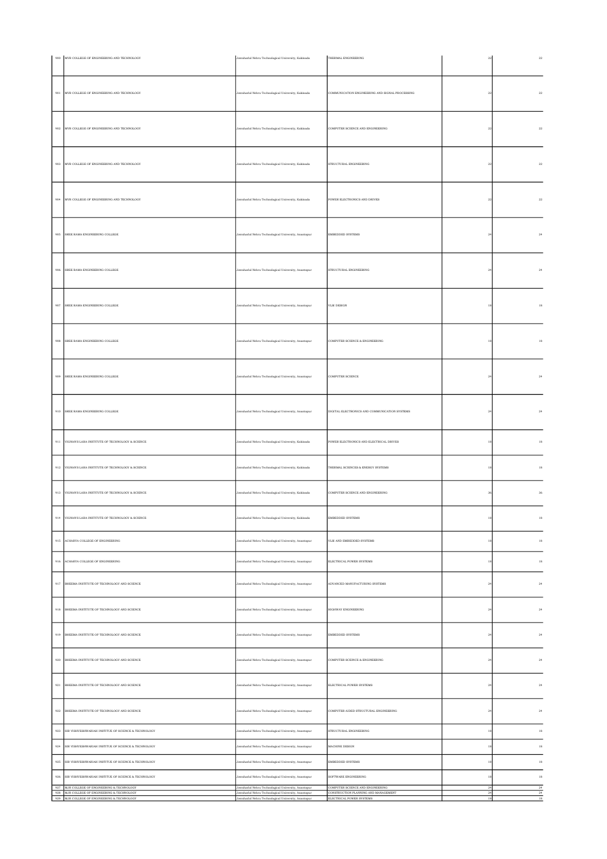| $900\,$            | MVR COLLEGE OF ENGINEERING AND TECHNOLOGY                                                          | Jawaharlal Nehru Technological University, Kakinada                                                          | THERMAL ENGINEERING                                              | $\bf{^{22}}$      | $\bf{22}$               |
|--------------------|----------------------------------------------------------------------------------------------------|--------------------------------------------------------------------------------------------------------------|------------------------------------------------------------------|-------------------|-------------------------|
| 901                | MVR COLLEGE OF ENGINEERING AND TECHNOLOGY                                                          | Jawaharlal Nehru Technological University, Kakinada                                                          | COMMUNICATION ENGINEERING AND SIGNAL PROCESSING                  | $^{\rm 22}$       | $\bf{22}$               |
| 902                | MVR COLLEGE OF ENGINEERING AND TECHNOLOGY                                                          | Jawaharlal Nehru Technological University, Kakinada                                                          | COMPUTER SCIENCE AND ENGINEERING                                 | 22                | $\bf{^{22}}$            |
| 903                | MVR COLLEGE OF ENGINEERING AND TECHNOLOGY                                                          | Jawaharlal Nehru Technological University, Kakinada                                                          | STRUCTURAL ENGINEERING                                           | $^{\rm 22}$       | $\bf{22}$               |
| 904                | MVR COLLEGE OF ENGINEERING AND TECHNOLOGY                                                          | Jawaharlal Nehru Technological University, Kakinada                                                          | POWER ELECTRONICS AND DRIVES                                     | $\bf{22}$         | ${\bf 22}$              |
| 905                | SREE RAMA ENGINEERING COLLEGE                                                                      | Jawaharlal Nehru Technological University, Anantapur                                                         | EMBEDDED SYSTEMS                                                 | $\bf{^{24}}$      | $\bf 24$                |
| $906\,$            | SREE RAMA ENGINEERING COLLEGE                                                                      | Jawaharlal Nehru Technological University, Anantapur                                                         | STRUCTURAL ENGINEERING                                           | $\bf{^{24}}$      | $\bf 24$                |
| $907\,$            | SREE RAMA ENGINEERING COLLEGE                                                                      | Jawaharlal Nehru Technological University, Anantapur                                                         | VLSI DESIGN                                                      | 18                | $^{\rm 18}$             |
| $908\,$            | SREE RAMA ENGINEERING COLLEGE                                                                      | Jawaharlal Nehru Technological University, Anantapur                                                         | COMPUTER SCIENCE & ENGINEERING                                   | 18                | $^{\rm 18}$             |
| 909                | SREE RAMA ENGINEERING COLLEGE                                                                      | Jawaharlal Nehru Technological University, Anantapur                                                         | COMPUTER SCIENCE                                                 | 24                | $\bf 24$                |
| 910                | SREE RAMA ENGINEERING COLLEGE                                                                      | Jawaharlal Nehru Technological University, Anantapur                                                         | DIGITAL ELECTRONICS AND COMMUNICATION SYSTEMS                    | 24                | 24                      |
| 911                | VIGNAN'S LARA INSTITUTE OF TECHNOLOGY & SCIENCE                                                    | Jawaharlal Nehru Technological University, Kakinada                                                          | POWER ELECTRONICS AND ELECTRICAL DRIVES                          | 18                | $^{\rm 18}$             |
|                    | 912 VIGNAN'S LARA INSTITUTE OF TECHNOLOGY & SCIENCE                                                | Jawaharlal Nehru Technological University, Kakinada                                                          | THERMAL SCIENCES & ENERGY SYSTEMS                                | $\boldsymbol{18}$ | $^{\rm 18}$             |
|                    | 913 VIGNAN'S LARA INSTITUTE OF TECHNOLOGY & SCIENCE                                                | Jawaharlal Nehru Technological University, Kakinada                                                          | COMPUTER SCIENCE AND ENGINEERING                                 | 36                | $36\,$                  |
| $\bf 914$          | VIGNAN'S LARA INSTITUTE OF TECHNOLOGY & SCIENCE                                                    | Jawaharlal Nehru Technological University, Kakinada                                                          | EMBEDDED SYSTEMS                                                 |                   | $^{\rm 18}$             |
| $\bf 915$          | ACHARYA COLLEGE OF ENGINEERING                                                                     | Jawaharlal Nehru Technological University, Anantapur                                                         | VLSI AND EMBEDDED SYSTEMS                                        | 18                | $^{\rm 18}$             |
| 916                | ACHARYA COLLEGE OF ENGINEERING                                                                     | Jawaharlal Nehru Technological University, Anantapur                                                         | ELECTRICAL POWER SYSTEMS                                         | 18                | $^{\rm 18}$             |
| $917\,$            | BHEEMA INSTITUTE OF TECHNOLOGY AND SCIENCE                                                         | Jawaharlal Nehru Technological University, Anantapur                                                         | ADVANCED MANUFACTURING SYSTEMS                                   | $\bf 24$          | $\bf 24$                |
| 918                | BHEEMA INSTITUTE OF TECHNOLOGY AND SCIENCE                                                         | Jawaharlal Nehru Technological University, Anantapur                                                         | HIGHWAY ENGINEERING                                              | 24                | 24                      |
| 919                | BHEEMA INSTITUTE OF TECHNOLOGY AND SCIENCE                                                         | Jawaharlal Nehru Technological University, Anantapur                                                         | EMBEDDED SYSTEMS                                                 | 24                | $\bf 24$                |
| $\,920$            | BHEEMA INSTITUTE OF TECHNOLOGY AND SCIENCE                                                         | Jawaharlal Nehru Technological University, Anantapur                                                         | COMPUTER SCEINCE & ENGINEERING                                   | $\sqrt{24}$       | $\bf 24$                |
| 921                | BHEEMA INSTITUTE OF TECHNOLOGY AND SCIENCE                                                         | Jawaharlal Nehru Technological University, Anantapur                                                         | ELECTRICAL POWER SYSTEMS                                         | 24                | $\bf 24$                |
| $\boldsymbol{922}$ | BHEEMA INSTITUTE OF TECHNOLOGY AND SCIENCE                                                         | Jawaharlal Nehru Technological University, Anantapur                                                         | COMPUTER AIDED STRUCTURAL ENGINEERING                            | $\bf{^{24}}$      | $\bf 24$                |
| 923                | SIR VISHVESHWARIAH INSTITUE OF SCIENCE & TECHNOLOGY                                                | Jawaharlal Nehru Technological University, Anantapur                                                         | STRUCTURAL ENGINEERING                                           | 18                | $^{\rm 18}$             |
| 924                | SIR VISHVESHWARIAH INSTITUE OF SCIENCE & TECHNOLOGY                                                | Jawaharlal Nehru Technological University, Anantapur                                                         | MACHINE DESIGN                                                   | 18                | 18                      |
| 925                | SIR VISHVESHWARIAH INSTITUE OF SCIENCE & TECHNOLOGY                                                | Jawaharlal Nehru Technological University, Anantapur                                                         | EMBEDDED SYSTEMS                                                 | 18                | $^{\rm 18}$             |
| 926                | SIR VISHVESHWARIAH INSTITUE OF SCIENCE & TECHNOLOGY<br>927 MJR COLLEGE OF ENGINEERING & TECHNOLOGY | Jawaharlal Nehru Technological University, Anantapur<br>Jawaharlal Nehru Technological University, Anantapur | SOFTWARE ENGINEERING<br>COMPUTER SCIENCE AND ENGINEERING         | 18<br>$^{24}$     | $^{\rm 18}$<br>$\bf 24$ |
|                    | 928 MJR COLLEGE OF ENGINEERING & TECHNOLOGY<br>929 MJR COLLEGE OF ENGINEERING & TECHNOLOGY         | Jawaharlal Nehru Technological University, Anantapur<br>Jawaharlal Nehru Technological University, Anantapur | CONSTRUCTION PLANNING AND MANAGEMENT<br>ELECTRICAL POWER SYSTEMS | 24<br>18          | 24<br>$18\,$            |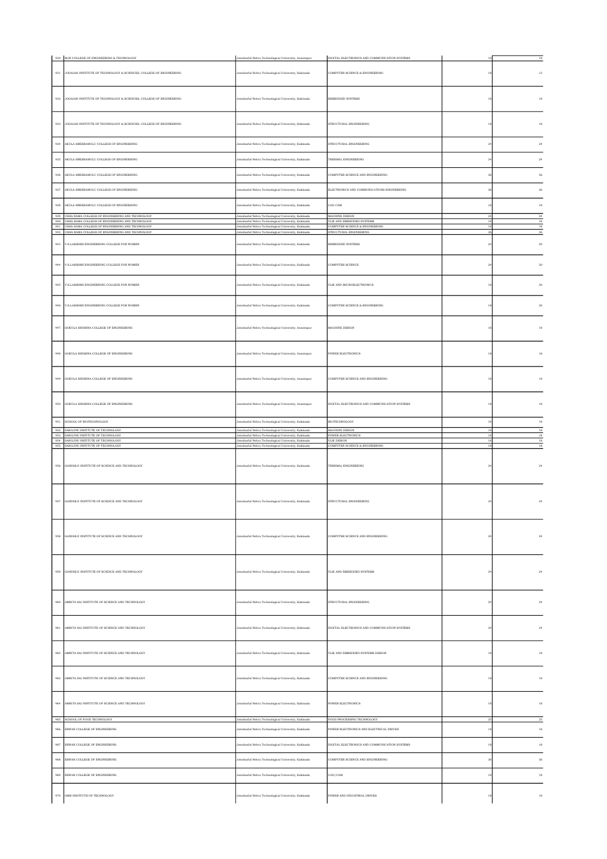|                | 930 MJR COLLEGE OF ENGINEERING & TECHNOLOGY                                                                | Jawaharlal Nehru Technological University, Anantapur                                                       | DIGITAL ELECTRONICS AND COMMUNICATION SYSTEMS                         | 18                | 18                    |
|----------------|------------------------------------------------------------------------------------------------------------|------------------------------------------------------------------------------------------------------------|-----------------------------------------------------------------------|-------------------|-----------------------|
| $\bf{931}$     | JOGAIAH INSTITUTE OF TECHNOLOGY & SCIENCES, COLLEGE OF ENGINEERING                                         | Jawaharlal Nehru Technological University, Kakinada                                                        | COMPUTER SCIENCE & ENGINEERING                                        | $^{\rm 18}$       | $12\,$                |
| 932            | JOGAIAH INSTITUTE OF TECHNOLOGY & SCIENCES, COLLEGE OF ENGINEERING                                         | Jawaharlal Nehru Technological University, Kakinada                                                        | EMBEDDED SYSTEMS                                                      | $18\,$            | $^{\rm 18}$           |
| 933            | JOGAIAH INSTITUTE OF TECHNOLOGY & SCIENCES, COLLEGE OF ENGINEERING                                         | Jawaharlal Nehru Technological University, Kakinada                                                        | STRUCTURAL ENGINEERING                                                | 18                | 18                    |
| 934            | AKULA SREERAMULU COLLEGE OF ENGINEERING                                                                    | Jawaharlal Nehru Technological University, Kakinada                                                        | STRUCTURAL ENGINEERING                                                | 24                | $\bf 24$              |
| 935            | AKULA SREERAMULU COLLEGE OF ENGINEERING                                                                    | Jawaharlal Nehru Technological University, Kakinada                                                        | THERMAL ENGINEERING                                                   | 24                | 24                    |
| $\,936$        | AKULA SREERAMULU COLLEGE OF ENGINEERING                                                                    | Jawaharlal Nehru Technological University, Kakinada                                                        | COMPUTER SCIENCE AND ENGINEERING                                      | 36                | 36                    |
| 937            | AKULA SREERAMULU COLLEGE OF ENGINEERING                                                                    | Jawaharlal Nehru Technological University, Kakinada                                                        | ELECTRONICS AND COMMUNICATIONS ENGINEERING                            | 36                | 36                    |
|                |                                                                                                            |                                                                                                            |                                                                       |                   |                       |
| 938            | AKULA SREERAMULU COLLEGE OF ENGINEERING<br>939 USHA RAMA COLLEGE OF ENGINEERING AND TECHNOLOGY             | Jawaharlal Nehru Technological University, Kakinada<br>Jawaharlal Nehru Technological University, Kakinada | CAD CAM<br>MACHINE DESIGN                                             | 18<br>24          | $18\,$<br>$\sqrt{24}$ |
|                | 940 USHA RAMA COLLEGE OF ENGINEERING AND TECHNOLOGY<br>941 USHA RAMA COLLEGE OF ENGINEERING AND TECHNOLOGY | Jawaharlal Nehru Technological University, Kakinada<br>Jawaharlal Nehru Technological University, Kakinada | VLSI AND EMBEDDED SYSTEMS<br>COMPUTER SCIENCE & ENGINEERING           | $18\,$<br>18      | $18\,$<br>18          |
| 942            | USHA RAMA COLLEGE OF ENGINEERING AND TECHNOLOGY                                                            | Jawaharlal Nehru Technological University, Kakinada                                                        | STRUCTURAL ENGINEERING                                                | 36                | 36                    |
| $\bf 943$      | V.S.LAKSHMI ENGINEERING COLLEGE FOR WOMEN                                                                  | Jawaharlal Nehru Technological University, Kakinada                                                        | EMBEDDED SYSTEMS                                                      | $_{\rm 24}$       | $30\,$                |
| 944            | V.S.LAKSHMI ENGINEERING COLLEGE FOR WOMEN                                                                  | Jawaharlal Nehru Technological University, Kakinada                                                        | <b>COMPUTER SCIENCE</b>                                               | 24                | 30                    |
| 945            | V.S.LAKSHMI ENGINEERING COLLEGE FOR WOMEN                                                                  | Jawaharlal Nehru Technological University, Kakinada                                                        | VLSLAND MICROELECTRONICS                                              | 18                | 30                    |
| $\bf 946$      | V.S.LAKSHMI ENGINEERING COLLEGE FOR WOMEN                                                                  | Jawaharlal Nehru Technological University, Kakinada                                                        | COMPUTER SCIENCE & ENGINEERING                                        | $18\,$            | $_{\rm 30}$           |
| 947            | GOKULA KRISHNA COLLEGE OF ENGINEERING                                                                      | Jawaharlal Nehru Technological University, Anantapur                                                       | MACHINE DESIGN                                                        | $^{\rm 18}$       | $^{\rm 18}$           |
| 948            | GOKULA KRISHNA COLLEGE OF ENGINEERING                                                                      | Jawaharlal Nehru Technological University, Anantapur                                                       | <b>POWER ELECTRONICS</b>                                              | 18                | 18                    |
| 949            | GOKULA KRISHNA COLLEGE OF ENGINEERING                                                                      | Jawaharlal Nehru Technological University, Anantapur                                                       | COMPUTER SCIENCE AND ENGINEERING                                      | $18\,$            | $^{\rm 18}$           |
| 950            | GOKULA KRISHNA COLLEGE OF ENGINEERING                                                                      | Jawaharlal Nehru Technological University, Anantapur                                                       | DIGITAL ELECTRONICS AND COMMUNICATION SYSTEMS                         | 18                | 18                    |
| $951\,$        | SCHOOL OF BIOTECHNOLOGY                                                                                    | lawaharlal Nehru Technological University, Kakinada                                                        | <b>BIOTECHNOLOGY</b>                                                  | $^{\rm 18}$       | $18\,$                |
|                |                                                                                                            |                                                                                                            |                                                                       |                   |                       |
| 953            | 952 SAROJINI INSTITUTE OF TECHNOLOGY<br>SAROJINI INSTITUTE OF TECHNOLOGY                                   | Jawaharlal Nehru Technological University, Kakinada<br>Jawaharlal Nehru Technological University, Kakinada | MACHINE DESIGN<br>POWER ELECTRONICS                                   | 18<br>18          | 18<br>$18\,$          |
| 954<br>$955\,$ | SAROJINI INSTITUTE OF TECHNOLOGY<br>SAROJINI INSTITUTE OF TECHNOLOGY                                       | Jawaharlal Nehru Technological University, Kakinada<br>Jawaharlal Nehru Technological University, Kakinada | VLSI DESIGN<br>COMPUTER SCIENCE & ENGINEERING                         | 18<br>18          | $^{\rm 18}$<br>$18\,$ |
| $956\,$        | GANDHIJI INSTITUTE OF SCIENCE AND TECHNOLOGY                                                               | Jawaharlal Nehru Technological University, Kakinada                                                        | THERMAL ENGINEERING                                                   | $^{24}$           | $_{\rm 24}$           |
| 957            | GANDHIJI INSTITUTE OF SCIENCE AND TECHNOLOGY                                                               | Jawaharlal Nehru Technological University, Kakinada                                                        | STRUCTURAL ENGINEERING                                                |                   | $_{\rm 24}$           |
| $958\,$        | GANDHIJI INSTITUTE OF SCIENCE AND TECHNOLOGY                                                               | Jawaharlal Nehru Technological University, Kakinada                                                        | COMPUTER SCIENCE AND ENGINEERING                                      | $_{\rm 24}$       | $\bf 24$              |
| 959            | GANDHIJI INSTITUTE OF SCIENCE AND TECHNOLOGY                                                               | Jawaharlal Nehru Technological University, Kakinada                                                        | VLSI AND EMBEDDED SYSTEMS                                             | 24                | $\bf 24$              |
| 960            | AMRITA SAI INSTITUTE OF SCIENCE AND TECHNOLOGY                                                             | Jawaharlal Nehru Technological University, Kakinada                                                        | STRUCTURAL ENGINEERING                                                | $_{\rm 24}$       | $_{\rm 24}$           |
| 961            | AMRITA SAI INSTITUTE OF SCIENCE AND TECHNOLOGY                                                             | Jawaharlal Nehru Technological University, Kakinada                                                        | DIGITAL ELECTRONICS AND COMMUNICATION SYSTEMS                         | 24                | 24                    |
| 962            | AMRITA SAI INSTITUTE OF SCIENCE AND TECHNOLOGY                                                             | Jawaharlal Nehru Technological University, Kakinada                                                        | VLSI AND EMBEDDED SYSTEMS DESIGN                                      | $^{\rm 18}$       | $^{\rm 18}$           |
| 963            | AMRITA SAI INSTITUTE OF SCIENCE AND TECHNOLOGY                                                             | Jawaharlal Nehru Technological University, Kakinada                                                        | COMPUTER SCIENCE AND ENGINEERING                                      | $^{\rm 18}$       | $^{\rm 18}$           |
| 964            | AMRITA SAI INSTITUTE OF SCIENCE AND TECHNOLOGY                                                             | Jawaharlal Nehru Technological University, Kakinada                                                        | <b>POWER ELECTRONICS</b>                                              | 18                | $18\,$                |
| 966            | 965 SCHOOL OF FOOD TECHNOLOGY<br>ESWAR COLLEGE OF ENGINEERING                                              | Jawaharlal Nehru Technological University, Kakinada<br>Jawaharlal Nehru Technological University, Kakinada | FOOD PROCESSING TECHNOLOGY<br>POWER ELECTRONICS AND ELECTRICAL DRIVES | 25<br>$^{\rm 18}$ | $\sqrt{25}$<br>$18\,$ |
|                |                                                                                                            |                                                                                                            |                                                                       |                   |                       |
| $967\,$        | ESWAR COLLEGE OF ENGINEERING                                                                               | Jawaharlal Nehru Technological University, Kakinada                                                        | DIGITAL ELECTRONICS AND COMMUNICATION SYSTEMS                         | $^{\rm 18}$       | $^{\rm 18}$           |
| $968\,$        | ESWAR COLLEGE OF ENGINEERING                                                                               | Jawaharlal Nehru Technological University, Kakinada                                                        | COMPUTER SCIENCE AND ENGINEERING                                      | 36                | $36\,$                |
| 969            | ESWAR COLLEGE OF ENGINEERING                                                                               | Jawaharlal Nehru Technological University, Kakinada                                                        | CAD/CAM                                                               | $^{\rm 18}$       | $^{\rm 18}$           |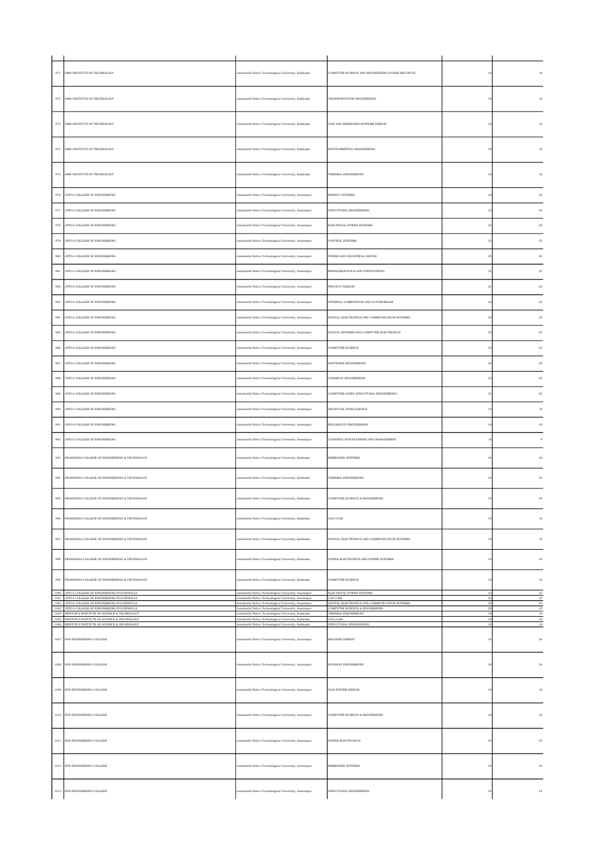| 971     | GMR INSTITUTE OF TECHNOLOGY                                                                                                                         | Jawaharlal Nehru Technological University, Kakinada                                                                                                                | COMPUTER SCIENCE AND ENGINEERING (CYBER SECURITY)                |                         |                      |
|---------|-----------------------------------------------------------------------------------------------------------------------------------------------------|--------------------------------------------------------------------------------------------------------------------------------------------------------------------|------------------------------------------------------------------|-------------------------|----------------------|
| 972     | GMR INSTITUTE OF TECHNOLOGY                                                                                                                         | Jawaharlal Nehru Technological University, Kakinada                                                                                                                | TRANSPORTATION ENGINEERING                                       |                         | 18                   |
| 973     | GMR INSTITUTE OF TECHNOLOGY                                                                                                                         | Jawaharlal Nehru Technological University, Kakinada                                                                                                                | VLSI AND EMBEDDED SYSTEMS DESIGN                                 |                         | 18                   |
| 974     | GMR INSTITUTE OF TECHNOLOGY                                                                                                                         | Jawaharlal Nehru Technological University, Kakinada                                                                                                                | ENVIRONMENTAL ENGINEERING                                        |                         | 18                   |
| 975     | GMR INSTITUTE OF TECHNOLOGY                                                                                                                         | Jawaharlal Nehru Technological University, Kakinada                                                                                                                | THERMAL ENGINEERING                                              |                         | $^{\rm 18}$          |
| 976     | JNTUA COLLEGE OF ENGINEERING                                                                                                                        | Jawaharlal Nehru Technological University, Anantapur                                                                                                               | <b>ENERGY SYSTEMS</b>                                            | 25                      | 25                   |
| 977     | JNTUA COLLEGE OF ENGINEERING                                                                                                                        | Jawaharlal Nehru Technological University, Anantapur                                                                                                               | STRUCTURAL ENGINEERING                                           | 25                      | 25                   |
| 978     | JNTUA COLLEGE OF ENGINEERING                                                                                                                        | Jawaharlal Nehru Technological University, Anantapur                                                                                                               | ELECTRICAL POWER SYSTEMS                                         | $\bf 25$                | 25                   |
| 979     | JNTUA COLLEGE OF ENGINEERING                                                                                                                        | Jawaharlal Nehru Technological University, Anantapur                                                                                                               | CONTROL SYSTEMS                                                  | 25                      | 25                   |
| 980     | JNTUA COLLEGE OF ENGINEERING                                                                                                                        | Jawaharlal Nehru Technological University, Anantapur                                                                                                               | POWER AND INDUSTRIAL DRIVES                                      | 25                      | 25                   |
| 981     | JNTUA COLLEGE OF ENGINEERING                                                                                                                        | Jawaharlal Nehru Technological University, Anantapur                                                                                                               | REFRIGERATION & AIR CONDITIONING                                 | 25                      | 25                   |
| 982     | JNTUA COLLEGE OF ENGINEERING                                                                                                                        | Jawaharlal Nehru Technological University, Anantapur                                                                                                               | PRODUCT DESIGN                                                   | 25                      | 25                   |
| 983     | JNTUA COLLEGE OF ENGINEERING                                                                                                                        | Jawaharlal Nehru Technological University, Anantapur                                                                                                               | INTERNAL COMBUSTION AND AUTOMOBILES                              | 25                      | 25                   |
| 984     | JNTUA COLLEGE OF ENGINEERING                                                                                                                        | Jawaharlal Nehru Technological University, Anantapur                                                                                                               | DIGITAL ELECTRONICS AND COMMUNICATION SYSTEMS                    | $\bf 25$                | 25                   |
| 985     | JNTUA COLLEGE OF ENGINEERING                                                                                                                        | Jawaharlal Nehru Technological University, Anantapur                                                                                                               | DIGITAL SYSTEMS AND COMPUTER ELECTRONICS                         | 25                      | 25                   |
| 986     | JNTUA COLLEGE OF ENGINEERING                                                                                                                        | Jawaharlal Nehru Technological University, Anantapur                                                                                                               | COMPUTER SCIENCE                                                 | 25                      | 25                   |
| 987     | JNTUA COLLEGE OF ENGINEERING                                                                                                                        | Jawaharlal Nehru Technological University, Anantapur                                                                                                               | SOFTWARE ENGINEERING                                             | 25                      | 25                   |
|         |                                                                                                                                                     |                                                                                                                                                                    |                                                                  |                         |                      |
| 988     | JNTUA COLLEGE OF ENGINEERING                                                                                                                        | Jawaharlal Nehru Technological University, Anantapur                                                                                                               | CHEMICAL ENGINEERING                                             | 25                      | 25                   |
| 989     | JNTUA COLLEGE OF ENGINEERING                                                                                                                        | Jawaharlal Nehru Technological University, Anantapur                                                                                                               | COMPUTER AIDED STRUCTURAL ENGINEERING                            | 25                      | 25                   |
| 990     | JNTUA COLLEGE OF ENGINEERING                                                                                                                        | Jawaharlal Nehru Technological University, Anantapur                                                                                                               | ARTIFICIAL INTELLIGENCE                                          | 18                      | 18                   |
| 991     | JNTUA COLLEGE OF ENGINEERING                                                                                                                        | Jawaharlal Nehru Technological University, Anantapur                                                                                                               | RELIABILITY ENGINEERING                                          |                         | 18                   |
| 992     | JNTUA COLLEGE OF ENGINEERING                                                                                                                        | Jawaharlal Nehru Technological University, Anantapur                                                                                                               | CONSTRUCTION PLANNING AND MANAGEMENT                             | 18                      | $\,$ 9               |
| 993     | PRASIDDHA COLLEGE OF ENGINEERING & TECHNOLOGY                                                                                                       | Jawaharlal Nehru Technological University, Kakinada                                                                                                                | EMBEDDED SYSTEMS                                                 | $^{24}$                 | 30                   |
| 994     | PRASIDDHA COLLEGE OF ENGINEERING & TECHNOLOGY                                                                                                       | Jawaharial Nehru Technological University, Kakinada                                                                                                                | THERMAL ENGINEERING                                              | 24                      | 24                   |
| 995     | PRASIDDHA COLLEGE OF ENGINEERING & TECHNOLOGY                                                                                                       | Jawaharlal Nehru Technological University, Kakinada                                                                                                                | COMPUTER SCIENCE & ENGINEERING                                   |                         | 30                   |
| 996     | PRASIDDHA COLLEGE OF ENGINEERING & TECHNOLOGY                                                                                                       | Jawaharlal Nehru Technological University, Kakinada                                                                                                                | CAD/CAM                                                          | 18                      | $^{\rm 18}$          |
| $997\,$ | PRASIDDHA COLLEGE OF ENGINEERING & TECHNOLOGY                                                                                                       | Jawaharlal Nehru Technological University, Kakinada                                                                                                                | DIGITAL ELECTRONICS AND COMMUNICATION SYSTEMS                    | $18\,$                  | $^{\rm 18}$          |
| 998     | PRASIDDHA COLLEGE OF ENGINEERING & TECHNOLOGY                                                                                                       | Jawaharlal Nehru Technological University, Kakinada                                                                                                                | POWER ELECTRONICS AND POWER SYSTEMS                              | 18                      | 30                   |
| 999     | PRASIDDHA COLLEGE OF ENGINEERING & TECHNOLOGY<br>1000 JNTUA COLLEGE OF ENGINEERING PULIVENDULA                                                      | Jawaharlal Nehru Technological University, Kakinada<br>Jawaharlal Nehru Technological University, Anantapur                                                        | COMPUTER SCIENCE<br>ELECTRICAL POWER SYSTEMS                     | $18\,$<br>25            | 18<br>25             |
|         | 1001 JNTUA COLLEGE OF ENGINEERING PULIVENDULA<br>1002 JNTUA COLLEGE OF ENGINEERING PULIVENDULA                                                      | Jawaharlal Nehru Technological University, Anantapur<br>Jawaharlal Nehru Technological University, Anantapur                                                       | CAD CAM<br>DIGITAL ELECTRONICS AND COMMUNICATION SYSTEMS         | 25<br>$\bf 25$          | $25\,$<br>$\rm 25$   |
|         | 1003 JNTUA COLLEGE OF ENGINEERING PULIVENDULA<br>1004 NEWTON'S INSTITUTE OF SCIENCE & TECHNOLOGY<br>1005 NEWTON'S INSTITUTE OF SCIENCE & TECHNOLOGY | Jawaharlal Nehru Technological University, Anantapur<br>Jawaharlal Nehru Technological University, Kakinada<br>Jawaharlal Nehru Technological University, Kakinada | COMPUTER SCEINCE & ENGINEERING<br>THERMAL ENGINEERING<br>CAD/CAM | 25<br>$^{\rm 18}$<br>18 | 25<br>$18$<br>$18\,$ |
|         | 1006 NEWTON'S INSTITUTE OF SCIENCE & TECHNOLOGY                                                                                                     | Jawaharlal Nehru Technological University, Kakinada                                                                                                                | STRUCTURAL ENGINEERING                                           | $18\,$                  | $18\,$               |
|         | 1007 SVR ENGINEERING COLLEGE                                                                                                                        | Jawaharlal Nehru Technological University, Anantapur                                                                                                               | MACHINE DESIGN                                                   | 24                      | 24                   |
|         | 1008 SVR ENGINEERING COLLEGE                                                                                                                        | Jawaharlal Nehru Technological University, Anantapur                                                                                                               | HIGHWAY ENGINEERING                                              | 24                      | $\bf 24$             |
|         | 1009 SVR ENGINEERING COLLEGE                                                                                                                        | Jawaharlal Nehru Technological University, Anantapur                                                                                                               | VLSI SYSTEM DESIGN                                               | $^{\rm 18}$             | $18\,$               |
|         | 1010 SVR ENGINEERING COLLEGE                                                                                                                        | Jawaharlal Nehru Technological University, Anantapur                                                                                                               | COMPUTER SCIENCE & ENGINEERING                                   | $\sqrt{24}$             | 24                   |
|         | 1011 SVR ENGINEERING COLLEGE                                                                                                                        | Jawaharlal Nehru Technological University, Anantapur                                                                                                               | POWER ELECTRONICS                                                | $\bf{24}$               | $\bf 24$             |
|         | 1012 SVR ENGINEERING COLLEGE                                                                                                                        | Jawaharlal Nehru Technological University, Anantapur                                                                                                               | <b>EMBEDDED SYSTEMS</b>                                          | 24                      | 24                   |
|         | 1013 SVR ENGINEERING COLLEGE                                                                                                                        | Jawaharlal Nehru Technological University, Anantapur                                                                                                               | STRUCTURAL ENGINEERING                                           | $^{24}$                 | $\bf 24$             |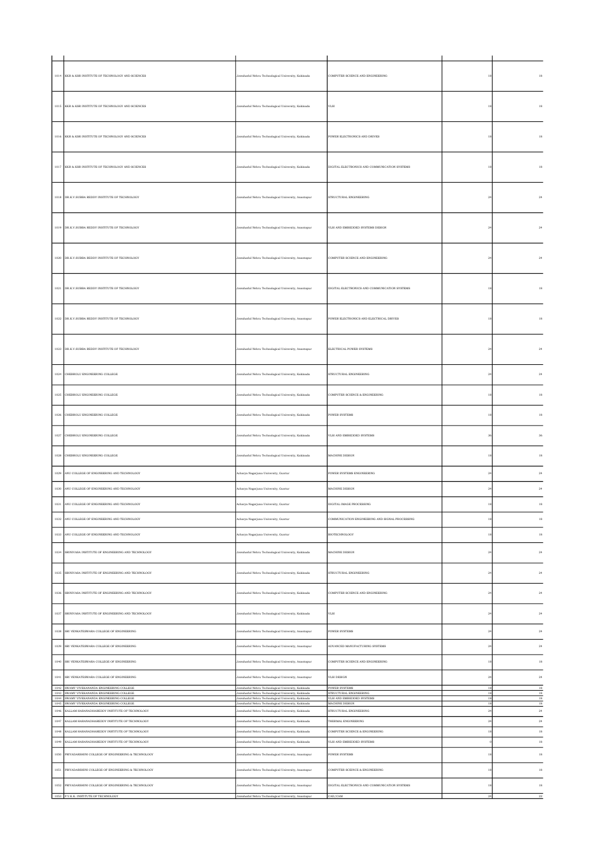| 1014     | KKR & KSR INSTITUTE OF TECHNOLOGY AND SCIENCES                                              | Jawaharlal Nehru Technological University, Kakinada                                                        | COMPUTER SCIENCE AND ENGINEERING                    | 18                      |  |
|----------|---------------------------------------------------------------------------------------------|------------------------------------------------------------------------------------------------------------|-----------------------------------------------------|-------------------------|--|
|          | 1015 KKR & KSR INSTITUTE OF TECHNOLOGY AND SCIENCES                                         | Jawaharlal Nehru Technological University, Kakinada                                                        | $_{\rm VLSI}$                                       | 18                      |  |
| 1016     | KKR & KSR INSTITUTE OF TECHNOLOGY AND SCIENCES                                              | Jawaharlal Nehru Technological University, Kakinada                                                        | POWER ELECTRONICS AND DRIVES                        | 18                      |  |
| 1017     | KKR & KSR INSTITUTE OF TECHNOLOGY AND SCIENCES                                              | Jawaharlal Nehru Technological University, Kakinada                                                        | DIGITAL ELECTRONICS AND COMMUNICATION SYSTEMS.      | 18                      |  |
| 1018     | DR.K.V. SUBBA REDDY INSTITUTE OF TECHNOLOGY                                                 | Jawaharlal Nehru Technological University, Anantapur                                                       | STRUCTURAL ENGINEERING                              | 24                      |  |
| 1019     | DR.K.V.SUBBA REDDY INSTITUTE OF TECHNOLOGY                                                  | Jawaharlal Nehru Technological University, Anantapur                                                       | VLSI AND EMBEDDED SYSTEMS DESIGN                    | $\overline{2}$          |  |
| 1020     | DR.K.V.SUBBA REDDY INSTITUTE OF TECHNOLOGY                                                  | Jawaharlal Nehru Technological University, Anantapur                                                       | COMPUTER SCIENCE AND ENGINEERING                    | $2\epsilon$             |  |
| 1021     | DR.K.V.SUBBA REDDY INSTITUTE OF TECHNOLOGY                                                  | Jawaharlal Nehru Technological University, Anantapur                                                       | DIGITAL ELECTRONICS AND COMMUNICATION SYSTEMS       | 18                      |  |
| 1022     | DR.K.V.SUBBA REDDY INSTITUTE OF TECHNOLOGY                                                  | Jawaharlal Nehru Technological University, Anantapur                                                       | POWER ELECTRONICS AND ELECTRICAL DRIVES             | $1\,$                   |  |
| 1023     | DR.K.V.SUBBA REDDY INSTITUTE OF TECHNOLOGY                                                  | Jawaharlal Nehru Technological University, Anantapur                                                       | ELECTRICAL POWER SYSTEMS                            | $2\,$                   |  |
| 1024     | CHEBROLU ENGINEERING COLLEGE                                                                | Jawaharlal Nehru Technological University, Kakinada                                                        | STRUCTURAL ENGINEERING                              | 2 <sup>i</sup>          |  |
| 1025     | CHEBROLU ENGINEERING COLLEGE                                                                | Jawaharlal Nehru Technological University, Kakinada                                                        | COMPUTER SCIENCE & ENGINEERING                      | 18                      |  |
| 1026     | CHEBROLU ENGINEERING COLLEGE                                                                | Jawaharlal Nehru Technological University, Kakinada                                                        | <b>POWER SYSTEMS</b>                                | 18                      |  |
| 1027     | CHEBROLU ENGINEERING COLLEGE                                                                | Jawaharlal Nehru Technological University, Kakinada                                                        | VLSI AND EMBEDDED SYSTEMS                           | $\overline{\mathbf{3}}$ |  |
| 1028     | CHEBROLU ENGINEERING COLLEGE                                                                | Jawaharlal Nehru Technological University, Kakinada                                                        | MACHINE DESIGN                                      | 18                      |  |
| 1029     | ANU COLLEGE OF ENGINEERING AND TECHNOLOGY                                                   | Acharya Nagarjuna University, Guntur                                                                       | POWER SYSTEMS ENGINEERING                           | $\sqrt{24}$             |  |
| 1030     | ANU COLLEGE OF ENGINEERING AND TECHNOLOGY                                                   | Acharya Nagarjuna University, Guntur                                                                       | MACHINE DESIGN                                      | $\overline{2}$          |  |
| 1031     | ANU COLLEGE OF ENGINEERING AND TECHNOLOGY                                                   | Acharya Nagarjuna University, Guntur                                                                       | DIGITAL IMAGE PROCESSING                            | $\mathbf{1}$            |  |
| 1032     | ANU COLLEGE OF ENGINEERING AND TECHNOLOGY                                                   | Acharya Nagarjuna University, Guntur                                                                       | COMMUNICATION ENGINEERING AND SIGNAL PROCESSING     | $\bar{1}$               |  |
| 1033     | ANU COLLEGE OF ENGINEERING AND TECHNOLOGY                                                   | Acharya Nagarjuna University, Guntur                                                                       | BIOTECHNOLOGY                                       | $\mathbf{1}$            |  |
| 1034     | SRINIVASA INSTITUTE OF ENGINEERING AND TECHNOLOGY                                           | Jawaharlal Nehru Technological University, Kakinada                                                        | MACHINE DESIGN                                      | $^{24}$                 |  |
| 1035     | SRINIVASA INSTITUTE OF ENGINEERING AND TECHNOLOGY                                           | Jawaharlal Nehru Technological University, Kakinada                                                        | STRUCTURAL ENGINEERING                              | $2\epsilon$             |  |
| 1036     | SRINIVASA INSTITUTE OF ENGINEERING AND TECHNOLOGY                                           | Jawaharlal Nehru Technological University, Kakinada                                                        | COMPUTER SCIENCE AND ENGINEERING                    | $^{24}$                 |  |
| 1037     | SRINIVASA INSTITUTE OF ENGINEERING AND TECHNOLOGY                                           | Jawaharlal Nehru Technological University, Kakinada                                                        | VLSI                                                | $\overline{2}$          |  |
| 1038     | SRI VENKATESWARA COLLEGE OF ENGINEERING                                                     | Jawaharlal Nehru Technological University, Anantapur                                                       | POWER SYSTEMS                                       | $\overline{a}$          |  |
| 1039     | SRI VENKATESWARA COLLEGE OF ENGINEERING                                                     | Jawaharlal Nehru Technological University, Anantapur                                                       | ADVANCED MANUFACTURING SYSTEMS                      | $2\epsilon$             |  |
| 1040     | SRI VENKATESWARA COLLEGE OF ENGINEERING                                                     | Jawaharlal Nehru Technological University, Anantapur                                                       | COMPUTER SCIENCE AND ENGINEERING                    |                         |  |
| $1041\,$ | SRI VENKATESWARA COLLEGE OF ENGINEERING                                                     | Jawaharlal Nehru Technological University, Anantapur                                                       | VLSI DESIGN                                         | $2\,$                   |  |
|          | 1042 SWAMY VIVEKANANDA ENGINEERING COLLEGE                                                  | Jawaharlal Nehru Technological University, Kakinada                                                        | POWER SYSTEMS                                       | 18                      |  |
|          | 1043 SWAMY VIVEKANANDA ENGINEERING COLLEGE<br>1044 SWAMY VIVEKANANDA ENGINEERING COLLEGE    | Jawaharlal Nehru Technological University, Kakinada<br>Jawaharlal Nehru Technological University, Kakinada | STRUCTURAL ENGINEERING<br>VLSI AND EMBEDDED SYSTEMS | 18<br>$^{\rm 18}$       |  |
| 1046     | 1045 SWAMY VIVEKANANDA ENGINEERING COLLEGE<br>KALLAM HARANADHAREDDY INSTITUTE OF TECHNOLOGY | Jawaharlal Nehru Technological University, Kakinada<br>Jawaharlal Nehru Technological University, Kakinada | MACHINE DESIGN<br>STRUCTURAL ENGINEERING            | 18<br>24                |  |
| 1047     | KALLAM HARANADHAREDDY INSTITUTE OF TECHNOLOGY                                               | Jawaharlal Nehru Technological University, Kakinada                                                        | THERMAL ENGINEERING                                 | $2\,$                   |  |
| 1048     | KALLAM HARANADHAREDDY INSTITUTE OF TECHNOLOGY                                               | Jawaharlal Nehru Technological University, Kakinada                                                        | COMPUTER SCIENCE & ENGINEERING                      | $\overline{1}$          |  |
| 1049     | KALLAM HARANADHAREDDY INSTITUTE OF TECHNOLOGY                                               | Jawaharlal Nehru Technological University, Kakinada                                                        | VLSI AND EMBEDDED SYSTEMS                           |                         |  |
| 1050     | PRIYADARSHINI COLLEGE OF ENGINEERING & TECHNOLOGY                                           | Jawaharlal Nehru Technological University, Anantapur                                                       | POWER SYSTEMS                                       | $\mathbf{1}$            |  |
| 1051     | PRIYADARSHINI COLLEGE OF ENGINEERING & TECHNOLOGY                                           | Jawaharlal Nehru Technological University, Anantapur                                                       | COMPUTER SCEINCE & ENGINEERING                      | $\overline{1}$          |  |
| 1052     | PRIYADARSHINI COLLEGE OF ENGINEERING & TECHNOLOGY                                           | Jawaharlal Nehru Technological University, Anantapur                                                       | DIGITAL ELECTRONICS AND COMMUNICATION SYSTEMS       | $\overline{1}$          |  |
|          | 1053 P.V.K.K. INSTITUTE OF TECHNOLOGY                                                       | Jawaharlal Nehru Technological University, Anantapur                                                       | CAD/CAM                                             | $\bf 24$                |  |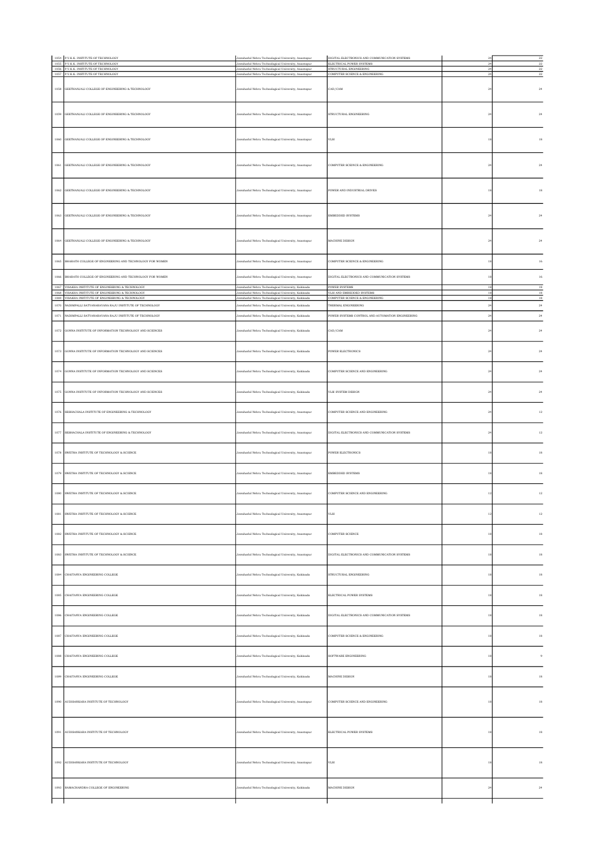|             | 1054 P.V.K.K. INSTITUTE OF TECHNOLOGY                                                                                                                     | Jawaharlal Nehru Technological University, Anantapur                                                                                                          | DIGITAL ELECTRONICS AND COMMUNICATION SYSTEMS                               |                | $\overline{22}$                  |
|-------------|-----------------------------------------------------------------------------------------------------------------------------------------------------------|---------------------------------------------------------------------------------------------------------------------------------------------------------------|-----------------------------------------------------------------------------|----------------|----------------------------------|
|             | 1055 P.V.K.K. INSTITUTE OF TECHNOLOGY<br>1056 P.V.K.K. INSTITUTE OF TECHNOLOGY                                                                            | Jawaharlal Nehru Technological University, Anantapur<br>Jawaharlal Nehm Technological University, Anantanur                                                   | ELECTRICAL POWER SYSTEMS<br>STRUCTURAL ENGINEERING                          | 24             | $\overline{\bf 22}$<br>$\bf{22}$ |
|             | 1057 P.V.K.K. INSTITUTE OF TECHNOLOGY                                                                                                                     | Jawaharlal Nehru Technological University, Anantapur                                                                                                          | COMPUTER SCIENCE & ENGINEERING                                              | $^{24}$        | $\bf{22}$                        |
| 1058        | GEETHANJALI COLLEGE OF ENGINEERING & TECHNOLOGY                                                                                                           | Jawaharlal Nehru Technological University, Anantapur                                                                                                          | CAD/CAM                                                                     | $_{\rm 24}$    | $^{24}$                          |
|             | 1059 GEETHANJALI COLLEGE OF ENGINEERING & TECHNOLOGY                                                                                                      | Jawaharlal Nehru Technological University, Anantapur                                                                                                          | STRUCTURAL ENGINEERING                                                      | 24             | 24                               |
|             | 1060 GEETHANJALI COLLEGE OF ENGINEERING & TECHNOLOGY                                                                                                      | Jawaharlal Nehru Technological University, Anantapur                                                                                                          | $_{\rm VLSI}$                                                               | $1\,$          | $18\,$                           |
|             | 1061 GEETHANJALI COLLEGE OF ENGINEERING & TECHNOLOGY                                                                                                      | Jawaharlal Nehru Technological University, Anantapur                                                                                                          | COMPUTER SCEINCE & ENGINEERING                                              | $^{24}$        | 24                               |
|             | 1062 GEETHANJALI COLLEGE OF ENGINEERING & TECHNOLOGY                                                                                                      | Jawaharlal Nehru Technological University, Anantapur                                                                                                          | POWER AND INDUSTRIAL DRIVES                                                 | 18             | 18                               |
|             | 1063 GEETHANJALI COLLEGE OF ENGINEERING & TECHNOLOGY                                                                                                      | Jawaharlal Nehru Technological University, Anantapur                                                                                                          | <b>EMBEDDED SYSTEMS</b>                                                     | $^{24}$        | 24                               |
| 1064        | GEETHANJALI COLLEGE OF ENGINEERING & TECHNOLOGY                                                                                                           | Jawaharlal Nehru Technological University, Anantapur                                                                                                          | MACHINE DESIGN                                                              | $^{24}$        | $\bf{24}$                        |
|             | 1065 BHARATH COLLEGE OF ENGINEERING AND TECHNOLOGY FOR WOMEN                                                                                              | Jawaharlal Nehru Technological University, Anantapur                                                                                                          | COMPUTER SCEINCE & ENGINEERING                                              | 18             | 16                               |
| 1066        | BHARATH COLLEGE OF ENGINEERING AND TECHNOLOGY FOR WOMEN                                                                                                   | Jawaharlal Nehru Technological University, Anantapur                                                                                                          | DIGITAL ELECTRONICS AND COMMUNICATION SYSTEMS                               | $\overline{1}$ | 16                               |
| 1068        | 1067 VISAKHA INSTITUTE OF ENGINEERING & TECHNOLOGY<br>VISAKHA INSTITUTE OF ENGINEERING & TECHNOLOGY<br>1069 VISAKHA INSTITUTE OF ENGINEERING & TECHNOLOGY | Jawaharlal Nehru Technological University, Kakinada<br>Jawaharlal Nehru Technological University, Kaki<br>Jawaharlal Nehru Technological University, Kakinada | POWER SYSTEMS<br>LSI AND EMBEDDED SYSTEMS<br>COMPUTER SCIENCE & ENGINEERING | 18<br>18       | $18$<br>$^{\rm 18}$<br>18        |
| 1070        | NADIMPALLI SATYANARAYANA RAJU INSTITUTE OF TECHNOLOGY                                                                                                     | Jawaharlal Nehru Technological University, Kakinada                                                                                                           | THERMAL ENGINEERING                                                         | $\,2\,$        | $\bf 24$                         |
| 1071        | NADIMPALLI SATYANARAYANA RAJU INSTITUTE OF TECHNOLOGY                                                                                                     | Jawaharlal Nehru Technological University, Kakinada                                                                                                           | POWER SYSTEMS CONTROL AND AUTOMATION ENGINEERING                            | $^{\rm 24}$    | $\bf 24$                         |
|             | 1072 GONNA INSTITUTE OF INFORMATION TECHNOLOGY AND SCIENCES                                                                                               | Jawaharlal Nehru Technological University, Kakinada                                                                                                           | CAD/CAM                                                                     | $_{\rm 24}$    | $\bf 24$                         |
|             | 1073 GONNA INSTITUTE OF INFORMATION TECHNOLOGY AND SCIENCES                                                                                               | Jawaharlal Nehru Technological University, Kakinada                                                                                                           | POWER ELECTRONICS                                                           | $^{24}$        | $\bf 24$                         |
|             | 1074 GONNA INSTITUTE OF INFORMATION TECHNOLOGY AND SCIENCES                                                                                               | Jawaharlal Nehru Technological University, Kakinada                                                                                                           | COMPUTER SCIENCE AND ENGINEERING                                            | 24             | 24                               |
|             | 1075 GONNA INSTITUTE OF INFORMATION TECHNOLOGY AND SCIENCES                                                                                               | Jawaharlal Nehru Technological University, Kakinada                                                                                                           | VLSI SYSTEM DESIGN                                                          | $_{\rm 24}$    | $^{24}$                          |
|             | 1076 SESHACHALA INSTITUTE OF ENGINEERING & TECHNOLOGY                                                                                                     | Jawaharlal Nehru Technological University, Anantapur                                                                                                          | COMPUTER SCIENCE AND ENGINEERING                                            | $^{24}$        | $12\,$                           |
|             | 1077 SESHACHALA INSTITUTE OF ENGINEERING & TECHNOLOGY                                                                                                     | Jawaharlal Nehru Technological University, Anantapur                                                                                                          | DIGITAL ELECTRONICS AND COMMUNICATION SYSTEMS                               | $^{24}$        | 12                               |
|             | 1078 SWETHA INSTITUTE OF TECHNOLOGY & SCIENCE                                                                                                             | Jawaharlal Nehru Technological University, Anantapur                                                                                                          | <b>POWER ELECTRONICS</b>                                                    | 18             | $18\,$                           |
| 1079        | SWETHA INSTITUTE OF TECHNOLOGY & SCIENCE<br>SWETHA INSTITUTE OF TECHNOLOGY & SCIENCE                                                                      | Jawaharlal Nehru Technological University, Anantapur                                                                                                          | EMBEDDED SYSTEMS                                                            | $1\,$          | 18                               |
| 1080<br>108 | SWETHA INSTITUTE OF TECHNOLOGY & SCIENCE                                                                                                                  | Jawaharlal Nehru Technological University, Anantapur<br>awaharlal Nehru Technological University, Anantapur                                                   | COMPUTER SCIENCE AND ENGINEERING<br>ЛSI                                     | $12$           | 12                               |
|             | 1082 SWETHA INSTITUTE OF TECHNOLOGY & SCIENCE                                                                                                             | Jawaharlal Nehru Technological University, Anantapur                                                                                                          | COMPUTER SCIENCE                                                            | $1\,$          | 18                               |
|             | 1083 SWETHA INSTITUTE OF TECHNOLOGY & SCIENCE                                                                                                             | Jawaharlal Nehru Technological University, Anantapur                                                                                                          | DIGITAL ELECTRONICS AND COMMUNICATION SYSTEMS                               | 18             | $18\,$                           |
|             | 1084 CHAITANYA ENGINEERING COLLEGE                                                                                                                        | Jawaharlal Nehru Technological University, Kakinada                                                                                                           | STRUCTURAL ENGINEERING                                                      | 18             | $18\,$                           |
|             | 1085 CHAITANYA ENGINEERING COLLEGE                                                                                                                        | Jawaharlal Nehru Technological University, Kakinada                                                                                                           | ELECTRICAL POWER SYSTEMS                                                    | 18             | $18\,$                           |
| 1086        | CHAITANYA ENGINEERING COLLEGE                                                                                                                             | Jawaharlal Nehru Technological University, Kakinada                                                                                                           | DIGITAL ELECTRONICS AND COMMUNICATION SYSTEMS                               | $1\,$          | $18\,$                           |
| 1087        | CHAITANYA ENGINEERING COLLEGE                                                                                                                             | Jawaharlal Nehru Technological University, Kakinada                                                                                                           | COMPUTER SCIENCE & ENGINEERING                                              | 18             | $^{\rm 18}$                      |
|             | 1088 CHAITANYA ENGINEERING COLLEGE                                                                                                                        | Jawaharlal Nehru Technological University, Kakinada                                                                                                           | SOFTWARE ENGINEERING                                                        | 18             | $\cdot$                          |
|             | 1089 CHAITANYA ENGINEERING COLLEGE                                                                                                                        | Jawaharlal Nehru Technological University, Kakinada                                                                                                           | MACHINE DESIGN                                                              | 18             | $18\,$                           |
|             | 1090 AUDISANKARA INSTITUTE OF TECHNOLOGY                                                                                                                  | Jawaharlal Nehru Technological University, Anantapur                                                                                                          | COMPUTER SCIENCE AND ENGINEERING                                            | 18             | 18                               |
|             | 1091 AUDISANKARA INSTITUTE OF TECHNOLOGY                                                                                                                  | Jawaharlal Nehru Technological University, Anantapur                                                                                                          | ELECTRICAL POWER SYSTEMS                                                    | $\overline{1}$ | 18                               |
|             | 1092 AUDISANKARA INSTITUTE OF TECHNOLOGY                                                                                                                  | Jawaharlal Nehru Technological University, Anantapur                                                                                                          | $_{\rm VLSI}$                                                               | $\overline{1}$ | $18\,$                           |
|             | RAMACHANDRA COLLEGE OF ENGINEERING                                                                                                                        | Jawaharlal Nehru Technological University, Kakinada                                                                                                           | MACHINE DESIGN                                                              | $_{\rm 24}$    | 24                               |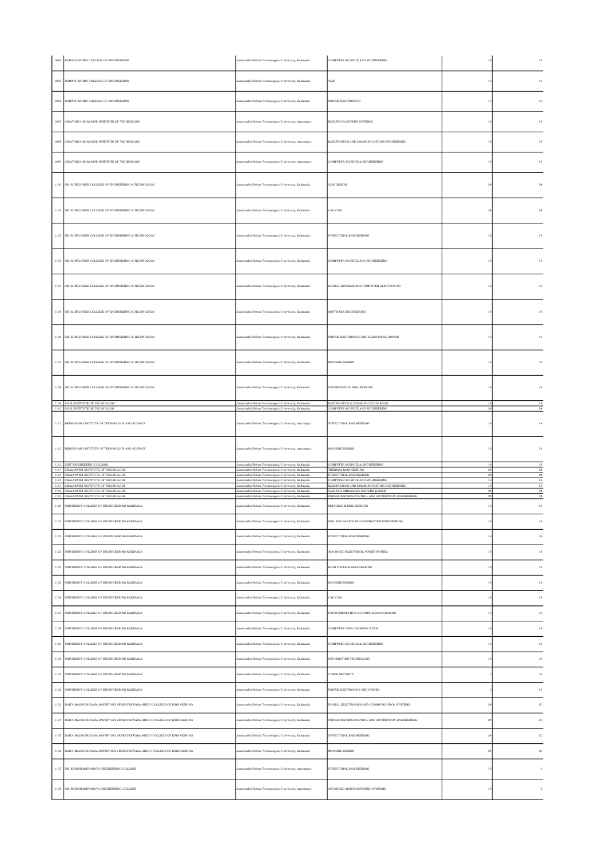|          | 1094 RAMACHANDRA COLLEGE OF ENGINEERING                                                                                                                                                                                                                | Jawaharlal Nehru Technological University, Kakinada                                                        | COMPUTER SCIENCE AND ENGINEERING                                               |                   | 18                    |
|----------|--------------------------------------------------------------------------------------------------------------------------------------------------------------------------------------------------------------------------------------------------------|------------------------------------------------------------------------------------------------------------|--------------------------------------------------------------------------------|-------------------|-----------------------|
|          | 1095 RAMACHANDRA COLLEGE OF ENGINEERING                                                                                                                                                                                                                | Jawaharlal Nehru Technological University, Kakinada                                                        | VLSI                                                                           | 18                | 18                    |
|          | 1096 RAMACHANDRA COLLEGE OF ENGINEERING                                                                                                                                                                                                                | Jawaharlal Nehru Technological University, Kakinada                                                        | POWER ELECTRONICS                                                              | 18                | 18                    |
|          | 1097 CHAITANYA BHARATHI INSTITUTE OF TECHNOLOGY                                                                                                                                                                                                        | Jawaharlal Nehru Technological University, Anantapur                                                       | ELECTRICAL POWER SYSTEMS                                                       | $^{\rm 18}$       | $^{\rm 18}$           |
|          | 1098 CHAITANYA BHARATHI INSTITUTE OF TECHNOLOGY                                                                                                                                                                                                        | Jawaharlal Nehru Technological University, Anantapur                                                       | ELECTRONICS AND COMMUNICATIONS ENGINEERING                                     | 18                | 18                    |
|          | 1099 CHAITANYA BHARATHI INSTITUTE OF TECHNOLOGY                                                                                                                                                                                                        | Jawaharlal Nehru Technological University, Anantapur                                                       | COMPUTER SCIENCE & ENGINEERING                                                 | 18                | $18\,$                |
|          | 1100 SRI SUNFLOWER COLLEGE OF ENGINEERING & TECHNOLOGY                                                                                                                                                                                                 | Jawaharlal Nehru Technological University, Kakinada                                                        | VLSI DESIGN                                                                    | $\sqrt{24}$       | 24                    |
|          | 1101 SRI SUNFLOWER COLLEGE OF ENGINEERING & TECHNOLOGY                                                                                                                                                                                                 | Jawaharlal Nehru Technological University, Kakinada                                                        | CAD CAM                                                                        | 24                | $\bf 24$              |
|          | 1102 SRI SUNFLOWER COLLEGE OF ENGINEERING & TECHNOLOGY                                                                                                                                                                                                 | Jawaharlal Nehru Technological University, Kakinada                                                        | STRUCTURAL ENGINEERING                                                         | 18                | 18                    |
|          | 1103 SRI SUNFLOWER COLLEGE OF ENGINEERING & TECHNOLOGY                                                                                                                                                                                                 | Jawaharlal Nehru Technological University, Kakinada                                                        | COMPUTER SCIENCE AND ENGINEERING                                               | 18                | 18                    |
|          | 1104 SRI SUNFLOWER COLLEGE OF ENGINEERING & TECHNOLOGY                                                                                                                                                                                                 | Jawaharlal Nehru Technological University, Kakinada                                                        | DIGITAL SYSTEMS AND COMPUTER ELECTRONICS                                       |                   | 18                    |
|          | 1105 SR1 SUNFLOWER COLLEGE OF ENGINEERING A TECHNOLOGY                                                                                                                                                                                                 | Jawaharlal Nehru Technological University, Kakinada                                                        | SOFTWARE ENGINEERING                                                           | 18                | 18                    |
|          | 1106 SRI SUNFLOWER COLLEGE OF ENGINEERING & TECHNOLOGY                                                                                                                                                                                                 | Jawaharlal Nehru Technological University, Kakinada                                                        | POWER ELECTRONICS AND ELECTRICAL DRIVES                                        | 18                | 18                    |
|          | 1107 SRI SUNFLOWER COLLEGE OF ENGINEERING & TECHNOLOGY                                                                                                                                                                                                 | Jawaharlal Nehru Technological University, Kakinada                                                        | MACHINE DESIGN                                                                 | 18                | 18                    |
|          | 1108 SRI SUNFLOWER COLLEGE OF ENGINEERING & TECHNOLOGY                                                                                                                                                                                                 | Jawaharlal Nehru Technological University, Kakinada                                                        | GEOTECHNICAL ENGINEERING                                                       | 18                | 18                    |
|          | 1109 S.R.K.INSTITUTE OF TECHNOLOGY<br>1110 S.R.K.INSTITUTE OF TECHNOLOGY                                                                                                                                                                               | Jawaharlal Nehru Technological University, Kakinada<br>Jawaharlal Nehru Technological University, Kakinada | ELECTRONICS & COMMUNICATION ENGG<br>COMPUTER SCIENCE AND ENGINEERING           | 18<br>$\sqrt{24}$ | 18<br>$\sqrt{24}$     |
|          | 1111 BRINDAVAN INSTITUTE OF TECHNOLOGY AND SCIENCE                                                                                                                                                                                                     | Jawaharlal Nehru Technological University, Anantapur                                                       | STRUCTURAL ENGINEERING                                                         | 18                | 18                    |
|          |                                                                                                                                                                                                                                                        |                                                                                                            |                                                                                |                   |                       |
|          | 1112 BRINDAVAN INSTITUTE OF TECHNOLOGY AND SCIENCE                                                                                                                                                                                                     | Jawaharlal Nehru Technological University, Anantapur                                                       | MACHINE DESIGN                                                                 | $^{\rm 18}$       | $^{\rm 18}$           |
|          | 1113 GIET ENGINEERING COLLEGE<br>1114 CHALAPATHI INSTITUTE OF TECHNOLOGY                                                                                                                                                                               | Jawaharlal Nehru Technological University, Kakinada<br>Jawaharlal Nehru Technological University, Kakinada | COMPUTER SCEINCE & ENGINEERING<br>THERMAL ENGINEERING                          | 18<br>$^{24}$     | 18<br>$\sqrt{24}$     |
|          | 1115 CHALAPATHI INSTITUTE OF TECHNOLOGY<br>1116 CHALAPATHI INSTITUTE OF TECHNOLOGY                                                                                                                                                                     | Jawaharlal Nehru Technological University, Kakinada<br>Jawaharlal Nehru Technological University, Kakinada | STRUCTURAL ENGINEERING<br>COMPUTER SCIENCE AND ENGINEERING                     | $^{24}$<br>18     | 24<br>$18\,$          |
|          | 1117 CHALAPATHI INSTITUTE OF TECHNOLOGY                                                                                                                                                                                                                | Jawaharlal Nehru Technological University, Kakinada<br>Jawaharlal Nehru Technological University, Kakinada | ELECTRONICS AND COMMUNICATIONS ENGINEERING<br>VLSI AND EMBEDDED SYSTEMS DESIGN | 18<br>$^{24}$     | $18\,$<br>$\sqrt{24}$ |
|          | $\begin{tabular}{c} 1118 \\ 1119 \\ \end{tabular} \begin{tabular}{l} CHALAPATH INSTITUTE OF TECHNOLOGY \\ \end{tabular} \begin{tabular}{c} 1119 \\ CHMAPATH INSTITUTE OF TECHNOLOGY \end{tabular}$<br>1120 UNIVERSITY COLLEGE OF ENGINGEERING KAKINADA | Jawaharlal Nehru Technological University, Kakinada<br>Jawaharlal Nehru Technological University, Kakinada | POWER SYSTEMS CONTROL AND AUTOMATION ENGINEERING<br>PETROLEUM ENGINEERING      | $^{24}$<br>$18\,$ | $\bf 24$<br>18        |
| $1121\,$ | UNIVERSITY COLLEGE OF ENGINGEERING KAKINADA                                                                                                                                                                                                            | Jawaharlal Nehru Technological University, Kakinada                                                        | SOIL MECHANICS AND FOUNDATION ENGINEERING                                      |                   | 18                    |
|          | 1122 UNIVERSITY COLLEGE OF ENGINGEERING KAKINADA                                                                                                                                                                                                       | lawaharlal Nehru Technological University, Kakinada                                                        | STRUCTURAL ENGINEERING                                                         | 18                | 18                    |
|          | 1123 UNIVERSITY COLLEGE OF ENGINGEERING KAKINADA                                                                                                                                                                                                       | Jawaharlal Nehru Technological University, Kakinada                                                        | ADVANCED ELECTRICAL POWER SYSTEM                                               |                   | 18                    |
|          | 1124 UNIVERSITY COLLEGE OF ENGINGEERING KAKINADA                                                                                                                                                                                                       | lawaharlal Nehru Technological University, Kakinada                                                        | HIGH VOLTAGE ENGINEERING                                                       | 18                | 18                    |
|          | 1125 UNIVERSITY COLLEGE OF ENGINGEERING KAKINADA                                                                                                                                                                                                       | Jawaharlal Nehru Technological University, Kakinada                                                        | MACHINE DESIGN                                                                 |                   | 18                    |
|          | 1126 UNIVERSITY COLLEGE OF ENGINGEERING KAKINADA                                                                                                                                                                                                       | lawaharlal Nehru Technological University, Kakinada                                                        | CAD CAM                                                                        | 18                | 18                    |
|          | 1127 UNIVERSITY COLLEGE OF ENGINGEERING KAKINADA                                                                                                                                                                                                       | Jawaharlal Nehru Technological University, Kakinada                                                        | INSTRUMENTATION & CONTROL ENGINEERING                                          |                   | 18                    |
|          | 1128 UNIVERSITY COLLEGE OF ENGINGEERING KAKINADA                                                                                                                                                                                                       |                                                                                                            | COMPUTER AND COMMUNICATION                                                     | 18                | 18                    |
|          |                                                                                                                                                                                                                                                        | lawaharlal Nehru Technological University, Kakinada                                                        |                                                                                |                   |                       |
| 1129     | UNIVERSITY COLLEGE OF ENGINGEERING KAKINADA                                                                                                                                                                                                            | lawaharlal Nehru Technological University, Kakinada                                                        | COMPUTER SCIENCE & ENGINEERING                                                 |                   | 18                    |
|          | 1130 UNIVERSITY COLLEGE OF ENGINGEERING KAKINADA                                                                                                                                                                                                       | lawaharlal Nehru Technological University, Kakinada                                                        | INFORMATION TECHNOLOGY                                                         |                   | 18                    |
|          | 1131 UNIVERSITY COLLEGE OF ENGINGEERING KAKINADA                                                                                                                                                                                                       | Jawaharlal Nehru Technological University, Kakinada                                                        | <b>CYBER SECURITY</b>                                                          |                   | 18                    |
|          | 1132 UNIVERSITY COLLEGE OF ENGINGEERING KAKINADA                                                                                                                                                                                                       | lawaharlal Nehru Technological University, Kakinada                                                        | POWER ELECTRONICS AND DRIVES                                                   |                   | 18                    |
|          | 1133 DAITA MADHUSUDANA SASTRY SRI VENKATESWARA HINDU COLLEGE OF ENGINEERING                                                                                                                                                                            | Jawaharlal Nehru Technological University, Kakinada                                                        | DIGITAL ELECTRONICS AND COMMUNICATION SYSTEMS                                  | 24                | 20                    |
|          | 1134 DAITA MADHUSUDANA SASTRY SRI VENKATESWARA HINDU COLLEGE OF ENGINEERING                                                                                                                                                                            | lawaharlal Nehru Technological University, Kakinada                                                        | POWER SYSTEMS CONTROL AND AUTOMATION ENGINEERING                               | $\sqrt{24}$       | 20                    |
|          | 1135 DAITA MADHUSUDANA SASTRY SRI VENKATESWARA HINDU COLLEGE OF ENGINEERING                                                                                                                                                                            | Jawaharlal Nehru Technological University, Kakinada                                                        | STRUCTURAL ENGINEERING                                                         | $^{24}$           | 20                    |
|          | 1136 DAITA MADHUSUDANA SASTRY SRI VENKATESWARA HINDU COLLEGE OF ENGINEERING                                                                                                                                                                            | lawaharlal Nehru Technological University, Kakinada                                                        | MACHINE DESIGN                                                                 | $\sqrt{24}$       | 20                    |
|          | 1137 SRI KRISHNADEVARAYA ENGINEERING COLLEGE                                                                                                                                                                                                           | Jawaharlal Nehru Technological University, Anantapur                                                       | STRUCTURAL ENGINEERING                                                         |                   |                       |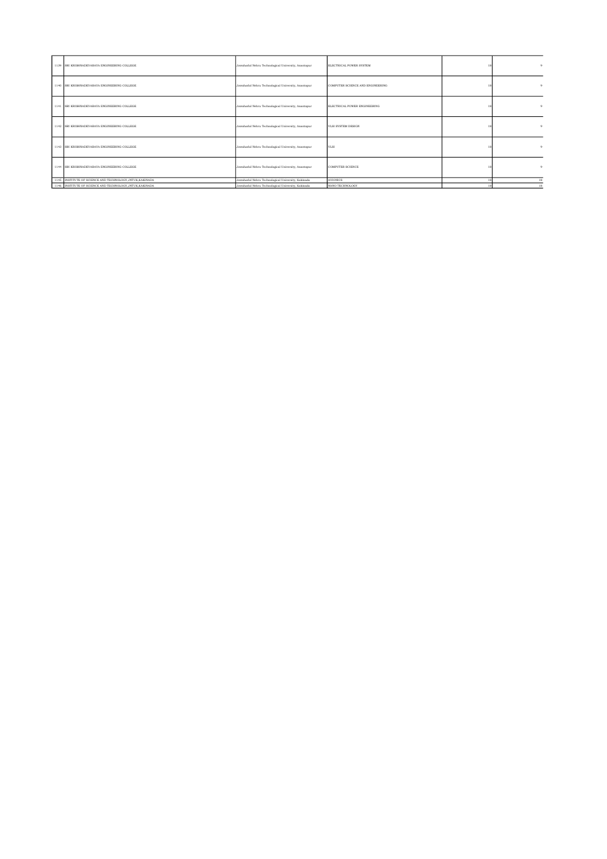| 1139 SRI KRISHNADEVARAYA ENGINEERING COLLEGE              | Jawaharlal Nehru Technological University, Anantapur | ELECTRICAL POWER SYSTEM          | 18 |    |
|-----------------------------------------------------------|------------------------------------------------------|----------------------------------|----|----|
| 1140 SRI KRISHNADEVARAYA ENGINEERING COLLEGE              | Jawaharlal Nehru Technological University, Anantapur | COMPUTER SCIENCE AND ENGINEERING |    |    |
| 1141 SRI KRISHNADEVARAYA ENGINEERING COLLEGE              | Jawaharlal Nehru Technological University, Anantapur | ELECTRICAL POWER ENGINEERING     |    |    |
| 1142 SRI KRISHNADEVARAYA ENGINEERING COLLEGE              | Jawaharlal Nehru Technological University, Anantapur | VLSI SYSTEM DESIGN               |    |    |
| 1143 SRI KRISHNADEVARAYA ENGINEERING COLLEGE              | Jawaharlal Nehru Technological University, Anantapur | VLSI                             |    |    |
| 1144 SRI KRISHNADEVARAYA ENGINEERING COLLEGE              | Jawaharlal Nehru Technological University, Anantapur | <b>COMPUTER SCIENCE</b>          |    |    |
| 1145 INSTITUTE OF SCIENCE AND TECHNOLOGY, JNTUK, KAKINADA | Jawaharlal Nehru Technological University, Kakinada  | <b>AVIONICS</b>                  |    | 18 |
| 1146 INSTITUTE OF SCIENCE AND TECHNOLOGY, JNTUK, KAKINADA | Jawaharlal Nehru Technological University, Kakinada  | NANO TECHNOLOGY                  |    | 18 |